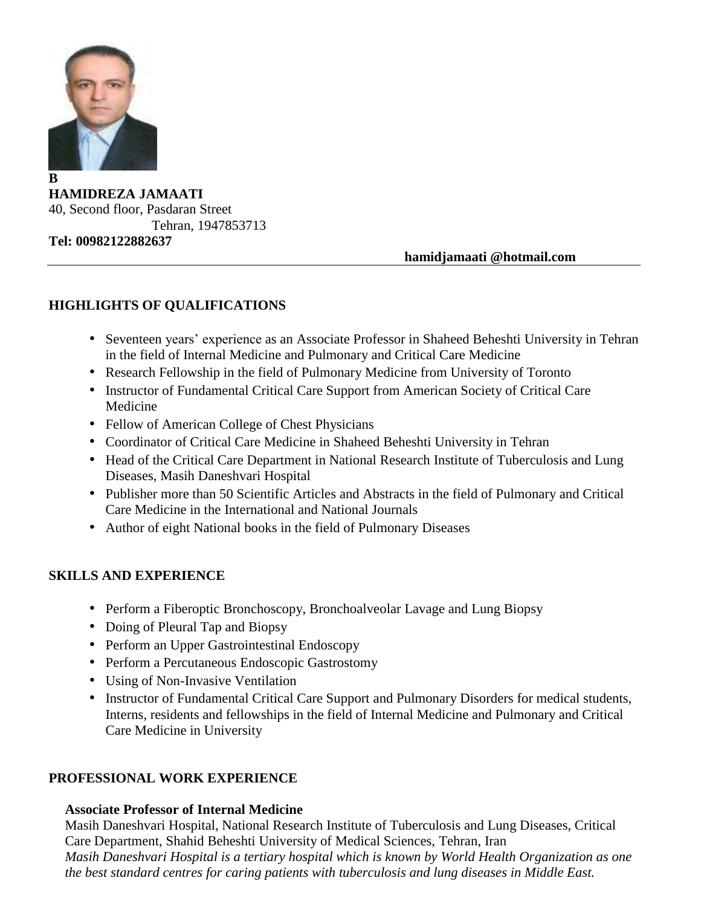

**HAMIDREZA JAMAATI** 40, Second floor, Pasdaran Street Tehran, 1947853713 **Tel: 00982122882637**

 **hamidjamaati @hotmail.com**

### **HIGHLIGHTS OF QUALIFICATIONS**

- Seventeen years' experience as an Associate Professor in Shaheed Beheshti University in Tehran in the field of Internal Medicine and Pulmonary and Critical Care Medicine
- Research Fellowship in the field of Pulmonary Medicine from University of Toronto
- Instructor of Fundamental Critical Care Support from American Society of Critical Care Medicine
- Fellow of American College of Chest Physicians
- Coordinator of Critical Care Medicine in Shaheed Beheshti University in Tehran
- Head of the Critical Care Department in National Research Institute of Tuberculosis and Lung Diseases, Masih Daneshvari Hospital
- Publisher more than 50 Scientific Articles and Abstracts in the field of Pulmonary and Critical Care Medicine in the International and National Journals
- Author of eight National books in the field of Pulmonary Diseases

### **SKILLS AND EXPERIENCE**

- Perform a Fiberoptic Bronchoscopy, Bronchoalveolar Lavage and Lung Biopsy
- Doing of Pleural Tap and Biopsy
- Perform an Upper Gastrointestinal Endoscopy
- Perform a Percutaneous Endoscopic Gastrostomy
- Using of Non-Invasive Ventilation
- Instructor of Fundamental Critical Care Support and Pulmonary Disorders for medical students, Interns, residents and fellowships in the field of Internal Medicine and Pulmonary and Critical Care Medicine in University

### **PROFESSIONAL WORK EXPERIENCE**

### **Associate Professor of Internal Medicine**

Masih Daneshvari Hospital, National Research Institute of Tuberculosis and Lung Diseases, Critical Care Department, Shahid Beheshti University of Medical Sciences, Tehran, Iran *Masih Daneshvari Hospital is a tertiary hospital which is known by World Health Organization as one the best standard centres for caring patients with tuberculosis and lung diseases in Middle East.*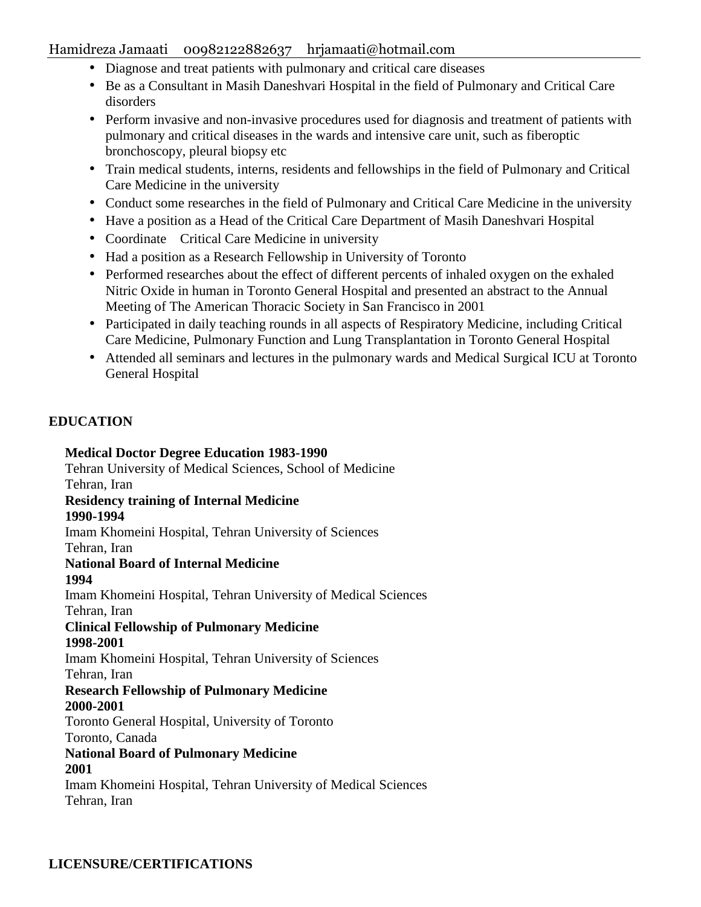- Diagnose and treat patients with pulmonary and critical care diseases
- Be as a Consultant in Masih Daneshvari Hospital in the field of Pulmonary and Critical Care disorders
- Perform invasive and non-invasive procedures used for diagnosis and treatment of patients with pulmonary and critical diseases in the wards and intensive care unit, such as fiberoptic bronchoscopy, pleural biopsy etc
- Train medical students, interns, residents and fellowships in the field of Pulmonary and Critical Care Medicine in the university
- Conduct some researches in the field of Pulmonary and Critical Care Medicine in the university
- Have a position as a Head of the Critical Care Department of Masih Daneshvari Hospital
- Coordinate Critical Care Medicine in university
- Had a position as a Research Fellowship in University of Toronto
- Performed researches about the effect of different percents of inhaled oxygen on the exhaled Nitric Oxide in human in Toronto General Hospital and presented an abstract to the Annual Meeting of The American Thoracic Society in San Francisco in 2001
- Participated in daily teaching rounds in all aspects of Respiratory Medicine, including Critical Care Medicine, Pulmonary Function and Lung Transplantation in Toronto General Hospital
- Attended all seminars and lectures in the pulmonary wards and Medical Surgical ICU at Toronto General Hospital

### **EDUCATION**

**Medical Doctor Degree Education 1983-1990** Tehran University of Medical Sciences, School of Medicine Tehran, Iran **Residency training of Internal Medicine 1990-1994** Imam Khomeini Hospital, Tehran University of Sciences Tehran, Iran **National Board of Internal Medicine 1994** Imam Khomeini Hospital, Tehran University of Medical Sciences Tehran, Iran **Clinical Fellowship of Pulmonary Medicine 1998-2001** Imam Khomeini Hospital, Tehran University of Sciences Tehran, Iran **Research Fellowship of Pulmonary Medicine 2000-2001** Toronto General Hospital, University of Toronto Toronto, Canada **National Board of Pulmonary Medicine 2001** Imam Khomeini Hospital, Tehran University of Medical Sciences Tehran, Iran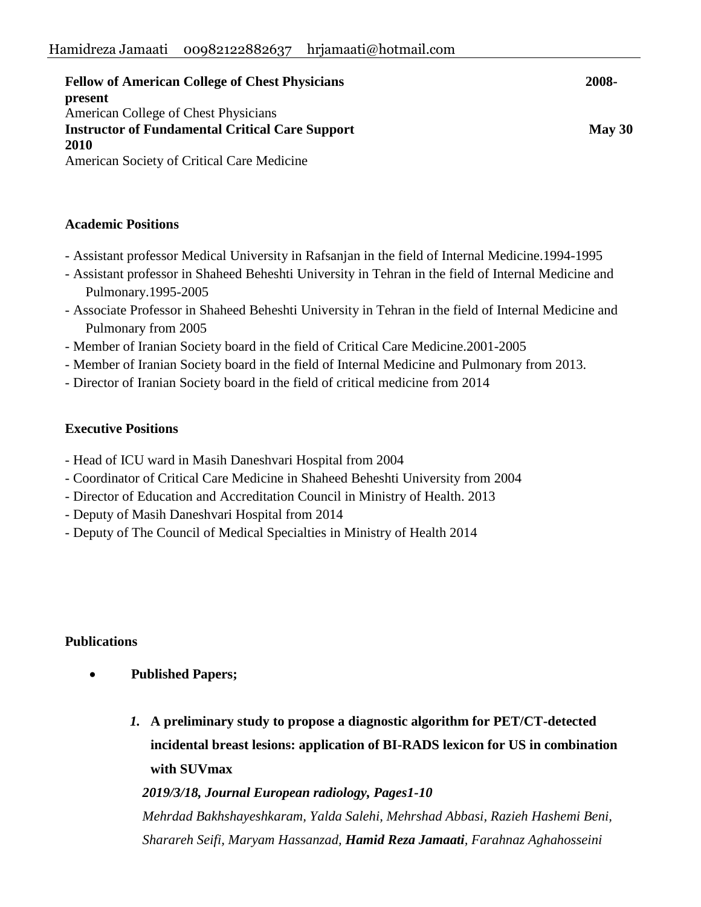| <b>Fellow of American College of Chest Physicians</b>  | 2008-            |
|--------------------------------------------------------|------------------|
| present                                                |                  |
| American College of Chest Physicians                   |                  |
| <b>Instructor of Fundamental Critical Care Support</b> | $\text{May } 30$ |
| 2010                                                   |                  |
| American Society of Critical Care Medicine             |                  |

### **Academic Positions**

- Assistant professor Medical University in Rafsanjan in the field of Internal Medicine.1994-1995
- Assistant professor in Shaheed Beheshti University in Tehran in the field of Internal Medicine and Pulmonary.1995-2005
- Associate Professor in Shaheed Beheshti University in Tehran in the field of Internal Medicine and Pulmonary from 2005
- Member of Iranian Society board in the field of Critical Care Medicine.2001-2005
- Member of Iranian Society board in the field of Internal Medicine and Pulmonary from 2013.
- Director of Iranian Society board in the field of critical medicine from 2014

### **Executive Positions**

- Head of ICU ward in Masih Daneshvari Hospital from 2004
- Coordinator of Critical Care Medicine in Shaheed Beheshti University from 2004
- Director of Education and Accreditation Council in Ministry of Health. 2013
- Deputy of Masih Daneshvari Hospital from 2014
- Deputy of The Council of Medical Specialties in Ministry of Health 2014

### **Publications**

- **Published Papers;**
	- *1.* **[A preliminary study to propose a diagnostic algorithm for PET/CT-detected](https://link.springer.com/article/10.1007/s00330-019-06106-x)  [incidental breast lesions: application of BI-RADS lexicon for US in combination](https://link.springer.com/article/10.1007/s00330-019-06106-x)  [with SUVmax](https://link.springer.com/article/10.1007/s00330-019-06106-x)**

*2019/3/18, Journal European radiology, Pages1-10*

*Mehrdad Bakhshayeshkaram, Yalda Salehi, Mehrshad Abbasi, Razieh Hashemi Beni, Sharareh Seifi, Maryam Hassanzad, Hamid Reza Jamaati, Farahnaz Aghahosseini*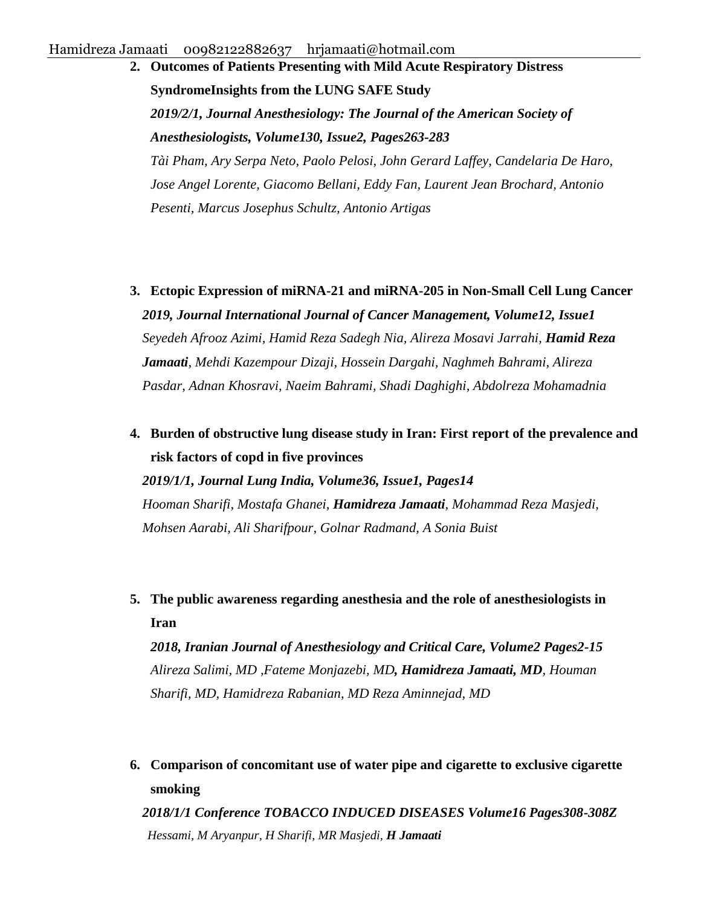**2. [Outcomes of Patients Presenting with Mild Acute Respiratory Distress](http://anesthesiology.pubs.asahq.org/article.aspx?articleid=2717118)  [SyndromeInsights from the LUNG SAFE Study](http://anesthesiology.pubs.asahq.org/article.aspx?articleid=2717118)** *2019/2/1, Journal Anesthesiology: The Journal of the American Society of Anesthesiologists, Volume130, Issue2, Pages263-283 Tài Pham, Ary Serpa Neto, Paolo Pelosi, John Gerard Laffey, Candelaria De Haro, Jose Angel Lorente, Giacomo Bellani, Eddy Fan, Laurent Jean Brochard, Antonio Pesenti, Marcus Josephus Schultz, Antonio Artigas*

- **3. [Ectopic Expression of miRNA-21 and miRNA-205 in Non-Small Cell Lung Cancer](http://intjcancermanag.com/en/articles/85456.html)** *2019, Journal International Journal of Cancer Management, Volume12, Issue1 Seyedeh Afrooz Azimi, Hamid Reza Sadegh Nia, Alireza Mosavi Jarrahi, Hamid Reza Jamaati, Mehdi Kazempour Dizaji, Hossein Dargahi, Naghmeh Bahrami, Alireza Pasdar, Adnan Khosravi, Naeim Bahrami, Shadi Daghighi, Abdolreza Mohamadnia*
- **4. [Burden of obstructive lung disease study in Iran: First report of the prevalence and](http://www.lungindia.com/article.asp?issn=0970-2113;year=2019;volume=36;issue=1;spage=14;epage=19;aulast=Sharifi)  [risk factors of copd in five provinces](http://www.lungindia.com/article.asp?issn=0970-2113;year=2019;volume=36;issue=1;spage=14;epage=19;aulast=Sharifi)**

*2019/1/1, Journal Lung India, Volume36, Issue1, Pages14 Hooman Sharifi, Mostafa Ghanei, Hamidreza Jamaati, Mohammad Reza Masjedi, Mohsen Aarabi, Ali Sharifpour, Golnar Radmand, A Sonia Buist*

**5. The public awareness regarding anesthesia and the role of anesthesiologists in Iran**

*2018, Iranian Journal of Anesthesiology and Critical Care, Volume2 Pages2-15 Alireza Salimi, MD ,Fateme Monjazebi, MD, Hamidreza Jamaati, MD, Houman Sharifi, MD, Hamidreza Rabanian, MD Reza Aminnejad, MD*

**6. [Comparison of concomitant use of water pipe and cigarette to exclusive cigarette](http://scholar.google.com/scholar?cluster=1575259586583372426&hl=en&oi=scholarr)  [smoking](http://scholar.google.com/scholar?cluster=1575259586583372426&hl=en&oi=scholarr)**

*2018/1/1 Conference TOBACCO INDUCED DISEASES Volume16 Pages308-308Z Hessami, M Aryanpur, H Sharifi, MR Masjedi, H Jamaati*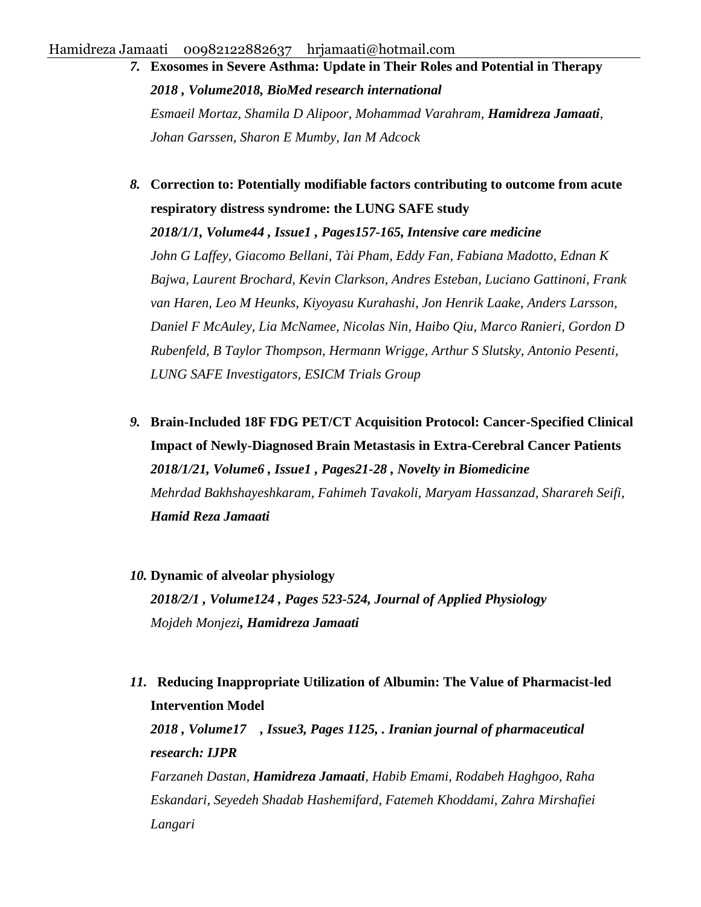- *7.* **[Exosomes in Severe Asthma: Update in Their Roles and Potential in Therapy](https://www.hindawi.com/journals/bmri/2018/2862187/abs/)** *2018 , Volume2018, BioMed research international Esmaeil Mortaz, Shamila D Alipoor, Mohammad Varahram, Hamidreza Jamaati, Johan Garssen, Sharon E Mumby, Ian M Adcock*
- *8.* **[Correction to: Potentially modifiable factors contributing to outcome from acute](https://link.springer.com/article/10.1007/s00134-017-4981-z)  [respiratory distress syndrome: the LUNG SAFE study](https://link.springer.com/article/10.1007/s00134-017-4981-z)** *2018/1/1, Volume44 , Issue1 , Pages157-165, Intensive care medicine John G Laffey, Giacomo Bellani, Tài Pham, Eddy Fan, Fabiana Madotto, Ednan K Bajwa, Laurent Brochard, Kevin Clarkson, Andres Esteban, Luciano Gattinoni, Frank van Haren, Leo M Heunks, Kiyoyasu Kurahashi, Jon Henrik Laake, Anders Larsson, Daniel F McAuley, Lia McNamee, Nicolas Nin, Haibo Qiu, Marco Ranieri, Gordon D Rubenfeld, B Taylor Thompson, Hermann Wrigge, Arthur S Slutsky, Antonio Pesenti, LUNG SAFE Investigators, ESICM Trials Group*
- *9.* **[Brain-Included 18F FDG PET/CT Acquisition Protocol: Cancer-Specified Clinical](http://journals.sbmu.ac.ir/nbm/article/view/18086)  [Impact of Newly-Diagnosed Brain Metastasis in Extra-Cerebral Cancer Patients](http://journals.sbmu.ac.ir/nbm/article/view/18086)** *2018/1/21, Volume6 , Issue1 , Pages21-28 , Novelty in Biomedicine* *Mehrdad Bakhshayeshkaram, Fahimeh Tavakoli, Maryam Hassanzad, Sharareh Seifi, Hamid Reza Jamaati*
- *10.* **[Dynamic of alveolar physiology](https://www.physiology.org/doi/abs/10.1152/japplphysiol.00649.2017)**

*2018/2/1 , Volume124 , Pages 523-524, Journal of Applied Physiology Mojdeh Monjezi, Hamidreza Jamaati*

*11.* **[Reducing Inappropriate Utilization of Albumin: The Value of Pharmacist-led](https://www.ncbi.nlm.nih.gov/pmc/articles/PMC6094441/)  [Intervention Model](https://www.ncbi.nlm.nih.gov/pmc/articles/PMC6094441/)** *2018 , Volume17 , Issue3, Pages 1125, . Iranian journal of pharmaceutical research: IJPR Farzaneh Dastan, Hamidreza Jamaati, Habib Emami, Rodabeh Haghgoo, Raha Eskandari, Seyedeh Shadab Hashemifard, Fatemeh Khoddami, Zahra Mirshafiei Langari*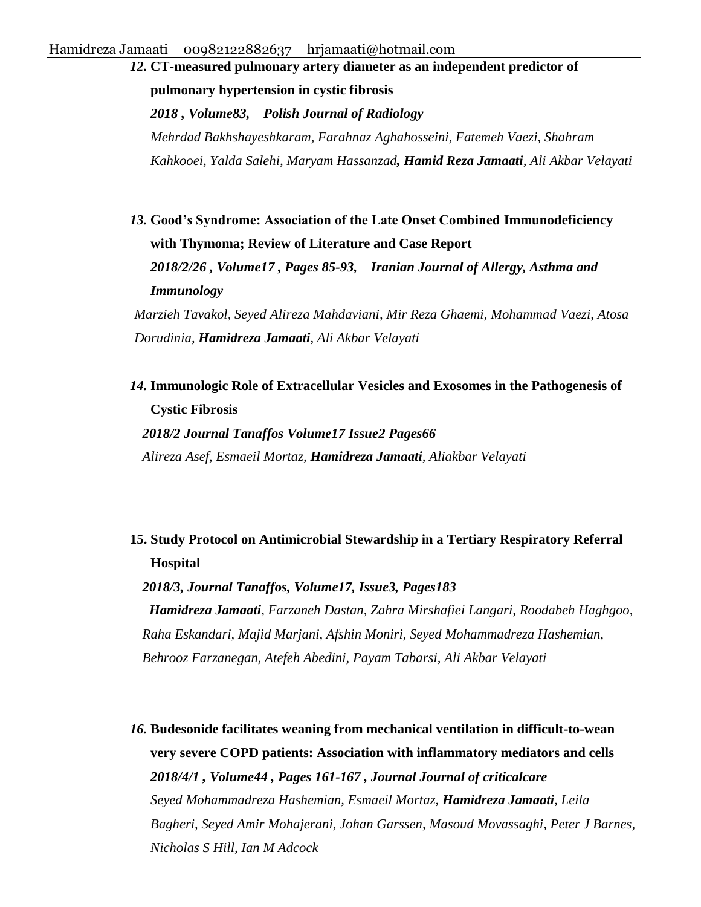*12.* **[CT-measured pulmonary artery diameter as an independent predictor of](http://ruj.uj.edu.pl/xmlui/handle/item/60256)  [pulmonary hypertension in cystic fibrosis](http://ruj.uj.edu.pl/xmlui/handle/item/60256)** *2018 , Volume83, Polish Journal of Radiology Mehrdad Bakhshayeshkaram, Farahnaz Aghahosseini, Fatemeh Vaezi, Shahram Kahkooei, Yalda Salehi, Maryam Hassanzad, Hamid Reza Jamaati, Ali Akbar Velayati*

*13.* **[Good's Syndrome: Association of the Late Onset Combined Immunodeficiency](http://ijaai.tums.ac.ir/index.php/ijaai/article/view/1115)  [with Thymoma; Review of Literature and Case Report](http://ijaai.tums.ac.ir/index.php/ijaai/article/view/1115)** *2018/2/26 , Volume17 , Pages 85-93, Iranian Journal of Allergy, Asthma and Immunology*

*Marzieh Tavakol, Seyed Alireza Mahdaviani, Mir Reza Ghaemi, Mohammad Vaezi, Atosa Dorudinia, Hamidreza Jamaati, Ali Akbar Velayati*

*14.* **[Immunologic Role of Extracellular Vesicles and Exosomes in the Pathogenesis of](https://www.ncbi.nlm.nih.gov/pmc/articles/PMC6320567/)  [Cystic Fibrosis](https://www.ncbi.nlm.nih.gov/pmc/articles/PMC6320567/)**

*2018/2 Journal Tanaffos Volume17 Issue2 Pages66 Alireza Asef, Esmaeil Mortaz, Hamidreza Jamaati, Aliakbar Velayati*

## **15. [Study Protocol on Antimicrobial Stewardship in a Tertiary Respiratory Referral](https://www.ncbi.nlm.nih.gov/pmc/articles/PMC6428375/)  [Hospital](https://www.ncbi.nlm.nih.gov/pmc/articles/PMC6428375/)**

*2018/3, Journal Tanaffos, Volume17, Issue3, Pages183 Hamidreza Jamaati, Farzaneh Dastan, Zahra Mirshafiei Langari, Roodabeh Haghgoo, Raha Eskandari, Majid Marjani, Afshin Moniri, Seyed Mohammadreza Hashemian, Behrooz Farzanegan, Atefeh Abedini, Payam Tabarsi, Ali Akbar Velayati*

*16.* **[Budesonide facilitates weaning from mechanical ventilation in difficult-to-wean](https://www.sciencedirect.com/science/article/pii/S0883944117309085)  [very severe COPD patients: Association with inflammatory mediators and cells](https://www.sciencedirect.com/science/article/pii/S0883944117309085)**  *2018/4/1 , Volume44 , Pages 161-167 , Journal Journal of criticalcare Seyed Mohammadreza Hashemian, Esmaeil Mortaz, Hamidreza Jamaati, Leila Bagheri, Seyed Amir Mohajerani, Johan Garssen, Masoud Movassaghi, Peter J Barnes, Nicholas S Hill, Ian M Adcock*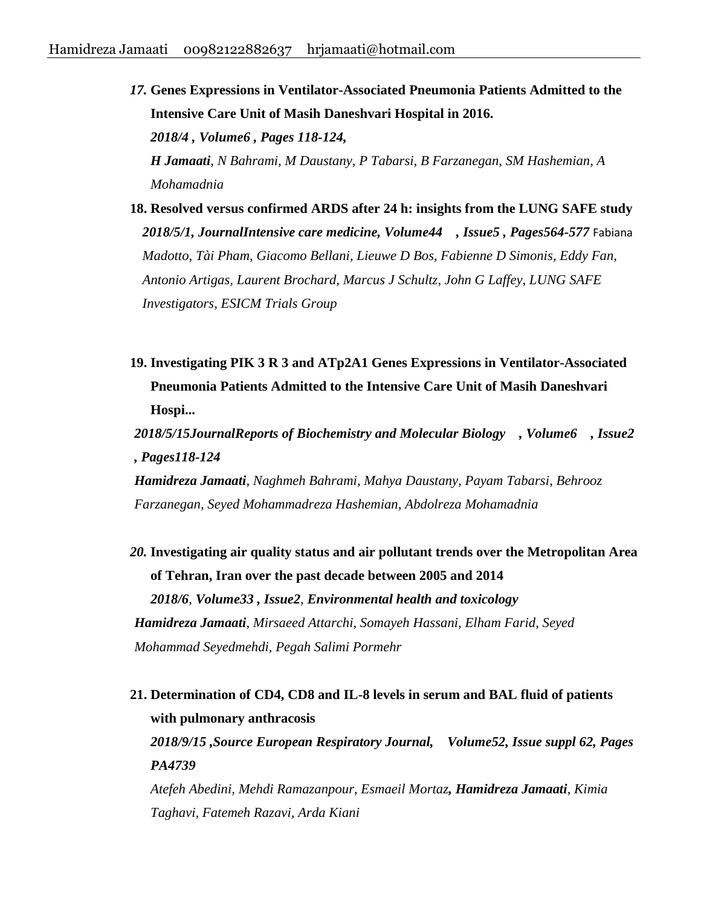*17.* **[Genes Expressions in Ventilator-Associated Pneumonia Patients Admitted to the](https://europepmc.org/abstract/med/29765993)  [Intensive Care Unit of Masih Daneshvari Hospital in 2016.](https://europepmc.org/abstract/med/29765993)** *2018/4 , Volume6 , Pages 118-124, H Jamaati, N Bahrami, M Daustany, P Tabarsi, B Farzanegan, SM Hashemian, A Mohamadnia*

- **18. [Resolved versus confirmed ARDS after 24 h: insights from the LUNG SAFE study](https://link.springer.com/article/10.1007/s00134-018-5152-6)** *2018/5/1, JournalIntensive care medicine, Volume44 , Issue5 , Pages564-577* Fabiana *Madotto, Tài Pham, Giacomo Bellani, Lieuwe D Bos, Fabienne D Simonis, Eddy Fan, Antonio Artigas, Laurent Brochard, Marcus J Schultz, John G Laffey, LUNG SAFE Investigators, ESICM Trials Group*
- **19. [Investigating PIK 3 R 3 and ATp2A1 Genes Expressions in Ventilator-Associated](http://rbmb.net/browse.php?a_id=194&sid=1&slc_lang=en)  [Pneumonia Patients Admitted to the Intensive Care Unit of Masih Daneshvari](http://rbmb.net/browse.php?a_id=194&sid=1&slc_lang=en)  [Hospi...](http://rbmb.net/browse.php?a_id=194&sid=1&slc_lang=en)**

*2018/5/15JournalReports of Biochemistry and Molecular Biology , Volume6 , Issue2 , Pages118-124* 

*Hamidreza Jamaati, Naghmeh Bahrami, Mahya Daustany, Payam Tabarsi, Behrooz Farzanegan, Seyed Mohammadreza Hashemian, Abdolreza Mohamadnia*

*20.* **[Investigating air quality status and air pollutant trends over the Metropolitan Area](https://www.ncbi.nlm.nih.gov/pmc/articles/PMC6044178/)  [of Tehran, Iran over the past decade between 2005 and 2014](https://www.ncbi.nlm.nih.gov/pmc/articles/PMC6044178/)** *2018/6, Volume33 , Issue2, Environmental health and toxicology Hamidreza Jamaati, Mirsaeed Attarchi, Somayeh Hassani, Elham Farid, Seyed Mohammad Seyedmehdi, Pegah Salimi Pormehr*

**21. [Determination of CD4, CD8 and IL-8 levels in serum and BAL fluid of patients](https://erj.ersjournals.com/content/52/suppl_62/PA4739.abstract)  [with pulmonary anthracosis](https://erj.ersjournals.com/content/52/suppl_62/PA4739.abstract)** *2018/9/15 ,Source European Respiratory Journal, Volume52, Issue suppl 62, Pages PA4739 Atefeh Abedini, Mehdi Ramazanpour, Esmaeil Mortaz, Hamidreza Jamaati, Kimia Taghavi, Fatemeh Razavi, Arda Kiani*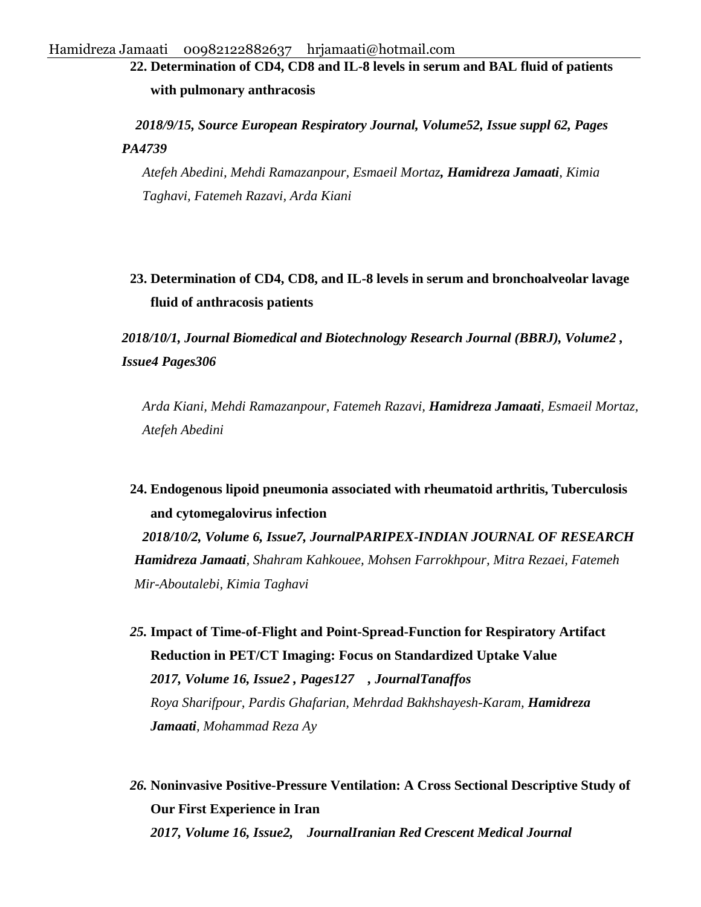**22. Determination of CD4, CD8 and IL-8 levels in serum and BAL fluid of patients with pulmonary anthracosis**

 *2018/9/15, Source European Respiratory Journal, Volume52, Issue suppl 62, Pages PA4739*

*Atefeh Abedini, Mehdi Ramazanpour, Esmaeil Mortaz, Hamidreza Jamaati, Kimia Taghavi, Fatemeh Razavi, Arda Kiani*

**23. [Determination of CD4, CD8, and IL-8 levels in serum and bronchoalveolar lavage](http://www.bmbtrj.org/article.asp?issn=2588-9834;year=2018;volume=2;issue=4;spage=306;epage=310;aulast=Kiani) [fluid of anthracosis patients](http://www.bmbtrj.org/article.asp?issn=2588-9834;year=2018;volume=2;issue=4;spage=306;epage=310;aulast=Kiani)**

*2018/10/1, Journal Biomedical and Biotechnology Research Journal (BBRJ), Volume2 , Issue4 Pages306*

*Arda Kiani, Mehdi Ramazanpour, Fatemeh Razavi, Hamidreza Jamaati, Esmaeil Mortaz, Atefeh Abedini*

**24. [Endogenous lipoid pneumonia associated with rheumatoid arthritis, Tuberculosis](https://wwjournals.com/index.php/pijr/article/viewFile/11361/11286)  [and cytomegalovirus infection](https://wwjournals.com/index.php/pijr/article/viewFile/11361/11286)**

*2018/10/2, Volume 6, Issue7, JournalPARIPEX-INDIAN JOURNAL OF RESEARCH Hamidreza Jamaati, Shahram Kahkouee, Mohsen Farrokhpour, Mitra Rezaei, Fatemeh Mir-Aboutalebi, Kimia Taghavi*

*25.* **[Impact of Time-of-Flight and Point-Spread-Function for Respiratory Artifact](https://www.ncbi.nlm.nih.gov/pmc/articles/PMC5749325/)  [Reduction in PET/CT Imaging: Focus on Standardized Uptake Value](https://www.ncbi.nlm.nih.gov/pmc/articles/PMC5749325/)**  *2017, Volume 16, Issue2 , Pages127 , JournalTanaffos Roya Sharifpour, Pardis Ghafarian, Mehrdad Bakhshayesh-Karam, Hamidreza Jamaati, Mohammad Reza Ay*

*26.* **[Noninvasive Positive-Pressure Ventilation: A Cross Sectional Descriptive Study of](http://ircmj.com/en/articles/62237.html)  [Our First Experience in Iran](http://ircmj.com/en/articles/62237.html)** *2017, Volume 16, Issue2, JournalIranian Red Crescent Medical Journal*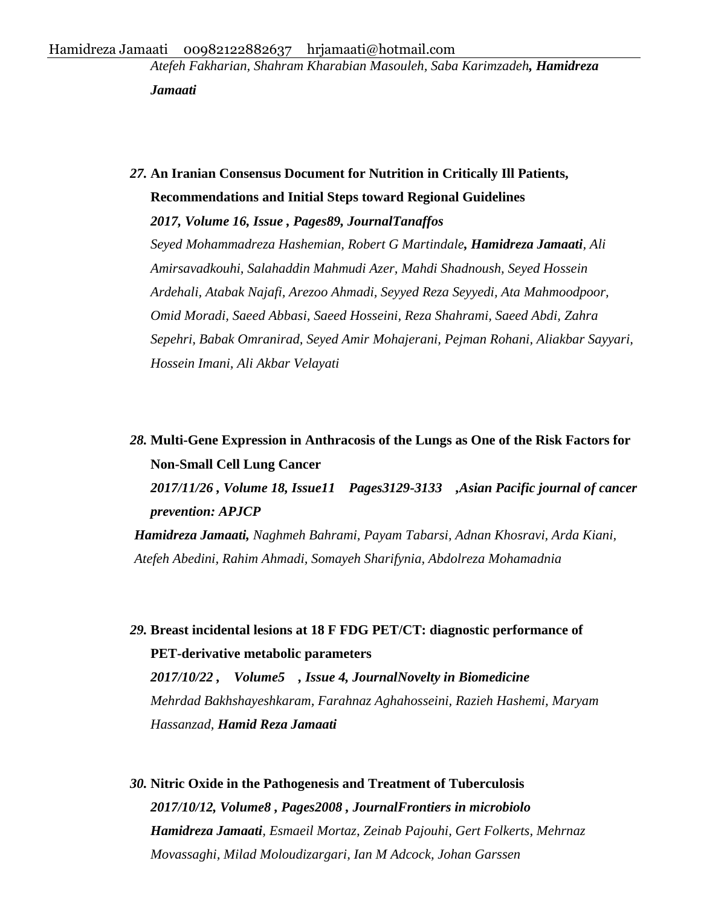*Atefeh Fakharian, Shahram Kharabian Masouleh, Saba Karimzadeh, Hamidreza Jamaati*

*27.* **[An Iranian Consensus Document for Nutrition in Critically Ill Patients,](https://www.ncbi.nlm.nih.gov/pmc/articles/PMC5749333/)  [Recommendations and Initial Steps toward Regional Guidelines](https://www.ncbi.nlm.nih.gov/pmc/articles/PMC5749333/)**

*2017, Volume 16, Issue , Pages89, JournalTanaffos Seyed Mohammadreza Hashemian, Robert G Martindale, Hamidreza Jamaati, Ali Amirsavadkouhi, Salahaddin Mahmudi Azer, Mahdi Shadnoush, Seyed Hossein Ardehali, Atabak Najafi, Arezoo Ahmadi, Seyyed Reza Seyyedi, Ata Mahmoodpoor, Omid Moradi, Saeed Abbasi, Saeed Hosseini, Reza Shahrami, Saeed Abdi, Zahra Sepehri, Babak Omranirad, Seyed Amir Mohajerani, Pejman Rohani, Aliakbar Sayyari, Hossein Imani, Ali Akbar Velayati*

# *28.* **[Multi-Gene Expression in Anthracosis of the Lungs as One of the Risk Factors for](http://journal.waocp.org/article_51948_ee5ba09319dc34a8dd3d9c964b3504b0.pdf)  [Non-Small Cell Lung Cancer](http://journal.waocp.org/article_51948_ee5ba09319dc34a8dd3d9c964b3504b0.pdf)**

*2017/11/26 , Volume 18, Issue11 Pages3129-3133 ,Asian Pacific journal of cancer prevention: APJCP* 

*Hamidreza Jamaati, Naghmeh Bahrami, Payam Tabarsi, Adnan Khosravi, Arda Kiani, Atefeh Abedini, Rahim Ahmadi, Somayeh Sharifynia, Abdolreza Mohamadnia*

*29.* **[Breast incidental lesions at 18 F FDG PET/CT: diagnostic performance of](http://journals.sbmu.ac.ir/nbm/article/download/17989/13878)  [PET-derivative metabolic parameters](http://journals.sbmu.ac.ir/nbm/article/download/17989/13878)**

*2017/10/22 , Volume5 , Issue 4, JournalNovelty in Biomedicine Mehrdad Bakhshayeshkaram, Farahnaz Aghahosseini, Razieh Hashemi, Maryam Hassanzad, Hamid Reza Jamaati*

*30.* **[Nitric Oxide in the Pathogenesis and Treatment of Tuberculosis](https://www.frontiersin.org/articles/10.3389/fmicb.2017.02008/full)** *2017/10/12, Volume8 , Pages2008 , JournalFrontiers in microbiolo Hamidreza Jamaati, Esmaeil Mortaz, Zeinab Pajouhi, Gert Folkerts, Mehrnaz Movassaghi, Milad Moloudizargari, Ian M Adcock, Johan Garssen*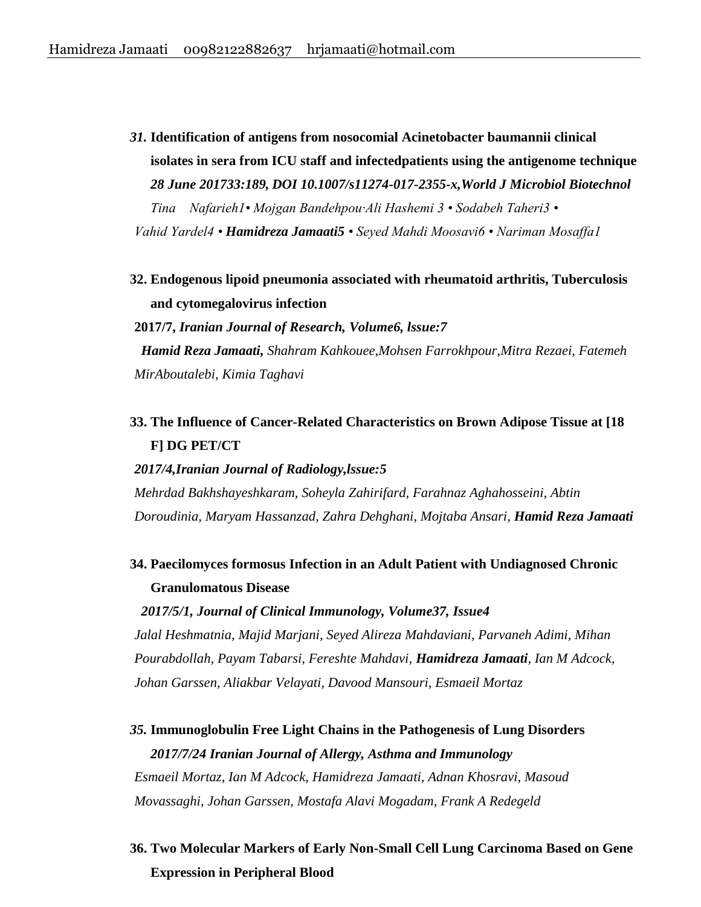- *31.* **Identification of antigens from nosocomial Acinetobacter baumannii clinical isolates in sera from ICU staff and infectedpatients using the antigenome technique**  *28 June 201733:189, DOI 10.1007/s11274-017-2355-x,World J Microbiol Biotechnol Tina Nafarieh1• Mojgan Bandehpou·Ali Hashemi 3 • Sodabeh Taheri3 • Vahid Yardel4 • Hamidreza Jamaati5 • Seyed Mahdi Moosavi6 • Nariman Mosaffa1*
- **32. Endogenous lipoid pneumonia associated with rheumatoid arthritis, Tuberculosis and cytomegalovirus infection**

**2017/7,** *Iranian Journal of Research, Volume6, lssue:7 Hamid Reza Jamaati, Shahram Kahkouee,Mohsen Farrokhpour,Mitra Rezaei, Fatemeh MirAboutalebi, Kimia Taghavi*

## **33. The Influence of Cancer-Related Characteristics on Brown Adipose Tissue at [18 F] DG PET/CT**

#### *2017/4,Iranian Journal of Radiology,lssue:5*

*Mehrdad Bakhshayeshkaram, Soheyla Zahirifard, Farahnaz Aghahosseini, Abtin Doroudinia, Maryam Hassanzad, Zahra Dehghani, Mojtaba Ansari, Hamid Reza Jamaati*

**34. Paecilomyces formosus Infection in an Adult Patient with Undiagnosed Chronic Granulomatous Disease** 

*Jalal Heshmatnia, Majid Marjani, Seyed Alireza Mahdaviani, Parvaneh Adimi, Mihan Pourabdollah, Payam Tabarsi, Fereshte Mahdavi, Hamidreza Jamaati, Ian M Adcock, Johan Garssen, Aliakbar Velayati, Davood Mansouri, Esmaeil Mortaz*

*2017/5/1, Journal of Clinical Immunology, Volume37, Issue4* 

# *35.* **Immunoglobulin Free Light Chains in the Pathogenesis of Lung Disorders**

*2017/7/24 Iranian Journal of Allergy, Asthma and Immunology Esmaeil Mortaz, Ian M Adcock, Hamidreza Jamaati, Adnan Khosravi, Masoud Movassaghi, Johan Garssen, Mostafa Alavi Mogadam, Frank A Redegeld*

**36. Two Molecular Markers of Early Non-Small Cell Lung Carcinoma Based on Gene Expression in Peripheral Blood**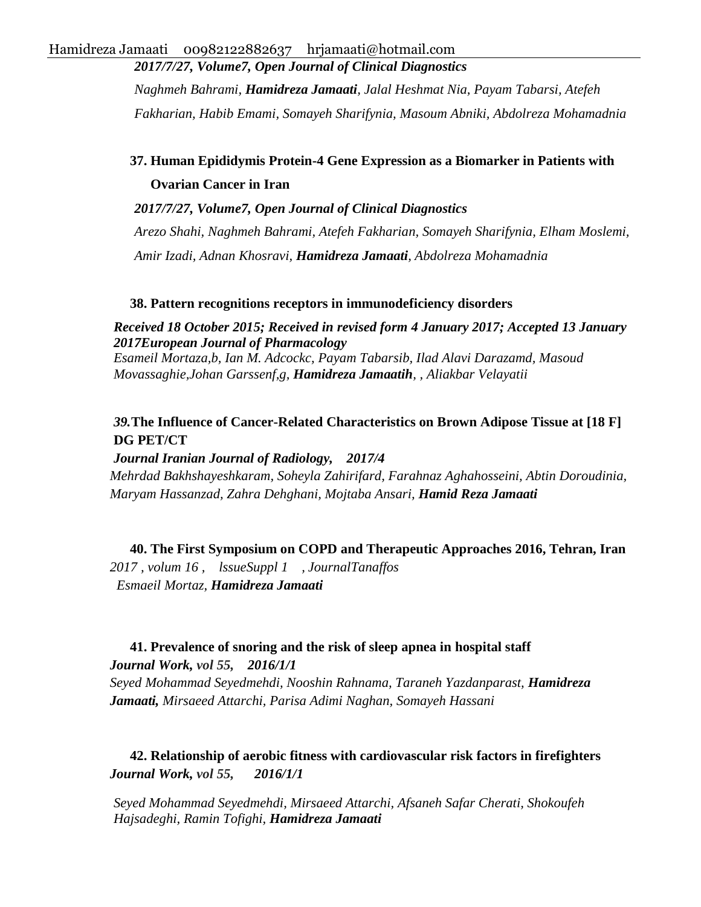*2017/7/27, Volume7, Open Journal of Clinical Diagnostics*

*Naghmeh Bahrami, Hamidreza Jamaati, Jalal Heshmat Nia, Payam Tabarsi, Atefeh Fakharian, Habib Emami, Somayeh Sharifynia, Masoum Abniki, Abdolreza Mohamadnia*

## **37. Human Epididymis Protein-4 Gene Expression as a Biomarker in Patients with Ovarian Cancer in Iran**

*2017/7/27, Volume7, Open Journal of Clinical Diagnostics*

*Arezo Shahi, Naghmeh Bahrami, Atefeh Fakharian, Somayeh Sharifynia, Elham Moslemi, Amir Izadi, Adnan Khosravi, Hamidreza Jamaati, Abdolreza Mohamadnia*

### **38. Pattern recognitions receptors in immunodeficiency disorders**

*Received 18 October 2015; Received in revised form 4 January 2017; Accepted 13 January 2017European Journal of Pharmacology*

*Esameil Mortaza,b, Ian M. Adcockc, Payam Tabarsib, Ilad Alavi Darazamd, Masoud Movassaghie,Johan Garssenf,g, Hamidreza Jamaatih, , Aliakbar Velayatii*

### *39.***[The Influence of Cancer-Related Characteristics on Brown Adipose Tissue at \[18 F\]](http://iranjradiol.com/?page=article&article_id=47979)  [DG PET/CT](http://iranjradiol.com/?page=article&article_id=47979)**

### *Journal Iranian Journal of Radiology, 2017/4*

*Mehrdad Bakhshayeshkaram, Soheyla Zahirifard, Farahnaz Aghahosseini, Abtin Doroudinia, Maryam Hassanzad, Zahra Dehghani, Mojtaba Ansari, Hamid Reza Jamaati*

**40. [The First Symposium on COPD and Therapeutic Approaches 2016, Tehran, Iran](https://www.ncbi.nlm.nih.gov/pmc/articles/PMC5684719/)** *2017 , volum 16 , lssueSuppl 1 , JournalTanaffos Esmaeil Mortaz, Hamidreza Jamaati*

### **41. [Prevalence of snoring and the risk of sleep apnea in hospital staff](http://content.iospress.com/articles/work/wor2460)**

*Journal Work, vol 55, 2016/1/1 Seyed Mohammad Seyedmehdi, Nooshin Rahnama, Taraneh Yazdanparast, Hamidreza Jamaati, Mirsaeed Attarchi, Parisa Adimi Naghan, Somayeh Hassani*

### **42. [Relationship of aerobic fitness with cardiovascular risk factors in firefighters](http://content.iospress.com/articles/work/wor2375)** *Journal Work, vol 55, 2016/1/1*

*Seyed Mohammad Seyedmehdi, Mirsaeed Attarchi, Afsaneh Safar Cherati, Shokoufeh Hajsadeghi, Ramin Tofighi, Hamidreza Jamaati*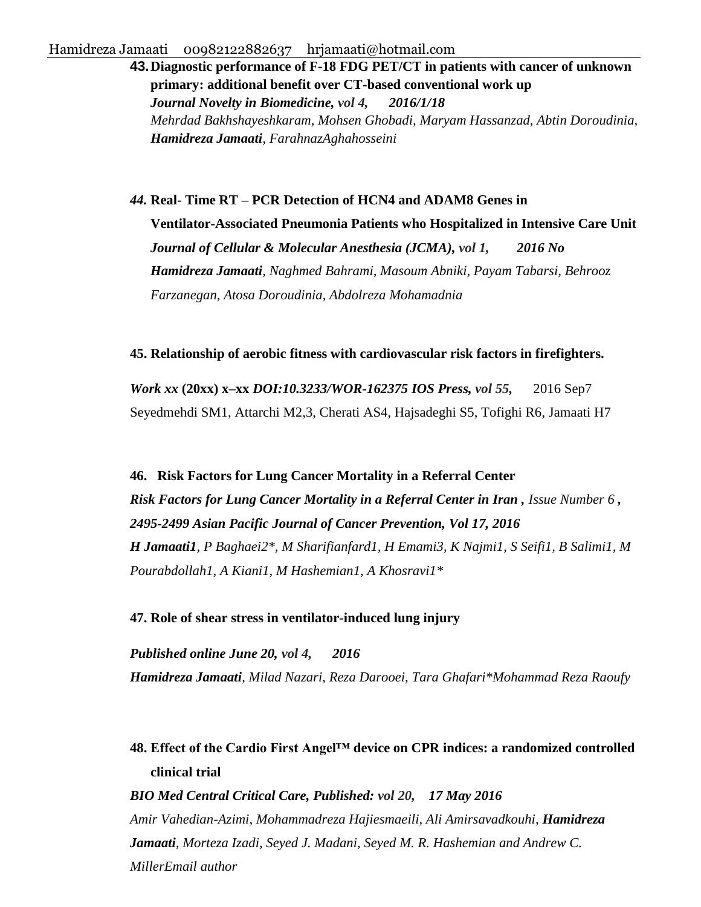**43.[Diagnostic performance of F-18 FDG PET/CT in patients with cancer of unknown](http://journals.sbmu.ac.ir/nbm/article/view/10496)  [primary: additional benefit over CT-based conventional work up](http://journals.sbmu.ac.ir/nbm/article/view/10496)** *Journal Novelty in Biomedicine, vol 4, 2016/1/18 Mehrdad Bakhshayeshkaram, Mohsen Ghobadi, Maryam Hassanzad, Abtin Doroudinia, Hamidreza Jamaati, FarahnazAghahosseini*

*44.* **Real- Time RT – PCR Detection of HCN4 and ADAM8 Genes in Ventilator-Associated Pneumonia Patients who Hospitalized in Intensive Care Unit**  *Journal of Cellular & Molecular Anesthesia (JCMA), vol 1, 2016 No* *Hamidreza Jamaati, Naghmed Bahrami, Masoum Abniki, Payam Tabarsi, Behrooz Farzanegan, Atosa Doroudinia, Abdolreza Mohamadnia*

#### **45. Relationship of aerobic fitness with cardiovascular risk factors in firefighters.**

*Work xx* **(20xx) x–xx** *DOI:10.3233/WOR-162375 IOS Press, vol 55,* 2016 Sep7 Seyedmehdi SM1, Attarchi M2,3, Cherati AS4, Hajsadeghi S5, Tofighi R6, Jamaati H7

**46. Risk Factors for Lung Cancer Mortality in a Referral Center** *Risk Factors for Lung Cancer Mortality in a Referral Center in Iran , Issue Number 6 , 2495-2499 Asian Pacific Journal of Cancer Prevention, Vol 17, 2016 H Jamaati1, P Baghaei2\*, M Sharifianfard1, H Emami3, K Najmi1, S Seifi1, B Salimi1, M Pourabdollah1, A Kiani1, M Hashemian1, A Khosravi1\**

#### **47. Role of shear stress in ventilator-induced lung injury**

*Published online June 20, vol 4, 2016 Hamidreza Jamaati, Milad Nazari, Reza Darooei, Tara Ghafari\*Mohammad Reza Raoufy*

## **48. Effect of the Cardio First Angel™ device on CPR indices: a randomized controlled clinical trial**

*BIO Med Central Critical Care, Published: vol 20, 17 May 2016 Amir Vahedian-Azimi, Mohammadreza Hajiesmaeili, Ali Amirsavadkouhi, Hamidreza Jamaati, Morteza Izadi, Seyed J. Madani, Seyed M. R. Hashemian and Andrew C. MillerEmail author*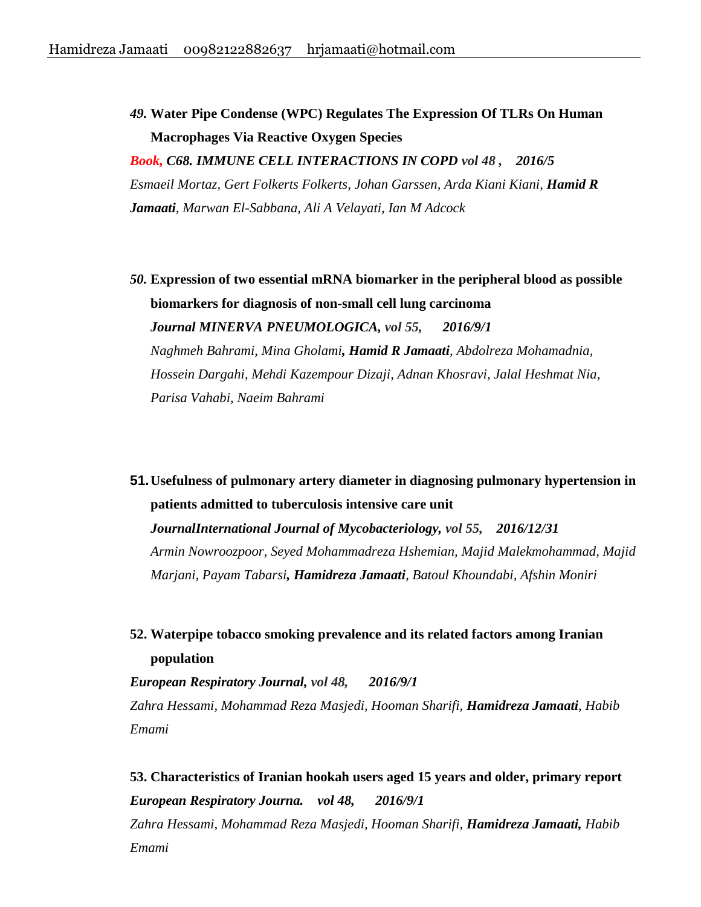*49.* **[Water Pipe Condense \(WPC\) Regulates The Expression Of TLRs On Human](http://www.atsjournals.org/doi/pdf/10.1164/ajrccm-conference.2016.193.1_MeetingAbstracts.A5798)  [Macrophages Via Reactive Oxygen Species](http://www.atsjournals.org/doi/pdf/10.1164/ajrccm-conference.2016.193.1_MeetingAbstracts.A5798)**

*Book, C68. IMMUNE CELL INTERACTIONS IN COPD vol 48 , 2016/5 Esmaeil Mortaz, Gert Folkerts Folkerts, Johan Garssen, Arda Kiani Kiani, Hamid R Jamaati, Marwan El-Sabbana, Ali A Velayati, Ian M Adcock*

*50.* **[Expression of two essential mRNA biomarker in the peripheral blood as possible](http://scholar.google.com/scholar?cluster=3663434128210016215&hl=en&oi=scholarr)  [biomarkers for diagnosis of non-small cell lung carcinoma](http://scholar.google.com/scholar?cluster=3663434128210016215&hl=en&oi=scholarr)** *Journal MINERVA PNEUMOLOGICA, vol 55, 2016/9/1 Naghmeh Bahrami, Mina Gholami, Hamid R Jamaati, Abdolreza Mohamadnia, Hossein Dargahi, Mehdi Kazempour Dizaji, Adnan Khosravi, Jalal Heshmat Nia, Parisa Vahabi, Naeim Bahrami*

**51.[Usefulness of pulmonary artery diameter in diagnosing pulmonary hypertension in](http://www.sciencedirect.com/science/article/pii/S2212553116302254)  [patients admitted to tuberculosis intensive care unit](http://www.sciencedirect.com/science/article/pii/S2212553116302254)** *JournalInternational Journal of Mycobacteriology, vol 55, 2016/12/31 Armin Nowroozpoor, Seyed Mohammadreza Hshemian, Majid Malekmohammad, Majid Marjani, Payam Tabarsi, Hamidreza Jamaati, Batoul Khoundabi, Afshin Moniri*

**52. [Waterpipe tobacco smoking prevalence and its related factors among Iranian](http://erj.ersjournals.com/content/48/suppl_60/PA4607.abstract)  [population](http://erj.ersjournals.com/content/48/suppl_60/PA4607.abstract)**

*European Respiratory Journal, vol 48, 2016/9/1 Zahra Hessami, Mohammad Reza Masjedi, Hooman Sharifi, Hamidreza Jamaati, Habib Emami*

**53. Characteristics of [Iranian hookah users aged 15 years and older, primary report](http://erj.ersjournals.com/content/48/suppl_60/PA4606.abstract)** *European Respiratory Journa. vol 48, 2016/9/1 Zahra Hessami, Mohammad Reza Masjedi, Hooman Sharifi, Hamidreza Jamaati, Habib Emami*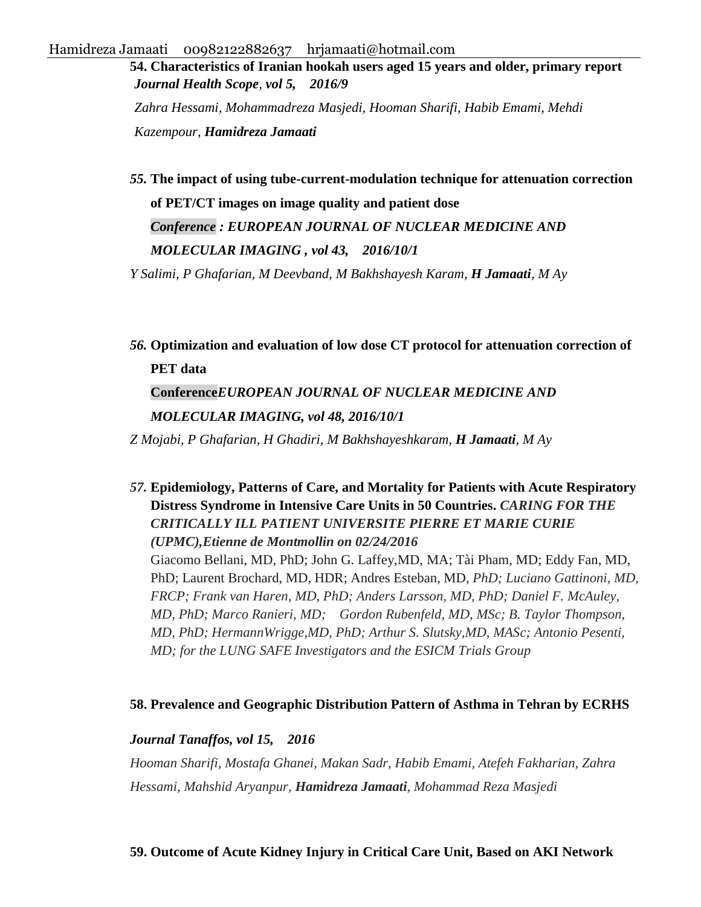**54. Characteristics of Iranian hookah users aged 15 years and older, primary report** *Journal Health Scope, vol 5, 2016/9 Zahra Hessami, Mohammadreza Masjedi, Hooman Sharifi, Habib Emami, Mehdi* 

*Kazempour, Hamidreza Jamaati*

*55.* **[The impact of using tube-current-modulation technique for attenuation correction](http://scholar.google.com/scholar?cluster=6471926904932625187&hl=en&oi=scholarr)  [of PET/CT images on image quality and patient dose](http://scholar.google.com/scholar?cluster=6471926904932625187&hl=en&oi=scholarr)**  *Conference : EUROPEAN JOURNAL OF NUCLEAR MEDICINE AND MOLECULAR IMAGING , vol 43, 2016/10/1* 

*Y Salimi, P Ghafarian, M Deevband, M Bakhshayesh Karam, H Jamaati, M Ay*

*56.* **[Optimization and evaluation of low dose CT protocol for attenuation correction of](http://scholar.google.com/scholar?cluster=14804667731646351080&hl=en&oi=scholarr)  [PET data](http://scholar.google.com/scholar?cluster=14804667731646351080&hl=en&oi=scholarr)** 

# **Conference***EUROPEAN JOURNAL OF NUCLEAR MEDICINE AND MOLECULAR IMAGING, vol 48, 2016/10/1*

*Z Mojabi, P Ghafarian, H Ghadiri, M Bakhshayeshkaram, H Jamaati, M Ay*

*57.* **Epidemiology, Patterns of Care, and Mortality for Patients with Acute Respiratory Distress Syndrome in Intensive Care Units in 50 Countries.** *CARING FOR THE CRITICALLY ILL PATIENT UNIVERSITE PIERRE ET MARIE CURIE (UPMC),Etienne de Montmollin on 02/24/2016*  Giacomo Bellani, MD, PhD; John G. Laffey,MD, MA; Tài Pham, MD; Eddy Fan, MD, PhD; Laurent Brochard, MD, HDR; Andres Esteban, MD, *PhD; Luciano Gattinoni, MD, FRCP; Frank van Haren, MD, PhD; Anders Larsson, MD, PhD; Daniel F. McAuley, MD, PhD; Marco Ranieri, MD; Gordon Rubenfeld, MD, MSc; B. Taylor Thompson, MD, PhD; HermannWrigge,MD, PhD; Arthur S. Slutsky,MD, MASc; Antonio Pesenti, MD; for the LUNG SAFE Investigators and the ESICM Trials Group*

### **58. [Prevalence and Geographic Distribution Pattern of Asthma in Tehran by ECRHS](https://www.ncbi.nlm.nih.gov/pmc/articles/PMC5410120/)**

### *Journal Tanaffos, vol 15, 2016*

*Hooman Sharifi, Mostafa Ghanei, Makan Sadr, Habib Emami, Atefeh Fakharian, Zahra Hessami, Mahshid Aryanpur, Hamidreza Jamaati, Mohammad Reza Masjedi*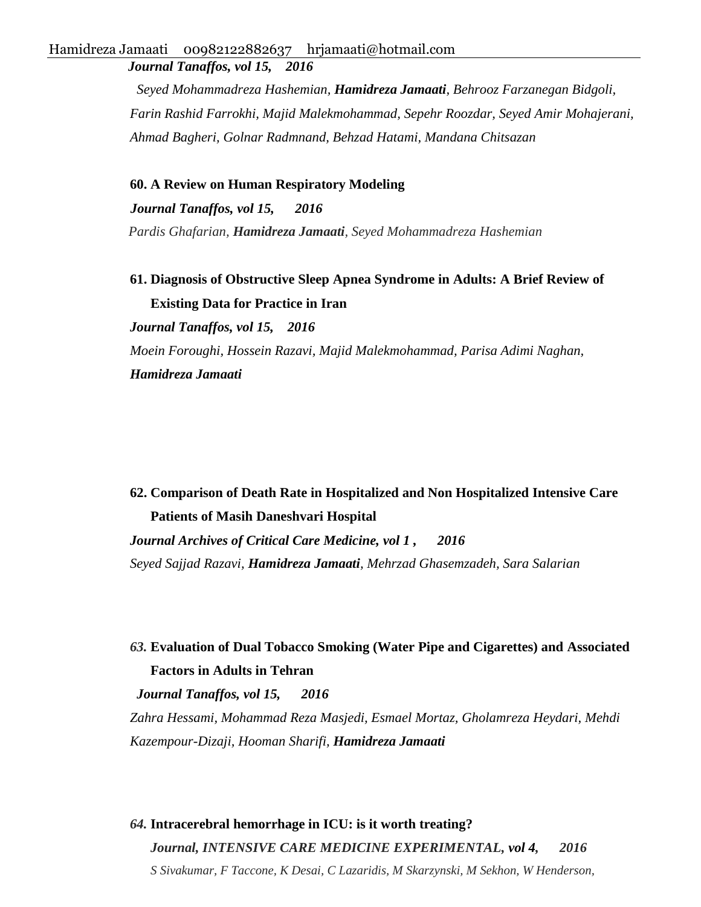*Journal Tanaffos, vol 15, 2016* 

*Seyed Mohammadreza Hashemian, Hamidreza Jamaati, Behrooz Farzanegan Bidgoli, Farin Rashid Farrokhi, Majid Malekmohammad, Sepehr Roozdar, Seyed Amir Mohajerani, Ahmad Bagheri, Golnar Radmnand, Behzad Hatami, Mandana Chitsazan* 

**60. [A Review on Human Respiratory Modeling](https://www.ncbi.nlm.nih.gov/pmc/articles/PMC5127616/)**

 *Journal Tanaffos, vol 15, 2016 Pardis Ghafarian, Hamidreza Jamaati, Seyed Mohammadreza Hashemian*

**61. [Diagnosis of Obstructive Sleep Apnea Syndrome in Adults: A Brief Review of](https://www.ncbi.nlm.nih.gov/pmc/articles/PMC5127617/)  [Existing Data for Practice in Iran](https://www.ncbi.nlm.nih.gov/pmc/articles/PMC5127617/)**

*Journal Tanaffos, vol 15, 2016 Moein Foroughi, Hossein Razavi, Majid Malekmohammad, Parisa Adimi Naghan, Hamidreza Jamaati*

**62. [Comparison of Death Rate in Hospitalized and Non Hospitalized Intensive Care](http://accmedicine.com/en/articles/8300.html)  [Patients of Masih Daneshvari Hospital](http://accmedicine.com/en/articles/8300.html)** *Journal Archives of Critical Care Medicine, vol 1 , 2016 Seyed Sajjad Razavi, Hamidreza Jamaati, Mehrzad Ghasemzadeh, Sara Salarian*

*63.* **[Evaluation of Dual Tobacco Smoking \(Water Pipe and Cigarettes\) and Associated](https://www.ncbi.nlm.nih.gov/pmc/articles/PMC5304963/)  [Factors in Adults in Tehran](https://www.ncbi.nlm.nih.gov/pmc/articles/PMC5304963/)**

*Journal Tanaffos, vol 15, 2016* 

*Zahra Hessami, Mohammad Reza Masjedi, Esmael Mortaz, Gholamreza Heydari, Mehdi Kazempour-Dizaji, Hooman Sharifi, Hamidreza Jamaati* 

*64.* **[Intracerebral hemorrhage in ICU: is it worth treating?](https://boa.unimib.it/handle/10281/133116)** *Journal, INTENSIVE CARE MEDICINE EXPERIMENTAL, vol 4, 2016 S Sivakumar, F Taccone, K Desai, C Lazaridis, M Skarzynski, M Sekhon, W Henderson,*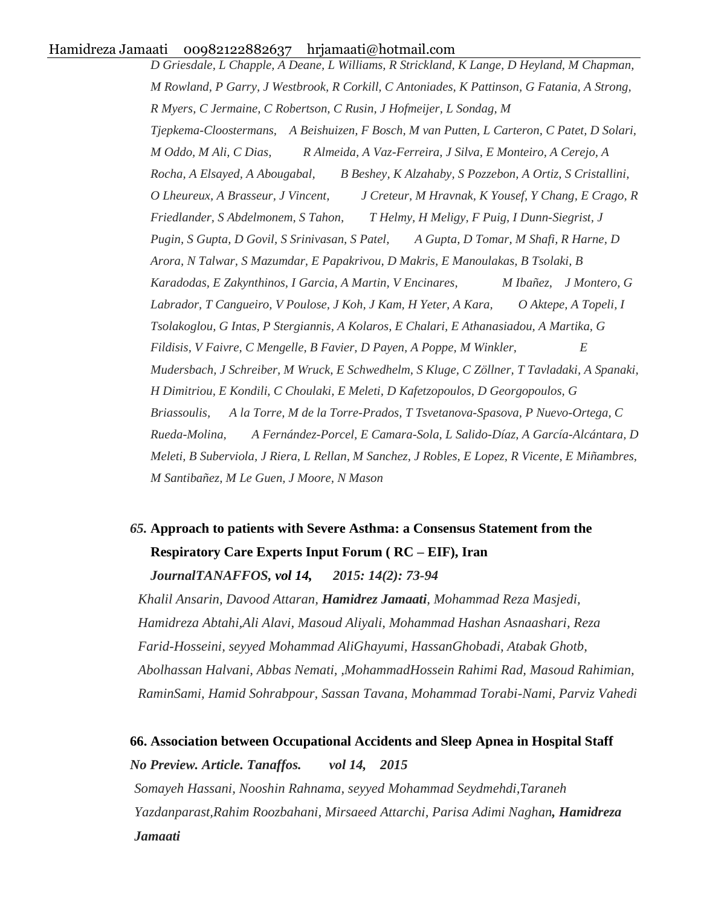*D Griesdale, L Chapple, A Deane, L Williams, R Strickland, K Lange, D Heyland, M Chapman, M Rowland, P Garry, J Westbrook, R Corkill, C Antoniades, K Pattinson, G Fatania, A Strong, R Myers, C Jermaine, C Robertson, C Rusin, J Hofmeijer, L Sondag, M Tjepkema-Cloostermans, A Beishuizen, F Bosch, M van Putten, L Carteron, C Patet, D Solari, M Oddo, M Ali, C Dias, R Almeida, A Vaz-Ferreira, J Silva, E Monteiro, A Cerejo, A Rocha, A Elsayed, A Abougabal, B Beshey, K Alzahaby, S Pozzebon, A Ortiz, S Cristallini, O Lheureux, A Brasseur, J Vincent, J Creteur, M Hravnak, K Yousef, Y Chang, E Crago, R Friedlander, S Abdelmonem, S Tahon, T Helmy, H Meligy, F Puig, I Dunn-Siegrist, J Pugin, S Gupta, D Govil, S Srinivasan, S Patel, A Gupta, D Tomar, M Shafi, R Harne, D Arora, N Talwar, S Mazumdar, E Papakrivou, D Makris, E Manoulakas, B Tsolaki, B Karadodas, E Zakynthinos, I Garcia, A Martin, V Encinares, M Ibañez, J Montero, G Labrador, T Cangueiro, V Poulose, J Koh, J Kam, H Yeter, A Kara, O Aktepe, A Topeli, I Tsolakoglou, G Intas, P Stergiannis, A Kolaros, E Chalari, E Athanasiadou, A Martika, G Fildisis, V Faivre, C Mengelle, B Favier, D Payen, A Poppe, M Winkler, E Mudersbach, J Schreiber, M Wruck, E Schwedhelm, S Kluge, C Zöllner, T Tavladaki, A Spanaki, H Dimitriou, E Kondili, C Choulaki, E Meleti, D Kafetzopoulos, D Georgopoulos, G Briassoulis, A la Torre, M de la Torre-Prados, T Tsvetanova-Spasova, P Nuevo-Ortega, C Rueda-Molina, A Fernández-Porcel, E Camara-Sola, L Salido-Díaz, A García-Alcántara, D Meleti, B Suberviola, J Riera, L Rellan, M Sanchez, J Robles, E Lopez, R Vicente, E Miñambres, M Santibañez, M Le Guen, J Moore, N Mason*

# *65.* **Approach to patients with Severe Asthma: a Consensus Statement from the Respiratory Care Experts Input Forum ( RC – EIF), Iran** *JournalTANAFFOS, vol 14, 2015: 14(2): 73-94*

*Khalil Ansarin, Davood Attaran, Hamidrez Jamaati, Mohammad Reza Masjedi, Hamidreza Abtahi,Ali Alavi, Masoud Aliyali, Mohammad Hashan Asnaashari, Reza Farid-Hosseini, seyyed Mohammad AliGhayumi, HassanGhobadi, Atabak Ghotb, Abolhassan Halvani, Abbas Nemati, ,MohammadHossein Rahimi Rad, Masoud Rahimian, RaminSami, Hamid Sohrabpour, Sassan Tavana, Mohammad Torabi-Nami, Parviz Vahedi* 

# **66. Association between Occupational Accidents and Sleep Apnea in Hospital Staff** *No Preview. Article. Tanaffos. vol 14, 2015 Somayeh Hassani, Nooshin Rahnama, seyyed Mohammad Seydmehdi,Taraneh Yazdanparast,Rahim Roozbahani, Mirsaeed Attarchi, Parisa Adimi Naghan, Hamidreza Jamaati*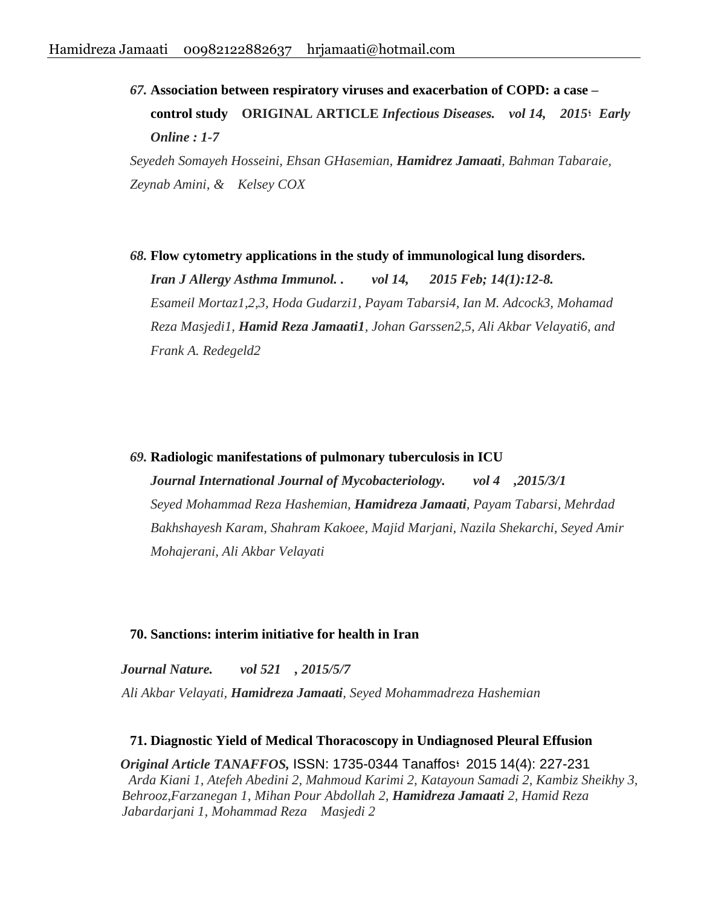*67.* **Association between respiratory viruses and exacerbation of COPD: a case – control study ORIGINAL ARTICLE** *Infectious Diseases. vol 14, 2015***؛** *Early Online : 1-7 Seyedeh Somayeh Hosseini, Ehsan GHasemian, Hamidrez Jamaati, Bahman Tabaraie, Zeynab Amini, & Kelsey COX*

*68.* **Flow cytometry applications in the study of immunological lung disorders.** *Iran J Allergy Asthma Immunol. . vol 14, 2015 Feb; 14(1):12-8. Esameil Mortaz1,2,3, Hoda Gudarzi1, Payam Tabarsi4, Ian M. Adcock3, Mohamad Reza Masjedi1, Hamid Reza Jamaati1, Johan Garssen2,5, Ali Akbar Velayati6, and Frank A. Redegeld2*

*69.* **[Radiologic manifestations of pulmonary tuberculosis in ICU](http://www.sciencedirect.com/science/article/pii/S2212553114002027)**

*Journal International Journal of Mycobacteriology. vol 4 ,2015/3/1 Seyed Mohammad Reza Hashemian, Hamidreza Jamaati, Payam Tabarsi, Mehrdad Bakhshayesh Karam, Shahram Kakoee, Majid Marjani, Nazila Shekarchi, Seyed Amir Mohajerani, Ali Akbar Velayati*

#### **70. [Sanctions: interim initiative for health in Iran](http://www.nature.com/nature/journal/v521/n7550/full/521032e.html)**

 *Journal Nature. vol 521 , 2015/5/7 Ali Akbar Velayati, Hamidreza Jamaati, Seyed Mohammadreza Hashemian*

**71. Diagnostic Yield of Medical Thoracoscopy in Undiagnosed Pleural Effusion**  *Original Article TANAFFOS,* ISSN: 1735-0344 Tanaffos: 2015 14(4): 227-231 *Arda Kiani 1, Atefeh Abedini 2, Mahmoud Karimi 2, Katayoun Samadi 2, Kambiz Sheikhy 3, Behrooz,Farzanegan 1, Mihan Pour Abdollah 2, Hamidreza Jamaati 2, Hamid Reza Jabardarjani 1, Mohammad Reza Masjedi 2*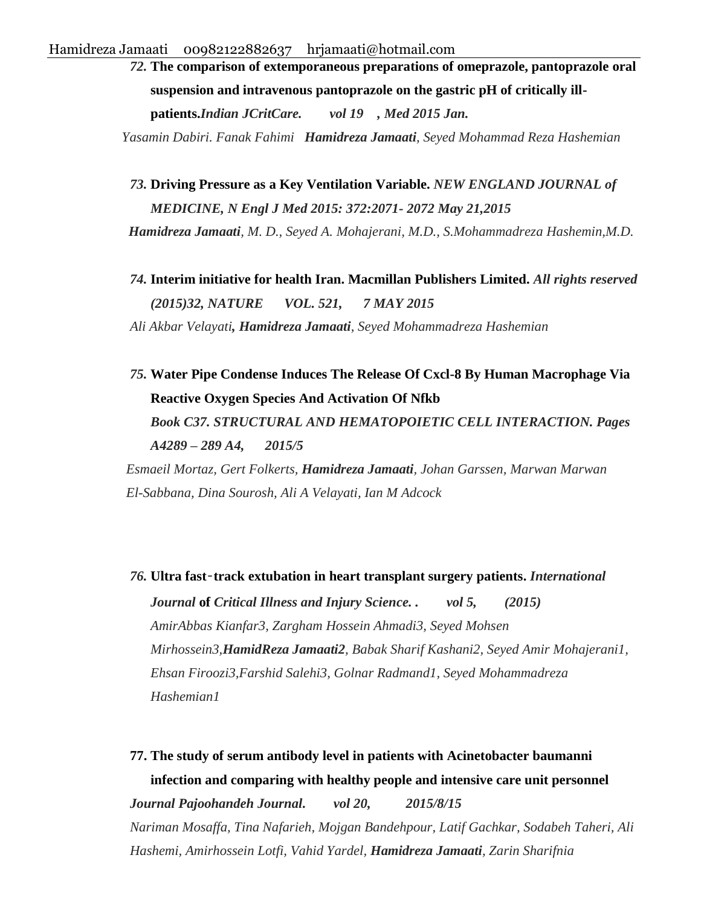*72.* **The comparison of extemporaneous preparations of omeprazole, pantoprazole oral suspension and intravenous pantoprazole on the gastric pH of critically illpatients.***Indian JCritCare. vol 19 , Med 2015 Jan. Yasamin Dabiri. Fanak Fahimi Hamidreza Jamaati, Seyed Mohammad Reza Hashemian*

*73.* **Driving Pressure as a Key Ventilation Variable.** *NEW ENGLAND JOURNAL of MEDICINE, N Engl J Med 2015: 372:2071- 2072 May 21,2015*

*Hamidreza Jamaati, M. D., Seyed A. Mohajerani, M.D., S.Mohammadreza Hashemin,M.D.*

*74.* **Interim initiative for health Iran. Macmillan Publishers Limited.** *All rights reserved (2015)32, NATURE VOL. 521, 7 MAY 2015*

*Ali Akbar Velayati, Hamidreza Jamaati, Seyed Mohammadreza Hashemian*

*75.* **[Water Pipe Condense Induces The Release Of Cxcl-8 By Human Macrophage Via](http://www.atsjournals.org/doi/pdf/10.1164/ajrccm-conference.2015.191.1_MeetingAbstracts.A4289)  [Reactive Oxygen Species And Activation Of Nfkb](http://www.atsjournals.org/doi/pdf/10.1164/ajrccm-conference.2015.191.1_MeetingAbstracts.A4289)** *Book C37. STRUCTURAL AND HEMATOPOIETIC CELL INTERACTION. Pages A4289 – 289 A4, 2015/5*

*Esmaeil Mortaz, Gert Folkerts, Hamidreza Jamaati, Johan Garssen, Marwan Marwan El-Sabbana, Dina Sourosh, Ali A Velayati, Ian M Adcock*

*76.* **Ultra fast**‑**track extubation in heart transplant surgery patients.** *International Journal* **of** *Critical Illness and Injury Science. . vol 5, (2015)* *AmirAbbas Kianfar3, Zargham Hossein Ahmadi3, Seyed Mohsen Mirhossein3,HamidReza Jamaati2, Babak Sharif Kashani2, Seyed Amir Mohajerani1, Ehsan Firoozi3,Farshid Salehi3, Golnar Radmand1, Seyed Mohammadreza Hashemian1*

**77. [The study of serum antibody level in patients with Acinetobacter baumanni](http://pajoohande.sbmu.ac.ir/browse.php?a_code=A-10-1-913&sid=1&slc_lang=en)  [infection and comparing with healthy people and intensive care unit personnel](http://pajoohande.sbmu.ac.ir/browse.php?a_code=A-10-1-913&sid=1&slc_lang=en)** *Journal Pajoohandeh Journal. vol 20, 2015/8/15 Nariman Mosaffa, Tina Nafarieh, Mojgan Bandehpour, Latif Gachkar, Sodabeh Taheri, Ali Hashemi, Amirhossein Lotfi, Vahid Yardel, Hamidreza Jamaati, Zarin Sharifnia*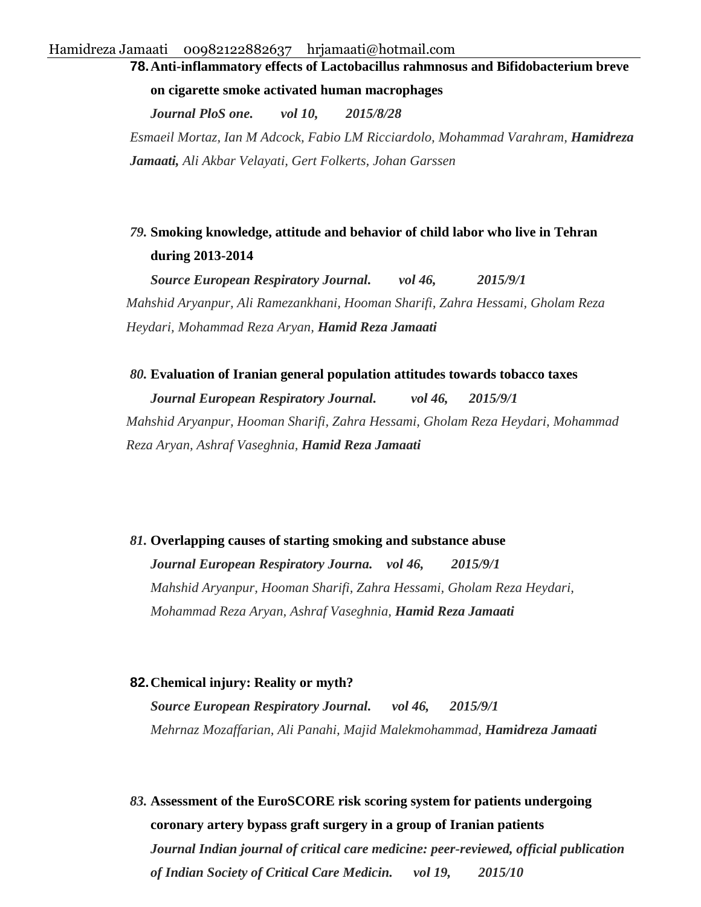## **78.[Anti-inflammatory effects of Lactobacillus rahmnosus and Bifidobacterium breve](http://journals.plos.org/plosone/article?id=10.1371/journal.pone.0136455)**

**[on cigarette smoke activated human macrophages](http://journals.plos.org/plosone/article?id=10.1371/journal.pone.0136455)**

*Journal PloS one. vol 10, 2015/8/28 Esmaeil Mortaz, Ian M Adcock, Fabio LM Ricciardolo, Mohammad Varahram, Hamidreza Jamaati, Ali Akbar Velayati, Gert Folkerts, Johan Garssen*

### *79.* **[Smoking knowledge, attitude and behavior of child labor who live in Tehran](http://erj.ersjournals.com/content/46/suppl_59/PA1193.abstract)  [during 2013-2014](http://erj.ersjournals.com/content/46/suppl_59/PA1193.abstract)**

*Source European Respiratory Journal. vol 46, 2015/9/1 Mahshid Aryanpur, Ali Ramezankhani, Hooman Sharifi, Zahra Hessami, Gholam Reza Heydari, Mohammad Reza Aryan, Hamid Reza Jamaati*

#### *80.* **[Evaluation of Iranian general population attitudes towards tobacco taxes](http://erj.ersjournals.com/content/46/suppl_59/PA4124.abstract)**

*Journal European Respiratory Journal. vol 46, 2015/9/1 Mahshid Aryanpur, Hooman Sharifi, Zahra Hessami, Gholam Reza Heydari, Mohammad Reza Aryan, Ashraf Vaseghnia, Hamid Reza Jamaati*

## *81.* **[Overlapping causes of starting smoking and substance abuse](http://erj.ersjournals.com/content/46/suppl_59/PA1189.abstract)**

*Journal European Respiratory Journa. vol 46, 2015/9/1 Mahshid Aryanpur, Hooman Sharifi, Zahra Hessami, Gholam Reza Heydari, Mohammad Reza Aryan, Ashraf Vaseghnia, Hamid Reza Jamaati*

#### **82.[Chemical injury: Reality or myth?](http://erj.ersjournals.com/content/46/suppl_59/PA3693.abstract)**

*Source European Respiratory Journal. vol 46, 2015/9/1 Mehrnaz Mozaffarian, Ali Panahi, Majid Malekmohammad, Hamidreza Jamaati* 

*83.* **[Assessment of the EuroSCORE risk scoring system for patients undergoing](https://www.ncbi.nlm.nih.gov/pmc/articles/PMC4637956/)  [coronary artery bypass graft surgery in a group of Iranian patients](https://www.ncbi.nlm.nih.gov/pmc/articles/PMC4637956/)** *Journal Indian journal of critical care medicine: peer-reviewed, official publication of Indian Society of Critical Care Medicin. vol 19, 2015/10*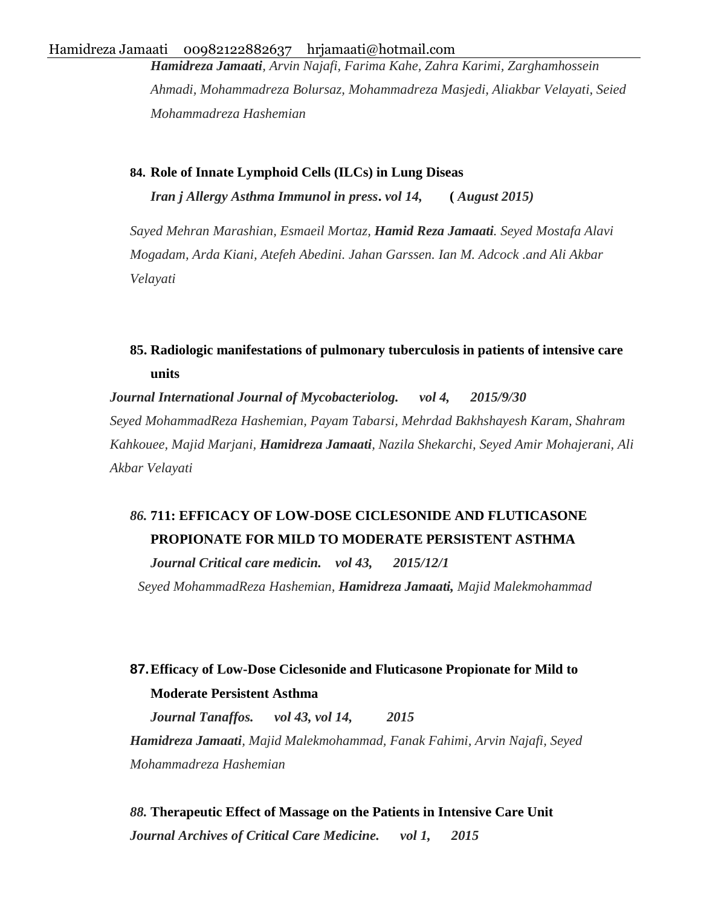*Hamidreza Jamaati, Arvin Najafi, Farima Kahe, Zahra Karimi, Zarghamhossein Ahmadi, Mohammadreza Bolursaz, Mohammadreza Masjedi, Aliakbar Velayati, Seied Mohammadreza Hashemian*

**84. Role of Innate Lymphoid Cells (ILCs) in Lung Diseas**  *Iran j Allergy Asthma Immunol in press***.** *vol 14,* **(** *August 2015)*

*Sayed Mehran Marashian, Esmaeil Mortaz, Hamid Reza Jamaati. Seyed Mostafa Alavi Mogadam, Arda Kiani, Atefeh Abedini. Jahan Garssen. Ian M. Adcock .and Ali Akbar Velayati*

### **85. [Radiologic manifestations of pulmonary tuberculosis in patients of intensive care](http://www.sciencedirect.com/science/article/pii/S2212553115000850)  [units](http://www.sciencedirect.com/science/article/pii/S2212553115000850)**

*Journal International Journal of Mycobacteriolog. vol 4, 2015/9/30 Seyed MohammadReza Hashemian, Payam Tabarsi, Mehrdad Bakhshayesh Karam, Shahram Kahkouee, Majid Marjani, Hamidreza Jamaati, Nazila Shekarchi, Seyed Amir Mohajerani, Ali Akbar Velayati*

# *86.* **[711: EFFICACY OF LOW-DOSE CICLESONIDE AND FLUTICASONE](http://journals.lww.com/ccmjournal/Fulltext/2015/12001/711___EFFICACY_OF_LOW_DOSE_CICLESONIDE_AND.714.aspx) [PROPIONATE FOR MILD TO MODERATE PERSISTENT ASTHMA](http://journals.lww.com/ccmjournal/Fulltext/2015/12001/711___EFFICACY_OF_LOW_DOSE_CICLESONIDE_AND.714.aspx)**

*Journal Critical care medicin. vol 43, 2015/12/1 Seyed MohammadReza Hashemian, Hamidreza Jamaati, Majid Malekmohammad*

# **87.[Efficacy of Low-Dose Ciclesonide and Fluticasone Propionate for Mild to](https://www.ncbi.nlm.nih.gov/pmc/articles/PMC4515324/)  [Moderate Persistent Asthma](https://www.ncbi.nlm.nih.gov/pmc/articles/PMC4515324/)**

*Journal Tanaffos. vol 43, vol 14, 2015 Hamidreza Jamaati, Majid Malekmohammad, Fanak Fahimi, Arvin Najafi, Seyed Mohammadreza Hashemian*

*88.* **[Therapeutic Effect of Massage on the Patients in Intensive Care Unit](http://accmedicine.com/en/articles/519.html)** *Journal Archives of Critical Care Medicine. vol 1, 2015*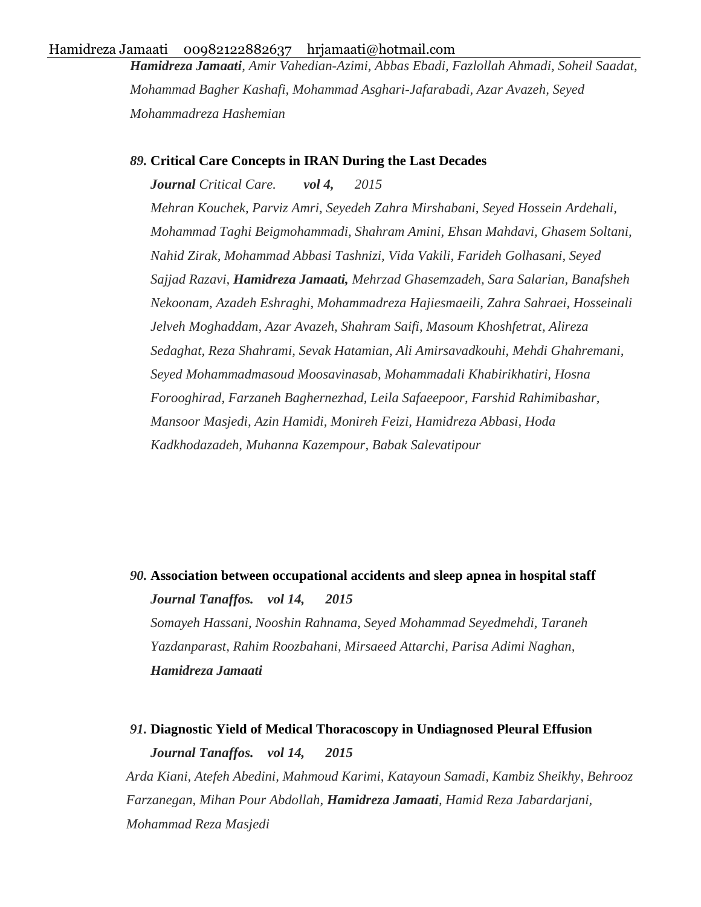*Hamidreza Jamaati, Amir Vahedian-Azimi, Abbas Ebadi, Fazlollah Ahmadi, Soheil Saadat, Mohammad Bagher Kashafi, Mohammad Asghari-Jafarabadi, Azar Avazeh, Seyed Mohammadreza Hashemian*

#### *89.* **[Critical Care Concepts in IRAN During the Last Decades](http://accmedicine.com/en/issue/120.html)**

*Journal Critical Care. vol 4, 2015* 

*Mehran Kouchek, Parviz Amri, Seyedeh Zahra Mirshabani, Seyed Hossein Ardehali, Mohammad Taghi Beigmohammadi, Shahram Amini, Ehsan Mahdavi, Ghasem Soltani, Nahid Zirak, Mohammad Abbasi Tashnizi, Vida Vakili, Farideh Golhasani, Seyed Sajjad Razavi, Hamidreza Jamaati, Mehrzad Ghasemzadeh, Sara Salarian, Banafsheh Nekoonam, Azadeh Eshraghi, Mohammadreza Hajiesmaeili, Zahra Sahraei, Hosseinali Jelveh Moghaddam, Azar Avazeh, Shahram Saifi, Masoum Khoshfetrat, Alireza Sedaghat, Reza Shahrami, Sevak Hatamian, Ali Amirsavadkouhi, Mehdi Ghahremani, Seyed Mohammadmasoud Moosavinasab, Mohammadali Khabirikhatiri, Hosna Forooghirad, Farzaneh Baghernezhad, Leila Safaeepoor, Farshid Rahimibashar, Mansoor Masjedi, Azin Hamidi, Monireh Feizi, Hamidreza Abbasi, Hoda Kadkhodazadeh, Muhanna Kazempour, Babak Salevatipour*

*90.* **[Association between occupational accidents and sleep apnea in hospital staff](https://www.ncbi.nlm.nih.gov/pmc/articles/PMC4745189/)** *Journal Tanaffos. vol 14, 2015 Somayeh Hassani, Nooshin Rahnama, Seyed Mohammad Seyedmehdi, Taraneh Yazdanparast, Rahim Roozbahani, Mirsaeed Attarchi, Parisa Adimi Naghan, Hamidreza Jamaati*

*91.* **[Diagnostic Yield of Medical Thoracoscopy in Undiagnosed Pleural Effusion](https://www.ncbi.nlm.nih.gov/pmc/articles/PMC4841988/)** *Journal Tanaffos. vol 14, 2015 Arda Kiani, Atefeh Abedini, Mahmoud Karimi, Katayoun Samadi, Kambiz Sheikhy, Behrooz Farzanegan, Mihan Pour Abdollah, Hamidreza Jamaati, Hamid Reza Jabardarjani, Mohammad Reza Masjedi*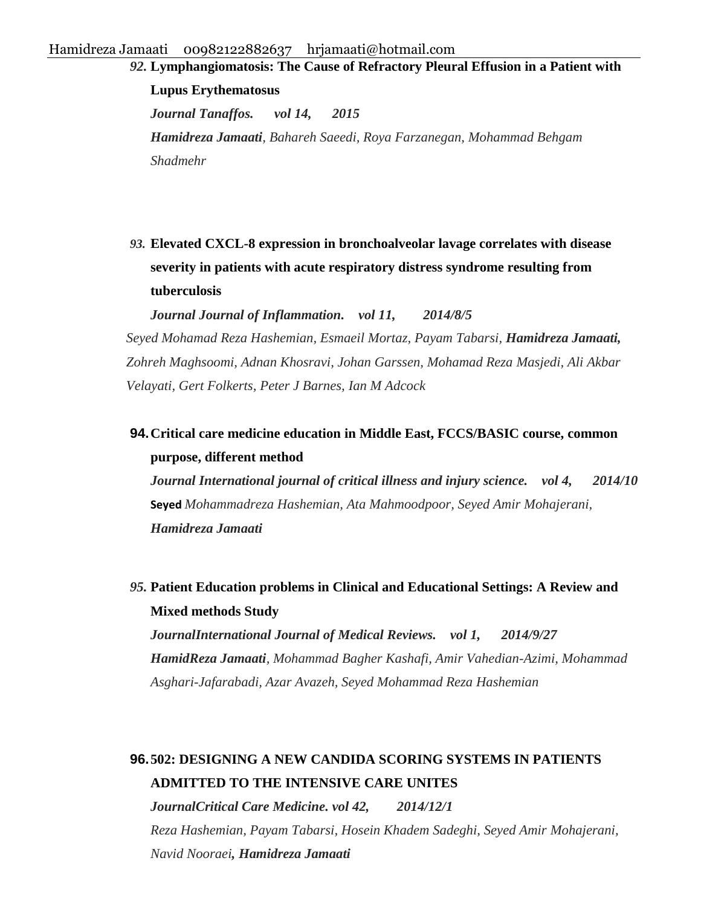*92.* **[Lymphangiomatosis: The Cause of Refractory Pleural Effusion in a Patient with](https://www.ncbi.nlm.nih.gov/pmc/articles/PMC4629431/)  [Lupus Erythematosus](https://www.ncbi.nlm.nih.gov/pmc/articles/PMC4629431/)** *Journal Tanaffos. vol 14, 2015 Hamidreza Jamaati, Bahareh Saeedi, Roya Farzanegan, Mohammad Behgam Shadmehr*

*93.* **[Elevated CXCL-8 expression in bronchoalveolar lavage correlates with disease](https://journal-inflammation.biomedcentral.com/articles/10.1186/1476-9255-11-21)  [severity in patients with acute respiratory distress syndrome resulting from](https://journal-inflammation.biomedcentral.com/articles/10.1186/1476-9255-11-21)  [tuberculosis](https://journal-inflammation.biomedcentral.com/articles/10.1186/1476-9255-11-21)** 

*Journal Journal of Inflammation. vol 11, 2014/8/5 Seyed Mohamad Reza Hashemian, Esmaeil Mortaz, Payam Tabarsi, Hamidreza Jamaati, Zohreh Maghsoomi, Adnan Khosravi, Johan Garssen, Mohamad Reza Masjedi, Ali Akbar Velayati, Gert Folkerts, Peter J Barnes, Ian M Adcock*

**94.[Critical care medicine education in Middle East, FCCS/BASIC course, common](https://www.ncbi.nlm.nih.gov/pmc/articles/PMC4296337/)  [purpose, different method](https://www.ncbi.nlm.nih.gov/pmc/articles/PMC4296337/)**

*Journal International journal of critical illness and injury science. vol 4, 2014/10*  **Seyed** *Mohammadreza Hashemian, Ata Mahmoodpoor, Seyed Amir Mohajerani, Hamidreza Jamaati* 

*95.* **[Patient Education problems in Clinical and Educational Settings: A Review and](http://journals.bmsu.ac.ir/ijmr/index.php/ijmr/article/view/54)  [Mixed methods Study](http://journals.bmsu.ac.ir/ijmr/index.php/ijmr/article/view/54)**

*JournalInternational Journal of Medical Reviews. vol 1, 2014/9/27 HamidReza Jamaati, Mohammad Bagher Kashafi, Amir Vahedian-Azimi, Mohammad Asghari-Jafarabadi, Azar Avazeh, Seyed Mohammad Reza Hashemian*

# **96.[502: DESIGNING A NEW CANDIDA SCORING SYSTEMS IN PATIENTS](http://journals.lww.com/ccmjournal/Fulltext/2014/12001/502___DESIGNING_A_NEW_CANDIDA_SCORING_SYSTEMS_IN.469.aspx)  [ADMITTED TO THE INTENSIVE CARE UNITES](http://journals.lww.com/ccmjournal/Fulltext/2014/12001/502___DESIGNING_A_NEW_CANDIDA_SCORING_SYSTEMS_IN.469.aspx)**

*JournalCritical Care Medicine. vol 42, 2014/12/1 Reza Hashemian, Payam Tabarsi, Hosein Khadem Sadeghi, Seyed Amir Mohajerani, Navid Nooraei, Hamidreza Jamaati*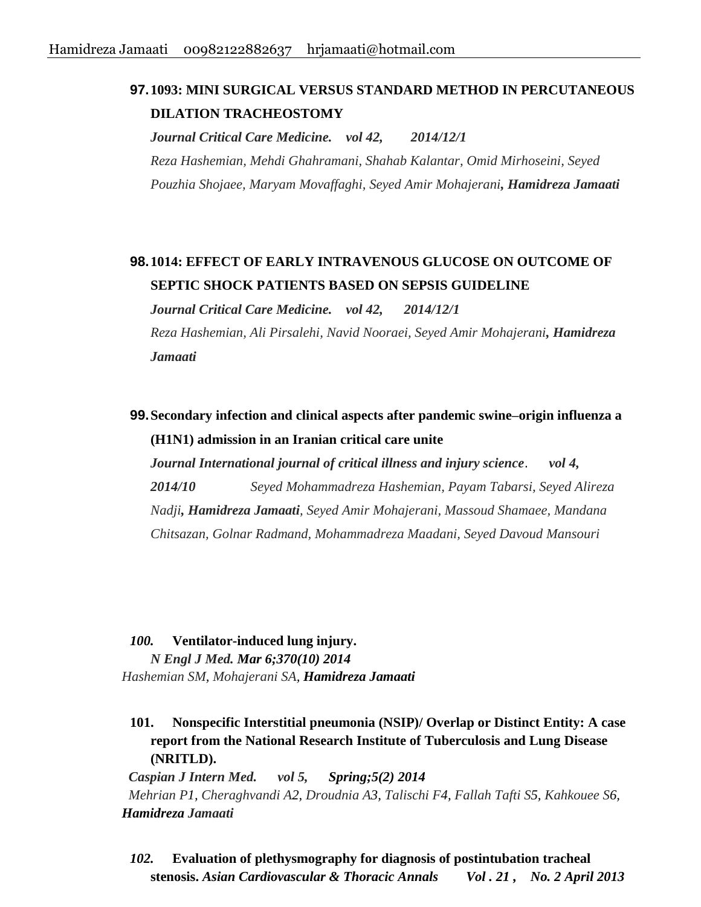### **97.[1093: MINI SURGICAL VERSUS STANDARD METHOD IN PERCUTANEOUS](http://journals.lww.com/ccmjournal/Fulltext/2014/12001/1093___MINI_SURGICAL_VERSUS_STANDARD_METHOD_IN.1060.aspx)  [DILATION TRACHEOSTOMY](http://journals.lww.com/ccmjournal/Fulltext/2014/12001/1093___MINI_SURGICAL_VERSUS_STANDARD_METHOD_IN.1060.aspx)**

*Journal Critical Care Medicine. vol 42, 2014/12/1 Reza Hashemian, Mehdi Ghahramani, Shahab Kalantar, Omid Mirhoseini, Seyed Pouzhia Shojaee, Maryam Movaffaghi, Seyed Amir Mohajerani, Hamidreza Jamaati*

## **98.[1014: EFFECT OF EARLY INTRAVENOUS GLUCOSE ON OUTCOME OF](http://journals.lww.com/ccmjournal/Fulltext/2014/12001/1014___EFFECT_OF_EARLY_INTRAVENOUS_GLUCOSE_ON.981.aspx)  [SEPTIC SHOCK PATIENTS BASED ON SEPSIS GUIDELINE](http://journals.lww.com/ccmjournal/Fulltext/2014/12001/1014___EFFECT_OF_EARLY_INTRAVENOUS_GLUCOSE_ON.981.aspx)**

*Journal Critical Care Medicine. vol 42, 2014/12/1 Reza Hashemian, Ali Pirsalehi, Navid Nooraei, Seyed Amir Mohajerani, Hamidreza Jamaati* 

**99.[Secondary infection and clinical aspects after pandemic swine–origin influenza a](https://www.ncbi.nlm.nih.gov/pmc/articles/PMC4296334/)  [\(H1N1\) admission in an Iranian critical care unite](https://www.ncbi.nlm.nih.gov/pmc/articles/PMC4296334/)**

*Journal International journal of critical illness and injury science*. *vol 4, 2014/10 Seyed Mohammadreza Hashemian, Payam Tabarsi, Seyed Alireza Nadji, Hamidreza Jamaati, Seyed Amir Mohajerani, Massoud Shamaee, Mandana Chitsazan, Golnar Radmand, Mohammadreza Maadani, Seyed Davoud Mansouri*

*100.* **Ventilator-induced lung injury.**  *N Engl J Med. Mar 6;370(10) 2014 [Hashemian SM,](http://www.ncbi.nlm.nih.gov/pubmed?term=Hashemian%20SM%5BAuthor%5D&cauthor=true&cauthor_uid=24597885) [Mohajerani SA,](http://www.ncbi.nlm.nih.gov/pubmed?term=Mohajerani%20SA%5BAuthor%5D&cauthor=true&cauthor_uid=24597885) Hamidreza Jamaati*

**101. Nonspecific Interstitial pneumonia (NSIP)/ Overlap or Distinct Entity: A case report from the National Research Institute of Tuberculosis and Lung Disease (NRITLD).**

*Caspian J Intern Med. vol 5, Spring;5(2) 2014 [Mehrian P1](http://www.ncbi.nlm.nih.gov/pubmed?term=Mehrian%20P%5BAuthor%5D&cauthor=true&cauthor_uid=24778789), [Cheraghvandi A2](http://www.ncbi.nlm.nih.gov/pubmed?term=Cheraghvandi%20A%5BAuthor%5D&cauthor=true&cauthor_uid=24778789), [Droudnia A3](http://www.ncbi.nlm.nih.gov/pubmed?term=Droudnia%20A%5BAuthor%5D&cauthor=true&cauthor_uid=24778789), [Talischi F4](http://www.ncbi.nlm.nih.gov/pubmed?term=Talischi%20F%5BAuthor%5D&cauthor=true&cauthor_uid=24778789), [Fallah Tafti S5](http://www.ncbi.nlm.nih.gov/pubmed?term=Fallah%20Tafti%20S%5BAuthor%5D&cauthor=true&cauthor_uid=24778789), [Kahkouee S6](http://www.ncbi.nlm.nih.gov/pubmed?term=Kahkouee%20S%5BAuthor%5D&cauthor=true&cauthor_uid=24778789), Hamidreza [Jamaati](http://www.ncbi.nlm.nih.gov/pubmed?term=Jamaati%20H%5BAuthor%5D&cauthor=true&cauthor_uid=24778789)*

*102.* **Evaluation of plethysmography for diagnosis of postintubation tracheal stenosis.** *Asian Cardiovascular & Thoracic Annals Vol . 21 , No. 2 April 2013*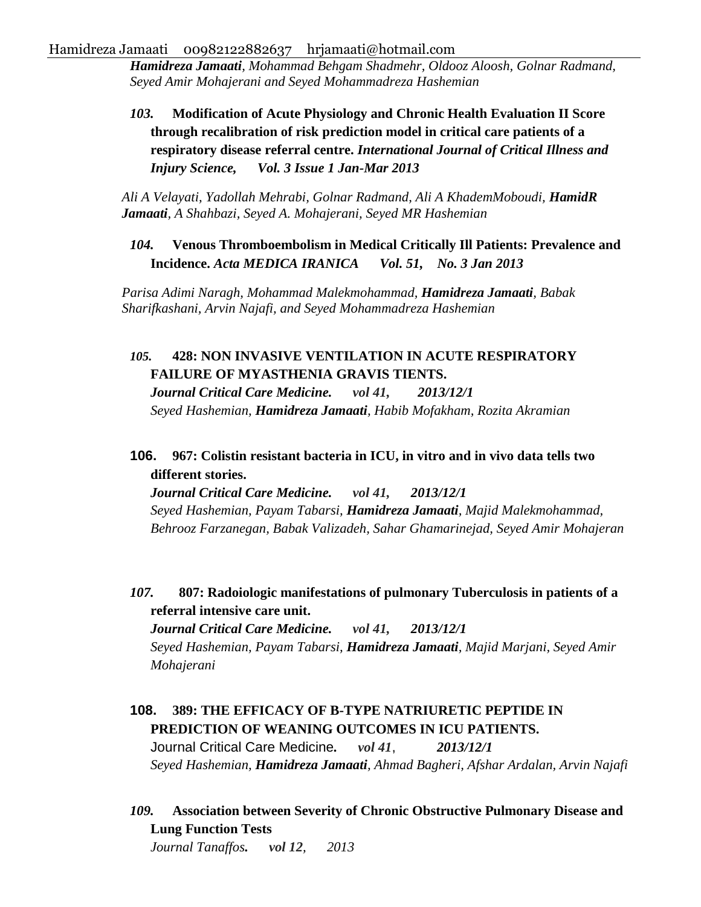*Hamidreza Jamaati, Mohammad Behgam Shadmehr, Oldooz Aloosh, Golnar Radmand, Seyed Amir Mohajerani and Seyed Mohammadreza Hashemian*

*103.* **Modification of Acute Physiology and Chronic Health Evaluation II Score through recalibration of risk prediction model in critical care patients of a respiratory disease referral centre.** *International Journal of Critical Illness and Injury Science, Vol. 3 Issue 1 Jan-Mar 2013* 

*Ali A Velayati, Yadollah Mehrabi, Golnar Radmand, Ali A KhademMoboudi, HamidR Jamaati, A Shahbazi, Seyed A. Mohajerani, Seyed MR Hashemian*

*104.* **Venous Thromboembolism in Medical Critically Ill Patients: Prevalence and Incidence.** *Acta MEDICA IRANICA Vol. 51, No. 3 Jan 2013*

*Parisa Adimi Naragh, Mohammad Malekmohammad, Hamidreza Jamaati, Babak Sharifkashani, Arvin Najafi, and Seyed Mohammadreza Hashemian* 

### *105.* **[428: NON INVASIVE VENTILATION IN ACUTE RESPIRATORY](http://journals.lww.com/ccmjournal/Abstract/2013/12001/428___NON_INVASIVE_VENTILATION_IN_ACUTE.390.aspx)  [FAILURE OF MYASTHENIA GRAVIS TIENTS.](http://journals.lww.com/ccmjournal/Abstract/2013/12001/428___NON_INVASIVE_VENTILATION_IN_ACUTE.390.aspx)**

*Journal Critical Care Medicine. vol 41, 2013/12/1 Seyed Hashemian, Hamidreza Jamaati, Habib Mofakham, Rozita Akramian*

**106. [967: Colistin resistant bacteria in ICU, in vitro and in vivo data tells two](http://journals.lww.com/ccmjournal/Abstract/2013/12001/967___Colistin_resistant_bacteria_in_ICU,_in_vitro.923.aspx)  [different stories.](http://journals.lww.com/ccmjournal/Abstract/2013/12001/967___Colistin_resistant_bacteria_in_ICU,_in_vitro.923.aspx)** 

*Journal Critical Care Medicine. vol 41, 2013/12/1 Seyed Hashemian, Payam Tabarsi, Hamidreza Jamaati, Majid Malekmohammad, Behrooz Farzanegan, Babak Valizadeh, Sahar Ghamarinejad, Seyed Amir Mohajeran*

*107.* **[807: Radoiologic manifestations of pulmonary Tuberculosis in patients of a](http://journals.lww.com/ccmjournal/Abstract/2013/12001/807___Radoiologic_manifestations_of_pulmonary.763.aspx)  [referral intensive care unit.](http://journals.lww.com/ccmjournal/Abstract/2013/12001/807___Radoiologic_manifestations_of_pulmonary.763.aspx)** 

*Journal Critical Care Medicine. vol 41, 2013/12/1 Seyed Hashemian, Payam Tabarsi, Hamidreza Jamaati, Majid Marjani, Seyed Amir Mohajerani*

- **108. [389: THE EFFICACY OF B-TYPE NATRIURETIC PEPTIDE IN](http://journals.lww.com/ccmjournal/Abstract/2013/12001/389___THE_EFFICACY_OF_B_TYPE_NATRIURETIC_PEPTIDE.351.aspx)  [PREDICTION OF WEANING OUTCOMES IN ICU PATIENTS.](http://journals.lww.com/ccmjournal/Abstract/2013/12001/389___THE_EFFICACY_OF_B_TYPE_NATRIURETIC_PEPTIDE.351.aspx)** Journal Critical Care Medicine*. vol 41*, *2013/12/1 Seyed Hashemian, Hamidreza Jamaati, Ahmad Bagheri, Afshar Ardalan, Arvin Najafi*
- *109.* **[Association between Severity of Chronic Obstructive Pulmonary Disease and](https://www.ncbi.nlm.nih.gov/pmc/articles/PMC4153230/)  [Lung Function Tests](https://www.ncbi.nlm.nih.gov/pmc/articles/PMC4153230/)**

*Journal Tanaffos. vol 12, 2013*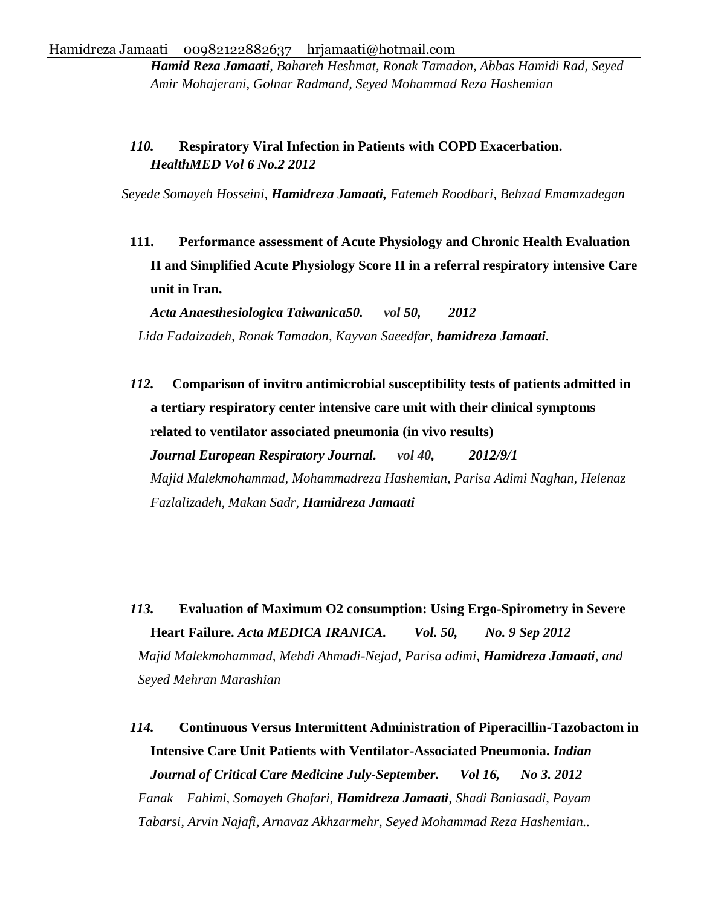*Hamid Reza Jamaati, Bahareh Heshmat, Ronak Tamadon, Abbas Hamidi Rad, Seyed Amir Mohajerani, Golnar Radmand, Seyed Mohammad Reza Hashemian*

### *110.* **Respiratory Viral Infection in Patients with COPD Exacerbation.**  *HealthMED Vol 6 No.2 2012*

*Seyede Somayeh Hosseini, Hamidreza Jamaati, Fatemeh Roodbari, Behzad Emamzadegan*

**111. Performance assessment of Acute Physiology and Chronic Health Evaluation II and Simplified Acute Physiology Score II in a referral respiratory intensive Care unit in Iran.** 

*Acta Anaesthesiologica Taiwanica50. vol 50, 2012 Lida Fadaizadeh, Ronak Tamadon, Kayvan Saeedfar, hamidreza Jamaati.*

*112.* **[Comparison of invitro antimicrobial susceptibility tests of patients admitted in](http://erj.ersjournals.com/content/40/Suppl_56/P2557.short)  [a tertiary respiratory center intensive care unit with their clinical symptoms](http://erj.ersjournals.com/content/40/Suppl_56/P2557.short)  [related to ventilator associated pneumonia \(in vivo results\)](http://erj.ersjournals.com/content/40/Suppl_56/P2557.short)** *Journal European Respiratory Journal. vol 40, 2012/9/1 Majid Malekmohammad, Mohammadreza Hashemian, Parisa Adimi Naghan, Helenaz Fazlalizadeh, Makan Sadr, Hamidreza Jamaati*

*113.* **Evaluation of Maximum O2 consumption: Using Ergo-Spirometry in Severe Heart Failure.** *Acta MEDICA IRANICA. Vol. 50, No. 9 Sep 2012 Majid Malekmohammad, Mehdi Ahmadi-Nejad, Parisa adimi, Hamidreza Jamaati, and Seyed Mehran Marashian*

*114.* **Continuous Versus Intermittent Administration of Piperacillin-Tazobactom in Intensive Care Unit Patients with Ventilator-Associated Pneumonia.** *Indian Journal of Critical Care Medicine July-September. Vol 16, No 3. 2012 Fanak Fahimi, Somayeh Ghafari, Hamidreza Jamaati, Shadi Baniasadi, Payam Tabarsi, Arvin Najafi, Arnavaz Akhzarmehr, Seyed Mohammad Reza Hashemian..*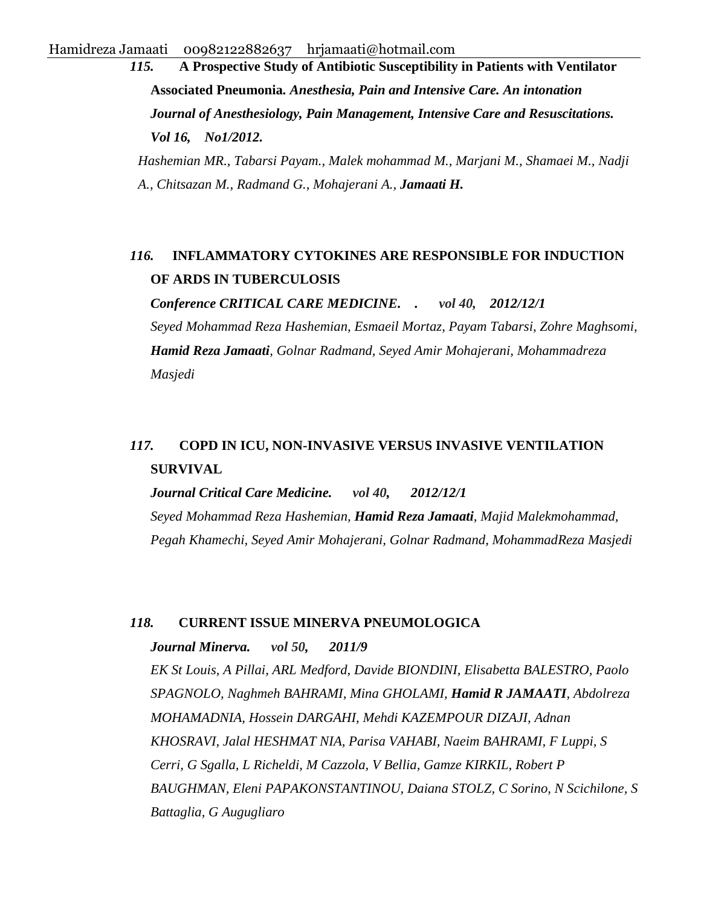*115.* **A Prospective Study of Antibiotic Susceptibility in Patients with Ventilator Associated Pneumonia***. Anesthesia, Pain and Intensive Care. An intonation Journal of Anesthesiology, Pain Management, Intensive Care and Resuscitations. Vol 16, No1/2012. Hashemian MR., Tabarsi Payam., Malek mohammad M., Marjani M., Shamaei M., Nadji A., Chitsazan M., Radmand G., Mohajerani A., Jamaati H.*

### *116.* **[INFLAMMATORY CYTOKINES ARE RESPONSIBLE FOR INDUCTION](http://scholar.google.com/scholar?cluster=5393102936786987651&hl=en&oi=scholarr)  [OF ARDS IN TUBERCULOSIS](http://scholar.google.com/scholar?cluster=5393102936786987651&hl=en&oi=scholarr)**

*Conference CRITICAL CARE MEDICINE. . vol 40, 2012/12/1* 

*Seyed Mohammad Reza Hashemian, Esmaeil Mortaz, Payam Tabarsi, Zohre Maghsomi, Hamid Reza Jamaati, Golnar Radmand, Seyed Amir Mohajerani, Mohammadreza Masjedi*

## *117.* **[COPD IN ICU, NON-INVASIVE VERSUS INVASIVE VENTILATION](http://journals.lww.com/ccmjournal/Abstract/2012/12001/463___COPD_IN_ICU,_NON_INVASIVE_VERSUS_INVASIVE.428.aspx)  [SURVIVAL](http://journals.lww.com/ccmjournal/Abstract/2012/12001/463___COPD_IN_ICU,_NON_INVASIVE_VERSUS_INVASIVE.428.aspx)**

*Journal Critical Care Medicine. vol 40, 2012/12/1 Seyed Mohammad Reza Hashemian, Hamid Reza Jamaati, Majid Malekmohammad, Pegah Khamechi, Seyed Amir Mohajerani, Golnar Radmand, MohammadReza Masjedi*

#### *118.* **[CURRENT ISSUE MINERVA PNEUMOLOGICA](http://www.minervamedica.it/en/journals/minerva-pneumologica/issue.php?cod=R16Y2011N03)**

*Journal Minerva. vol 50, 2011/9 EK St Louis, A Pillai, ARL Medford, Davide BIONDINI, Elisabetta BALESTRO, Paolo SPAGNOLO, Naghmeh BAHRAMI, Mina GHOLAMI, Hamid R JAMAATI, Abdolreza MOHAMADNIA, Hossein DARGAHI, Mehdi KAZEMPOUR DIZAJI, Adnan KHOSRAVI, Jalal HESHMAT NIA, Parisa VAHABI, Naeim BAHRAMI, F Luppi, S Cerri, G Sgalla, L Richeldi, M Cazzola, V Bellia, Gamze KIRKIL, Robert P BAUGHMAN, Eleni PAPAKONSTANTINOU, Daiana STOLZ, C Sorino, N Scichilone, S Battaglia, G Augugliaro*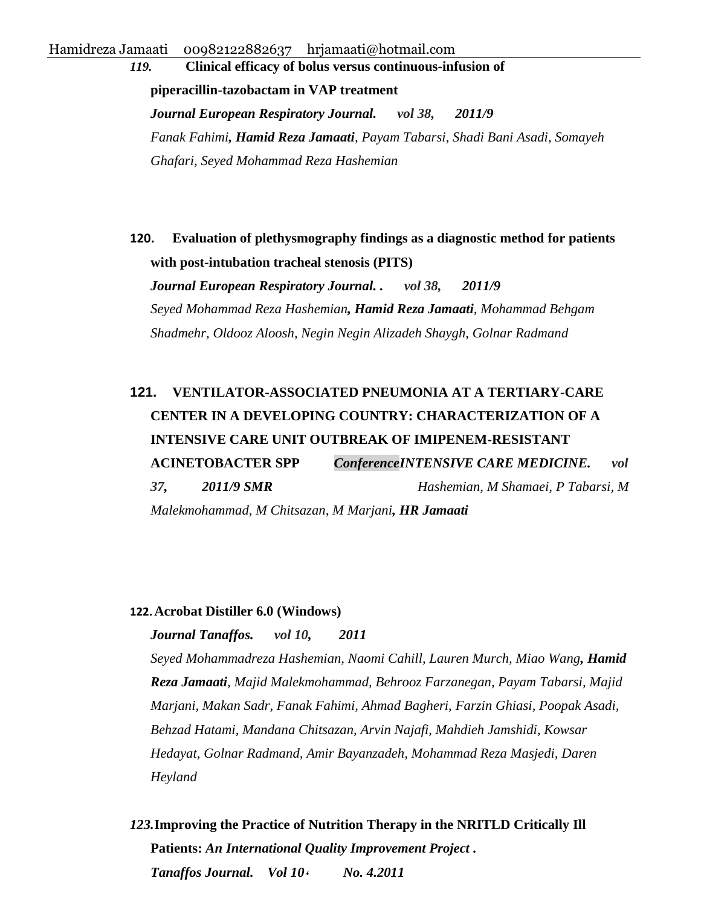*119.* **[Clinical efficacy of bolus versus continuous-infusion of](http://erj.ersjournals.com/content/38/Suppl_55/p2562.short)  [piperacillin-tazobactam in VAP treatment](http://erj.ersjournals.com/content/38/Suppl_55/p2562.short)**  *Journal European Respiratory Journal. vol 38, 2011/9 Fanak Fahimi, Hamid Reza Jamaati, Payam Tabarsi, Shadi Bani Asadi, Somayeh Ghafari, Seyed Mohammad Reza Hashemian* 

**120. [Evaluation of plethysmography findings as a diagnostic method for patients](http://erj.ersjournals.com/content/38/Suppl_55/p2413.short)  [with post-intubation tracheal stenosis \(PITS\)](http://erj.ersjournals.com/content/38/Suppl_55/p2413.short)** 

*Journal European Respiratory Journal. . vol 38, 2011/9 Seyed Mohammad Reza Hashemian, Hamid Reza Jamaati, Mohammad Behgam Shadmehr, Oldooz Aloosh, Negin Negin Alizadeh Shaygh, Golnar Radmand* 

# **121. [VENTILATOR-ASSOCIATED PNEUMONIA AT A TERTIARY-CARE](http://scholar.google.com/scholar?cluster=5640405687223991351&hl=en&oi=scholarr)  [CENTER IN A DEVELOPING COUNTRY: CHARACTERIZATION OF A](http://scholar.google.com/scholar?cluster=5640405687223991351&hl=en&oi=scholarr) [INTENSIVE CARE UNIT OUTBREAK OF IMIPENEM-RESISTANT](http://scholar.google.com/scholar?cluster=5640405687223991351&hl=en&oi=scholarr)  [ACINETOBACTER SPP](http://scholar.google.com/scholar?cluster=5640405687223991351&hl=en&oi=scholarr)** *ConferenceINTENSIVE CARE MEDICINE. vol 37, 2011/9 SMR Hashemian, M Shamaei, P Tabarsi, M Malekmohammad, M Chitsazan, M Marjani, HR Jamaati*

#### **122.[Acrobat Distiller 6.0 \(Windows\)](http://scholar.google.com/scholar?cluster=8008857284827513114&hl=en&oi=scholarr)**

#### *Journal Tanaffos. vol 10, 2011*

*Seyed Mohammadreza Hashemian, Naomi Cahill, Lauren Murch, Miao Wang, Hamid Reza Jamaati, Majid Malekmohammad, Behrooz Farzanegan, Payam Tabarsi, Majid Marjani, Makan Sadr, Fanak Fahimi, Ahmad Bagheri, Farzin Ghiasi, Poopak Asadi, Behzad Hatami, Mandana Chitsazan, Arvin Najafi, Mahdieh Jamshidi, Kowsar Hedayat, Golnar Radmand, Amir Bayanzadeh, Mohammad Reza Masjedi, Daren Heyland*

*123.***Improving the Practice of Nutrition Therapy in the NRITLD Critically Ill Patients:** *An International Quality Improvement Project . Tanaffos Journal. Vol 10***،** *No. 4.2011*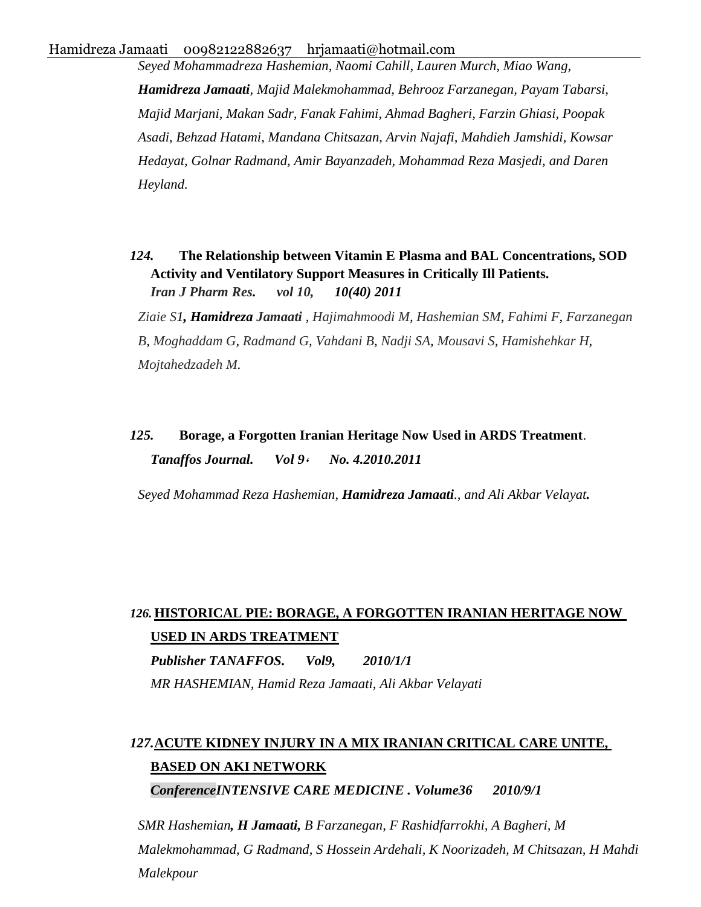*Seyed Mohammadreza Hashemian, Naomi Cahill, Lauren Murch, Miao Wang, Hamidreza Jamaati, Majid Malekmohammad, Behrooz Farzanegan, Payam Tabarsi, Majid Marjani, Makan Sadr, Fanak Fahimi, Ahmad Bagheri, Farzin Ghiasi, Poopak Asadi, Behzad Hatami, Mandana Chitsazan, Arvin Najafi, Mahdieh Jamshidi, Kowsar Hedayat, Golnar Radmand, Amir Bayanzadeh, Mohammad Reza Masjedi, and Daren Heyland.*

*124.* **The Relationship between Vitamin E Plasma and BAL Concentrations, SOD Activity and Ventilatory Support Measures in Critically Ill Patients.** *Iran J Pharm Res. vol 10, 10(40) 2011* 

*[Ziaie S1](http://www.ncbi.nlm.nih.gov/pubmed?term=Ziaie%20S%5BAuthor%5D&cauthor=true&cauthor_uid=24250434), Hamidreza [Jamaati](http://www.ncbi.nlm.nih.gov/pubmed?term=Jamaati%20H%5BAuthor%5D&cauthor=true&cauthor_uid=24250434) , [Hajimahmoodi M,](http://www.ncbi.nlm.nih.gov/pubmed?term=Hajimahmoodi%20M%5BAuthor%5D&cauthor=true&cauthor_uid=24250434) [Hashemian SM,](http://www.ncbi.nlm.nih.gov/pubmed?term=Hashemian%20SM%5BAuthor%5D&cauthor=true&cauthor_uid=24250434) [Fahimi F,](http://www.ncbi.nlm.nih.gov/pubmed?term=Fahimi%20F%5BAuthor%5D&cauthor=true&cauthor_uid=24250434) [Farzanegan](http://www.ncbi.nlm.nih.gov/pubmed?term=Farzanegan%20B%5BAuthor%5D&cauthor=true&cauthor_uid=24250434)  [B,](http://www.ncbi.nlm.nih.gov/pubmed?term=Farzanegan%20B%5BAuthor%5D&cauthor=true&cauthor_uid=24250434) [Moghaddam G,](http://www.ncbi.nlm.nih.gov/pubmed?term=Moghaddam%20G%5BAuthor%5D&cauthor=true&cauthor_uid=24250434) [Radmand](http://www.ncbi.nlm.nih.gov/pubmed?term=Radmand%20G%5BAuthor%5D&cauthor=true&cauthor_uid=24250434) G, [Vahdani B,](http://www.ncbi.nlm.nih.gov/pubmed?term=Vahdani%20B%5BAuthor%5D&cauthor=true&cauthor_uid=24250434) [Nadji SA,](http://www.ncbi.nlm.nih.gov/pubmed?term=Nadji%20SA%5BAuthor%5D&cauthor=true&cauthor_uid=24250434) [Mousavi S,](http://www.ncbi.nlm.nih.gov/pubmed?term=Mousavi%20S%5BAuthor%5D&cauthor=true&cauthor_uid=24250434) [Hamishehkar H,](http://www.ncbi.nlm.nih.gov/pubmed?term=Hamishehkar%20H%5BAuthor%5D&cauthor=true&cauthor_uid=24250434) [Mojtahedzadeh M.](http://www.ncbi.nlm.nih.gov/pubmed?term=Mojtahedzadeh%20M%5BAuthor%5D&cauthor=true&cauthor_uid=24250434)*

## *125.* **Borage, a Forgotten Iranian Heritage Now Used in ARDS Treatment**. *Tanaffos Journal. Vol 9***،** *No. 4.2010.2011*

*Seyed Mohammad Reza Hashemian, Hamidreza Jamaati., and Ali Akbar Velayat.*

## *126.* **[HISTORICAL PIE: BORAGE, A FORGOTTEN IRANIAN HERITAGE NOW](http://en.journals.sid.ir/ViewPaper.aspx?ID=193304)  [USED IN ARDS TREATMENT](http://en.journals.sid.ir/ViewPaper.aspx?ID=193304)**

*Publisher TANAFFOS. Vol9, 2010/1/1 MR HASHEMIAN, Hamid Reza Jamaati, Ali Akbar Velayati*

# *127.***[ACUTE KIDNEY INJURY IN A MIX IRANIAN CRITICAL CARE UNITE,](http://scholar.google.com/scholar?cluster=16072535815435936288&hl=en&oi=scholarr)  [BASED ON AKI NETWORK](http://scholar.google.com/scholar?cluster=16072535815435936288&hl=en&oi=scholarr)**

*ConferenceINTENSIVE CARE MEDICINE . Volume36 2010/9/1* 

*SMR Hashemian, H Jamaati, B Farzanegan, F Rashidfarrokhi, A Bagheri, M Malekmohammad, G Radmand, S Hossein Ardehali, K Noorizadeh, M Chitsazan, H Mahdi Malekpour*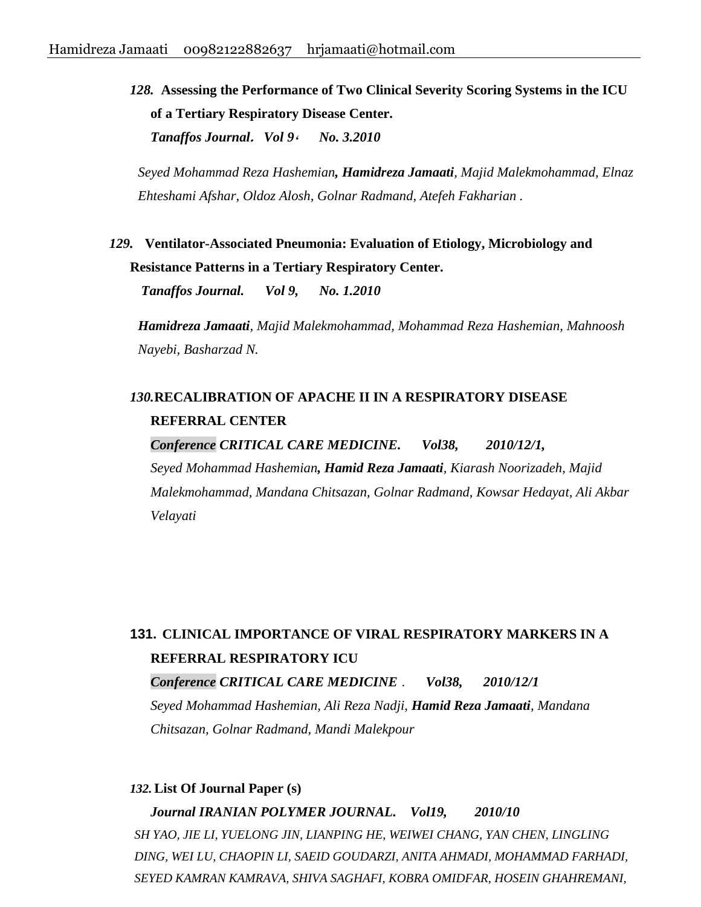*128.* **Assessing the Performance of Two Clinical Severity Scoring Systems in the ICU of a Tertiary Respiratory Disease Center.**  *Tanaffos Journal***.** *Vol 9***،** *No. 3.2010*

*Seyed Mohammad Reza Hashemian, Hamidreza Jamaati, Majid Malekmohammad, Elnaz Ehteshami Afshar, Oldoz Alosh, Golnar Radmand, Atefeh Fakharian .*

*129.* **Ventilator-Associated Pneumonia: Evaluation of Etiology, Microbiology and Resistance Patterns in a Tertiary Respiratory Center.**

*Tanaffos Journal. Vol 9, No. 1.2010*

*Hamidreza Jamaati, Majid Malekmohammad, Mohammad Reza Hashemian, Mahnoosh Nayebi, Basharzad N.* 

## *130.***[RECALIBRATION OF APACHE II IN A RESPIRATORY DISEASE](http://scholar.google.com/scholar?cluster=16558395972453936293&hl=en&oi=scholarr)  [REFERRAL CENTER](http://scholar.google.com/scholar?cluster=16558395972453936293&hl=en&oi=scholarr)**

*Conference CRITICAL CARE MEDICINE. Vol38, 2010/12/1, Seyed Mohammad Hashemian, Hamid Reza Jamaati, Kiarash Noorizadeh, Majid Malekmohammad, Mandana Chitsazan, Golnar Radmand, Kowsar Hedayat, Ali Akbar Velayati*

# **131. [CLINICAL IMPORTANCE OF VIRAL RESPIRATORY MARKERS IN A](http://scholar.google.com/scholar?cluster=15179319858592796038&hl=en&oi=scholarr)  [REFERRAL RESPIRATORY ICU](http://scholar.google.com/scholar?cluster=15179319858592796038&hl=en&oi=scholarr)** *Conference CRITICAL CARE MEDICINE* . *Vol38, 2010/12/1*

*Seyed Mohammad Hashemian, Ali Reza Nadji, Hamid Reza Jamaati, Mandana Chitsazan, Golnar Radmand, Mandi Malekpour*

#### *132.***[List Of Journal Paper \(s\)](http://en.journals.sid.ir/JournalListPaper.aspx?ID=84256)**

*Journal IRANIAN POLYMER JOURNAL. Vol19, 2010/10 SH YAO, JIE LI, YUELONG JIN, LIANPING HE, WEIWEI CHANG, YAN CHEN, LINGLING DING, WEI LU, CHAOPIN LI, SAEID GOUDARZI, ANITA AHMADI, MOHAMMAD FARHADI, SEYED KAMRAN KAMRAVA, SHIVA SAGHAFI, KOBRA OMIDFAR, HOSEIN GHAHREMANI,*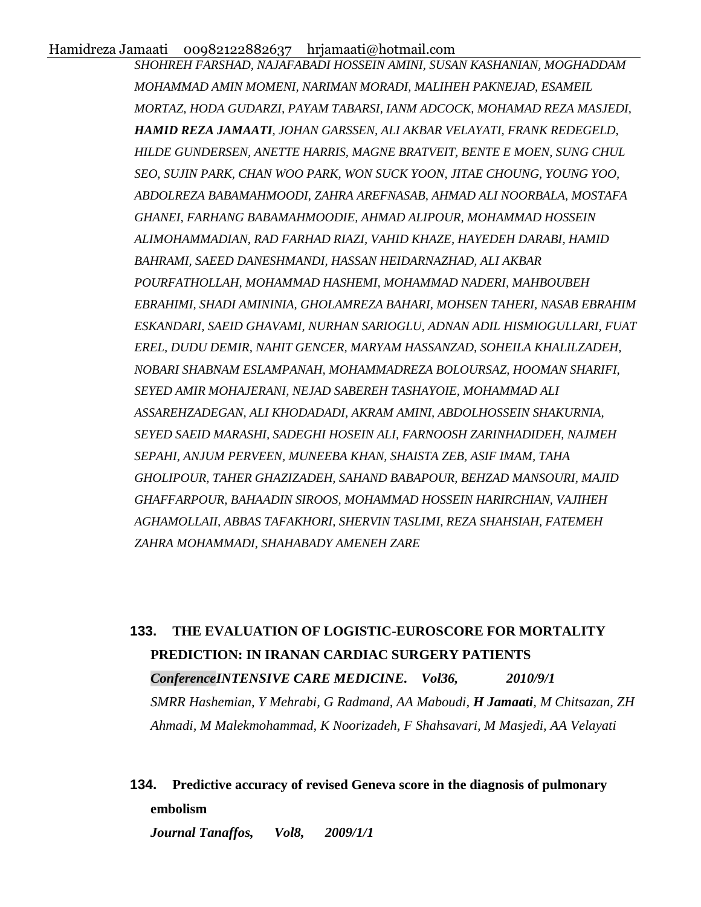*SHOHREH FARSHAD, NAJAFABADI HOSSEIN AMINI, SUSAN KASHANIAN, MOGHADDAM MOHAMMAD AMIN MOMENI, NARIMAN MORADI, MALIHEH PAKNEJAD, ESAMEIL MORTAZ, HODA GUDARZI, PAYAM TABARSI, IANM ADCOCK, MOHAMAD REZA MASJEDI, HAMID REZA JAMAATI, JOHAN GARSSEN, ALI AKBAR VELAYATI, FRANK REDEGELD, HILDE GUNDERSEN, ANETTE HARRIS, MAGNE BRATVEIT, BENTE E MOEN, SUNG CHUL SEO, SUJIN PARK, CHAN WOO PARK, WON SUCK YOON, JITAE CHOUNG, YOUNG YOO, ABDOLREZA BABAMAHMOODI, ZAHRA AREFNASAB, AHMAD ALI NOORBALA, MOSTAFA GHANEI, FARHANG BABAMAHMOODIE, AHMAD ALIPOUR, MOHAMMAD HOSSEIN ALIMOHAMMADIAN, RAD FARHAD RIAZI, VAHID KHAZE, HAYEDEH DARABI, HAMID BAHRAMI, SAEED DANESHMANDI, HASSAN HEIDARNAZHAD, ALI AKBAR POURFATHOLLAH, MOHAMMAD HASHEMI, MOHAMMAD NADERI, MAHBOUBEH EBRAHIMI, SHADI AMININIA, GHOLAMREZA BAHARI, MOHSEN TAHERI, NASAB EBRAHIM ESKANDARI, SAEID GHAVAMI, NURHAN SARIOGLU, ADNAN ADIL HISMIOGULLARI, FUAT EREL, DUDU DEMIR, NAHIT GENCER, MARYAM HASSANZAD, SOHEILA KHALILZADEH, NOBARI SHABNAM ESLAMPANAH, MOHAMMADREZA BOLOURSAZ, HOOMAN SHARIFI, SEYED AMIR MOHAJERANI, NEJAD SABEREH TASHAYOIE, MOHAMMAD ALI ASSAREHZADEGAN, ALI KHODADADI, AKRAM AMINI, ABDOLHOSSEIN SHAKURNIA, SEYED SAEID MARASHI, SADEGHI HOSEIN ALI, FARNOOSH ZARINHADIDEH, NAJMEH SEPAHI, ANJUM PERVEEN, MUNEEBA KHAN, SHAISTA ZEB, ASIF IMAM, TAHA GHOLIPOUR, TAHER GHAZIZADEH, SAHAND BABAPOUR, BEHZAD MANSOURI, MAJID GHAFFARPOUR, BAHAADIN SIROOS, MOHAMMAD HOSSEIN HARIRCHIAN, VAJIHEH AGHAMOLLAII, ABBAS TAFAKHORI, SHERVIN TASLIMI, REZA SHAHSIAH, FATEMEH ZAHRA MOHAMMADI, SHAHABADY AMENEH ZARE*

# **133. [THE EVALUATION OF LOGISTIC-EUROSCORE FOR MORTALITY](http://scholar.google.com/scholar?cluster=6507913436932768958&hl=en&oi=scholarr)  [PREDICTION: IN IRANAN CARDIAC SURGERY PATIENTS](http://scholar.google.com/scholar?cluster=6507913436932768958&hl=en&oi=scholarr)** *ConferenceINTENSIVE CARE MEDICINE. Vol36, 2010/9/1 SMRR Hashemian, Y Mehrabi, G Radmand, AA Maboudi, H Jamaati, M Chitsazan, ZH Ahmadi, M Malekmohammad, K Noorizadeh, F Shahsavari, M Masjedi, AA Velayati*

# **134. [Predictive accuracy of revised Geneva score in the diagnosis of pulmonary](http://www.tanaffosjournal.ir/files_site/paperlist/r_291_120920074935.pdf)  [embolism](http://www.tanaffosjournal.ir/files_site/paperlist/r_291_120920074935.pdf)**

*Journal Tanaffos, Vol8, 2009/1/1*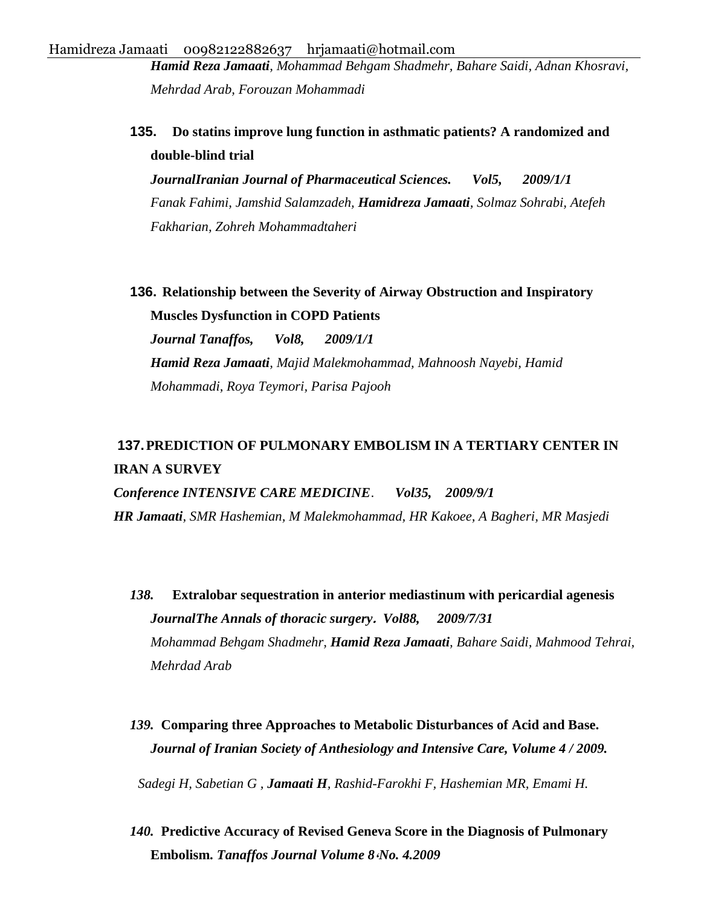*Hamid Reza Jamaati, Mohammad Behgam Shadmehr, Bahare Saidi, Adnan Khosravi, Mehrdad Arab, Forouzan Mohammadi*

**135. [Do statins improve lung function in asthmatic patients? A randomized and](http://www.ijps.ir/article_2087_491.html)  [double-blind trial](http://www.ijps.ir/article_2087_491.html)** 

*JournalIranian Journal of Pharmaceutical Sciences. Vol5, 2009/1/1 Fanak Fahimi, Jamshid Salamzadeh, Hamidreza Jamaati, Solmaz Sohrabi, Atefeh Fakharian, Zohreh Mohammadtaheri*

**136. [Relationship between the Severity of Airway Obstruction and Inspiratory](http://applications.emro.who.int/imemrf/Tanaffos/Tanaffos_2009_8_3_37.pdf)  [Muscles Dysfunction in COPD Patients](http://applications.emro.who.int/imemrf/Tanaffos/Tanaffos_2009_8_3_37.pdf)**

*Journal Tanaffos, Vol8, 2009/1/1 Hamid Reza Jamaati, Majid Malekmohammad, Mahnoosh Nayebi, Hamid Mohammadi, Roya Teymori, Parisa Pajooh* 

## **137.[PREDICTION OF PULMONARY EMBOLISM IN A TERTIARY CENTER IN](http://scholar.google.com/scholar?cluster=18157632142816764555&hl=en&oi=scholarr)  [IRAN A SURVEY](http://scholar.google.com/scholar?cluster=18157632142816764555&hl=en&oi=scholarr)**

*Conference INTENSIVE CARE MEDICINE*. *Vol35, 2009/9/1 HR Jamaati, SMR Hashemian, M Malekmohammad, HR Kakoee, A Bagheri, MR Masjedi*

- *138.* **[Extralobar sequestration in anterior mediastinum with pericardial agenesis](http://www.sciencedirect.com/science/article/pii/S0003497508026829)** *JournalThe Annals of thoracic surgery***.** *Vol88, 2009/7/31 Mohammad Behgam Shadmehr, Hamid Reza Jamaati, Bahare Saidi, Mahmood Tehrai, Mehrdad Arab*
- *139.* **Comparing three Approaches to Metabolic Disturbances of Acid and Base.**  *Journal of Iranian Society of Anthesiology and Intensive Care, Volume 4 / 2009.*

*Sadegi H, Sabetian G , Jamaati H, Rashid-Farokhi F, Hashemian MR, Emami H.*

*140.* **Predictive Accuracy of Revised Geneva Score in the Diagnosis of Pulmonary Embolism.** *Tanaffos Journal Volume 8***،***No. 4.2009*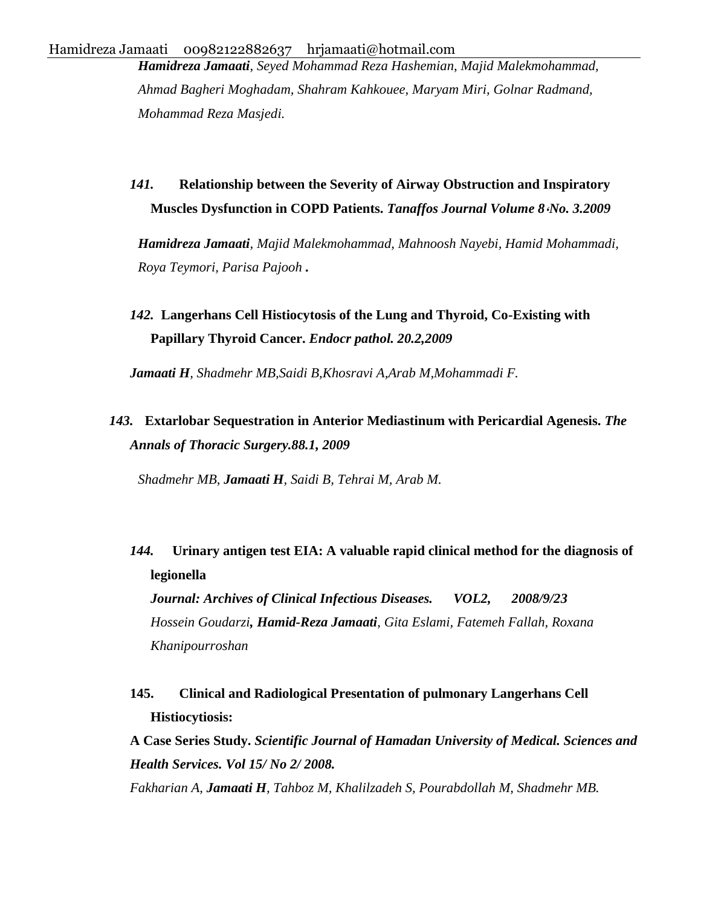*Hamidreza Jamaati, Seyed Mohammad Reza Hashemian, Majid Malekmohammad, Ahmad Bagheri Moghadam, Shahram Kahkouee, Maryam Miri, Golnar Radmand, Mohammad Reza Masjedi.* 

*141.* **Relationship between the Severity of Airway Obstruction and Inspiratory Muscles Dysfunction in COPD Patients.** *Tanaffos Journal Volume 8***،***No. 3.2009*

*Hamidreza Jamaati, Majid Malekmohammad, Mahnoosh Nayebi, Hamid Mohammadi, Roya Teymori, Parisa Pajooh .*

# *142.* **Langerhans Cell Histiocytosis of the Lung and Thyroid, Co-Existing with Papillary Thyroid Cancer.** *Endocr pathol. 20.2,2009*

*Jamaati H, Shadmehr MB,Saidi B,Khosravi A,Arab M,Mohammadi F.*

## *143.* **Extarlobar Sequestration in Anterior Mediastinum with Pericardial Agenesis.** *The Annals of Thoracic Surgery.88.1, 2009*

*Shadmehr MB, Jamaati H, Saidi B, Tehrai M, Arab M.*

*144.* **[Urinary antigen test EIA: A valuable rapid clinical method for the diagnosis of](http://scholar.google.com/scholar?cluster=9637931884622475294&hl=en&oi=scholarr) [legionella](http://scholar.google.com/scholar?cluster=9637931884622475294&hl=en&oi=scholarr)**  *Journal: Archives of Clinical Infectious Diseases. VOL2, 2008/9/23* 

*Hossein Goudarzi, Hamid-Reza Jamaati, Gita Eslami, Fatemeh Fallah, Roxana Khanipourroshan*

**145. Clinical and Radiological Presentation of pulmonary Langerhans Cell Histiocytiosis:** 

**A Case Series Study.** *Scientific Journal of Hamadan University of Medical. Sciences and Health Services. Vol 15/ No 2/ 2008.*

*Fakharian A, Jamaati H, Tahboz M, Khalilzadeh S, Pourabdollah M, Shadmehr MB.*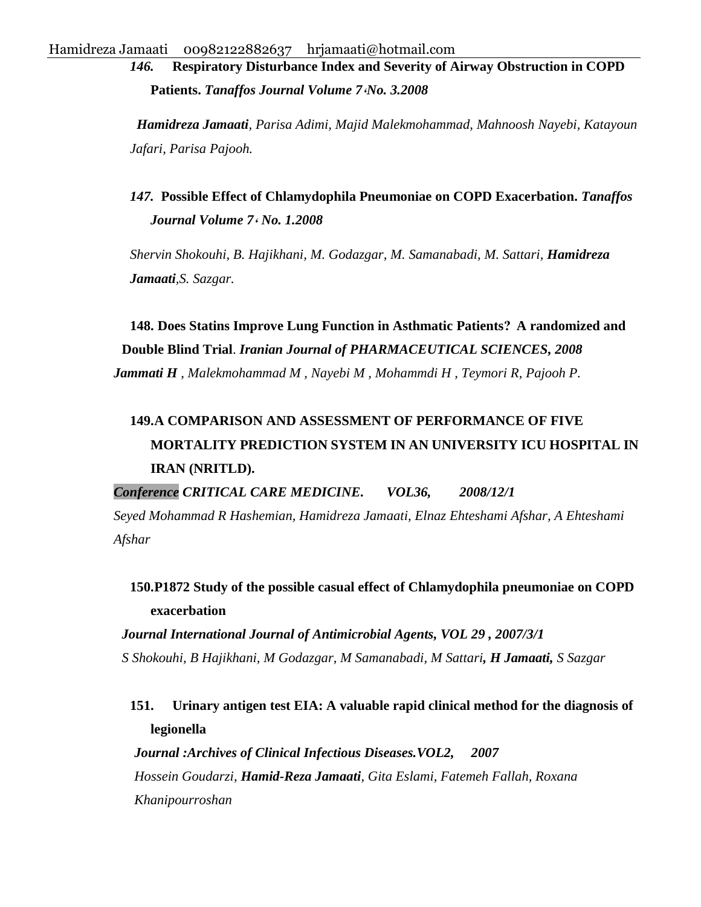*146.* **Respiratory Disturbance Index and Severity of Airway Obstruction in COPD Patients.** *Tanaffos Journal Volume 7***،***No. 3.2008*

*Hamidreza Jamaati, Parisa Adimi, Majid Malekmohammad, Mahnoosh Nayebi, Katayoun Jafari, Parisa Pajooh.*

## *147.* **Possible Effect of Chlamydophila Pneumoniae on COPD Exacerbation.** *Tanaffos Journal Volume 7***،** *No. 1.2008*

*Shervin Shokouhi, B. Hajikhani, M. Godazgar, M. Samanabadi, M. Sattari, Hamidreza Jamaati,S. Sazgar.*

**148. Does Statins Improve Lung Function in Asthmatic Patients? A randomized and Double Blind Trial**. *Iranian Journal of PHARMACEUTICAL SCIENCES, 2008 Jammati H , Malekmohammad M , Nayebi M , Mohammdi H , Teymori R, Pajooh P.*

# **[149.A COMPARISON AND ASSESSMENT OF PERFORMANCE OF FIVE](http://scholar.google.com/scholar?cluster=6972710718940700451&hl=en&oi=scholarr)  [MORTALITY PREDICTION SYSTEM IN AN UNIVERSITY ICU HOSPITAL IN](http://scholar.google.com/scholar?cluster=6972710718940700451&hl=en&oi=scholarr)  [IRAN \(NRITLD\).](http://scholar.google.com/scholar?cluster=6972710718940700451&hl=en&oi=scholarr)**

*Conference CRITICAL CARE MEDICINE. VOL36, 2008/12/1*

*Seyed Mohammad R Hashemian, Hamidreza Jamaati, Elnaz Ehteshami Afshar, A Ehteshami Afshar* 

## **[150.P1872 Study of the possible casual effect of Chlamydophila pneumoniae on COPD](http://scholar.google.com/scholar?cluster=12086481913225801366&hl=en&oi=scholarr)  [exacerbation](http://scholar.google.com/scholar?cluster=12086481913225801366&hl=en&oi=scholarr)**

*Journal International Journal of Antimicrobial Agents, VOL 29 , 2007/3/1 S Shokouhi, B Hajikhani, M Godazgar, M Samanabadi, M Sattari, H Jamaati, S Sazgar* 

## **151. [Urinary antigen test EIA: A valuable rapid clinical method for the diagnosis of](http://journals.sbmu.ac.ir/infectiousinvisible/article/view/66)  [legionella](http://journals.sbmu.ac.ir/infectiousinvisible/article/view/66)**

*Journal :Archives of Clinical Infectious Diseases.VOL2, 2007* *Hossein Goudarzi, Hamid-Reza Jamaati, Gita Eslami, Fatemeh Fallah, Roxana Khanipourroshan*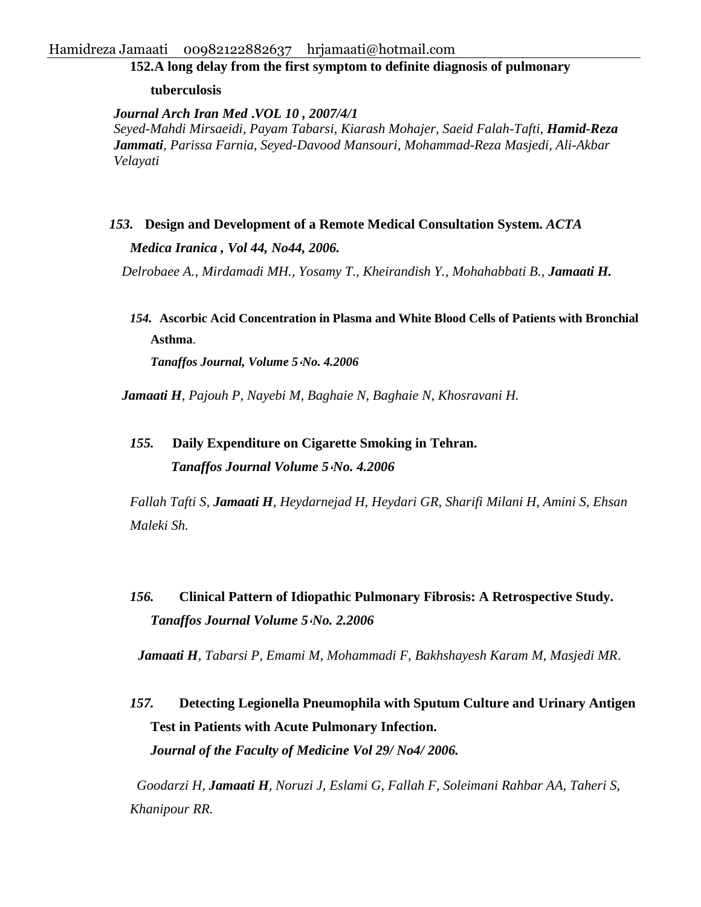### **152.A long delay from [the first symptom to definite diagnosis of pulmonary](http://ams.ac.ir/AIM/07102/0012.htm)**

**[tuberculosis](http://ams.ac.ir/AIM/07102/0012.htm)** 

*Journal Arch Iran Med* **.***VOL 10 , 2007/4/1 Seyed-Mahdi Mirsaeidi, Payam Tabarsi, Kiarash Mohajer, Saeid Falah-Tafti, Hamid-Reza Jammati, Parissa Farnia, Seyed-Davood Mansouri, Mohammad-Reza Masjedi, Ali-Akbar Velayati*

### *153.* **Design and Development of a Remote Medical Consultation System.** *ACTA*

*Medica Iranica , Vol 44, No44, 2006.*

*Delrobaee A., Mirdamadi MH., Yosamy T., Kheirandish Y., Mohahabbati B., Jamaati H.*

*154.* **Ascorbic Acid Concentration in Plasma and White Blood Cells of Patients with Bronchial Asthma**.

*Tanaffos Journal, Volume 5***،***No. 4.2006*

*Jamaati H, Pajouh P, Nayebi M, Baghaie N, Baghaie N, Khosravani H.*

# *155.* **Daily Expenditure on Cigarette Smoking in Tehran.** *Tanaffos Journal Volume 5***،***No. 4.2006*

*Fallah Tafti S, Jamaati H, Heydarnejad H, Heydari GR, Sharifi Milani H, Amini S, Ehsan Maleki Sh.*

*156.* **Clinical Pattern of Idiopathic Pulmonary Fibrosis: A Retrospective Study.** *Tanaffos Journal Volume 5***،***No. 2.2006*

*Jamaati H*, *Tabarsi P, Emami M, Mohammadi F, Bakhshayesh Karam M, Masjedi MR*.

*157.* **Detecting Legionella Pneumophila with Sputum Culture and Urinary Antigen Test in Patients with Acute Pulmonary Infection.**  *Journal of the Faculty of Medicine Vol 29/ No4/ 2006.*

*Goodarzi H, Jamaati H, Noruzi J, Eslami G, Fallah F, Soleimani Rahbar AA, Taheri S, Khanipour RR.*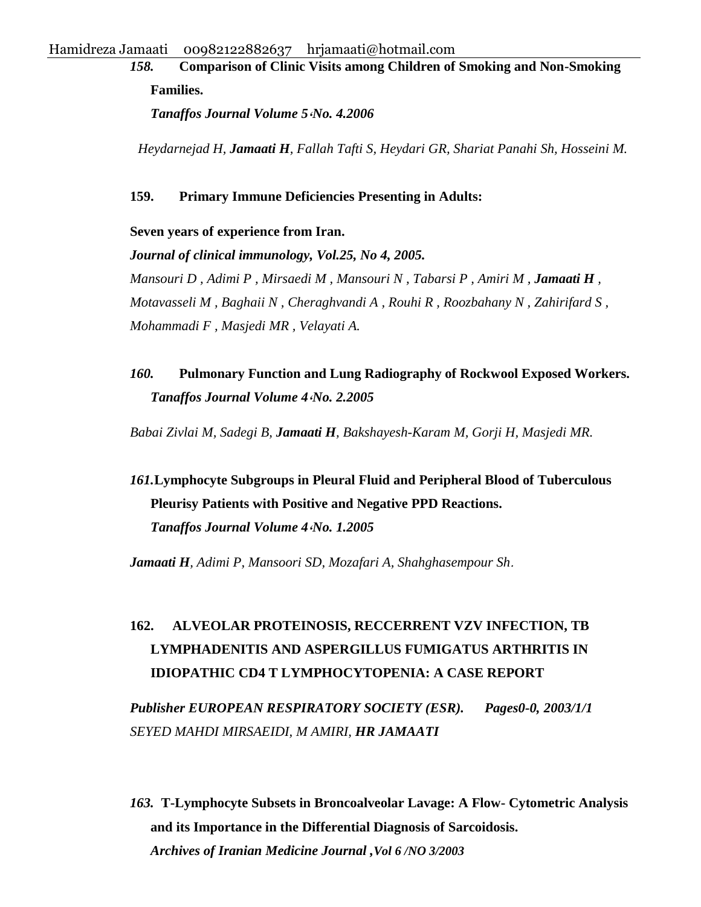*158.* **Comparison of Clinic Visits among Children of Smoking and Non-Smoking Families.**

*Tanaffos Journal Volume 5***،***No. 4.2006*

*Heydarnejad H, Jamaati H, Fallah Tafti S, Heydari GR, Shariat Panahi Sh, Hosseini M.* 

#### **159. Primary Immune Deficiencies Presenting in Adults:**

**Seven years of experience from Iran.** 

*Journal of clinical immunology, Vol.25, No 4, 2005. Mansouri D , Adimi P , Mirsaedi M , Mansouri N , Tabarsi P , Amiri M , Jamaati H , Motavasseli M , Baghaii N , Cheraghvandi A , Rouhi R , Roozbahany N , Zahirifard S , Mohammadi F , Masjedi MR , Velayati A.*

*160.* **Pulmonary Function and Lung Radiography of Rockwool Exposed Workers.**  *Tanaffos Journal Volume 4***،***No. 2.2005*

*Babai Zivlai M, Sadegi B, Jamaati H, Bakshayesh-Karam M, Gorji H, Masjedi MR.*

# *161.***Lymphocyte Subgroups in Pleural Fluid and Peripheral Blood of Tuberculous Pleurisy Patients with Positive and Negative PPD Reactions.**  *Tanaffos Journal Volume 4***،***No. 1.2005*

*Jamaati H, Adimi P, Mansoori SD, Mozafari A, Shahghasempour Sh*.

# **162. [ALVEOLAR PROTEINOSIS, RECCERRENT VZV INFECTION, TB](http://en.journals.sid.ir/ViewPaper.aspx?ID=71663)  [LYMPHADENITIS AND ASPERGILLUS FUMIGATUS ARTHRITIS IN](http://en.journals.sid.ir/ViewPaper.aspx?ID=71663)  [IDIOPATHIC CD4 T LYMPHOCYTOPENIA: A CASE REPORT](http://en.journals.sid.ir/ViewPaper.aspx?ID=71663)**

*Publisher EUROPEAN RESPIRATORY SOCIETY (ESR). Pages0-0, 2003/1/1 SEYED MAHDI MIRSAEIDI, M AMIRI, HR JAMAATI*

*163.* **T-Lymphocyte Subsets in Broncoalveolar Lavage: A Flow- Cytometric Analysis and its Importance in the Differential Diagnosis of Sarcoidosis.**  *Archives of Iranian Medicine Journal ,Vol 6 /NO 3/2003*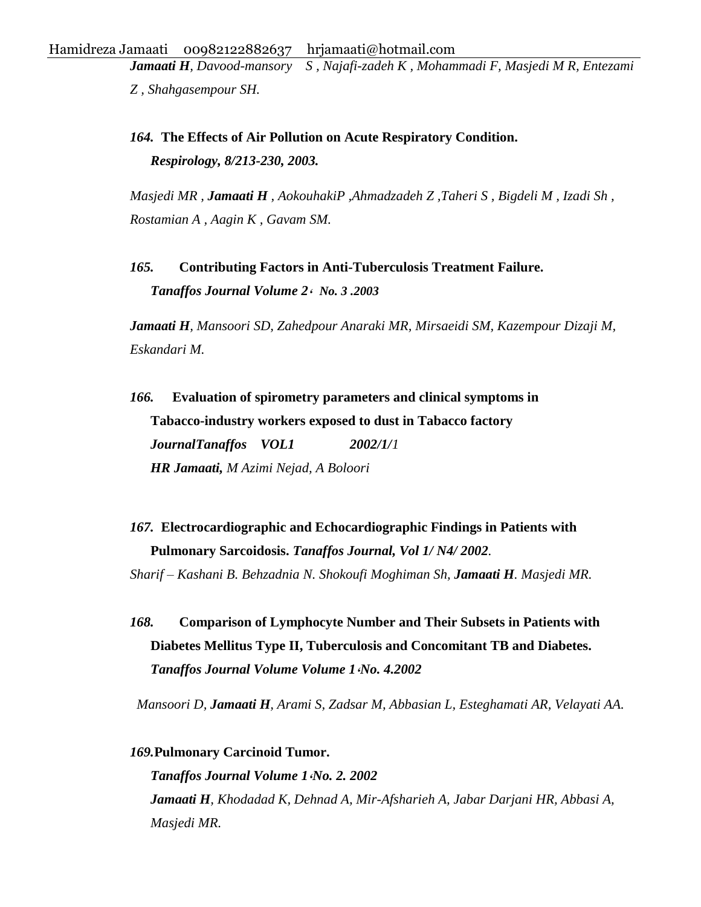*Jamaati H, Davood-mansory S , Najafi-zadeh K , Mohammadi F, Masjedi M R, Entezami Z , Shahgasempour SH.* 

*164.* **The Effects of Air Pollution on Acute Respiratory Condition.**  *Respirology, 8/213-230, 2003.*

*Masjedi MR , Jamaati H , AokouhakiP ,Ahmadzadeh Z ,Taheri S , Bigdeli M , Izadi Sh , Rostamian A , Aagin K , Gavam SM.*

*165.* **Contributing Factors in Anti-Tuberculosis Treatment Failure.** *Tanaffos Journal Volume 2***،** *No. 3 .2003*

*Jamaati H, Mansoori SD, Zahedpour Anaraki MR, Mirsaeidi SM, Kazempour Dizaji M, Eskandari M.*

*166.* **[Evaluation of spirometry parameters and clinical symptoms in](http://www.sid.ir/En/VEWSSID/J_pdf/100220020105.pdf)  [Tabacco-industry workers exposed to dust in Tabacco factory](http://www.sid.ir/En/VEWSSID/J_pdf/100220020105.pdf)** *JournalTanaffos VOL1 2002/1/1 HR Jamaati, M Azimi Nejad, A Boloori*

*167.* **Electrocardiographic and Echocardiographic Findings in Patients with Pulmonary Sarcoidosis.** *Tanaffos Journal, Vol 1/ N4/ 2002.*

*Sharif – Kashani B. Behzadnia N. Shokoufi Moghiman Sh, Jamaati H. Masjedi MR.*

*168.* **Comparison of Lymphocyte Number and Their Subsets in Patients with Diabetes Mellitus Type II, Tuberculosis and Concomitant TB and Diabetes.**  *Tanaffos Journal Volume Volume 1***،***No. 4.2002*

*Mansoori D, Jamaati H, Arami S, Zadsar M, Abbasian L, Esteghamati AR, Velayati AA.* 

*169.***Pulmonary Carcinoid Tumor.**  *Tanaffos Journal Volume 1***،***No. 2. 2002 Jamaati H, Khodadad K, Dehnad A, Mir-Afsharieh A, Jabar Darjani HR, Abbasi A, Masjedi MR.*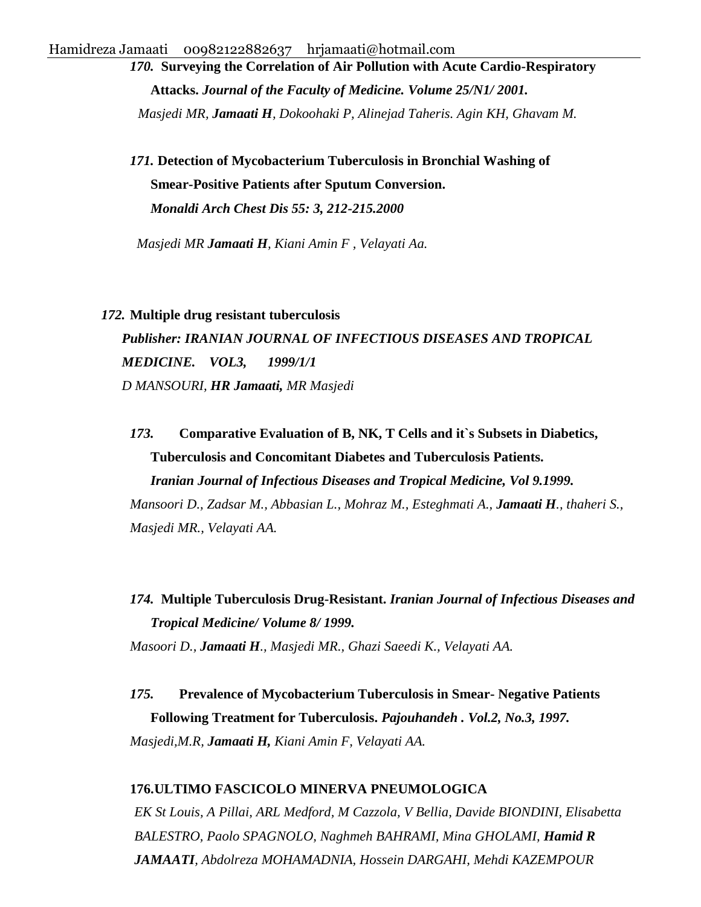*170.* **Surveying the Correlation of Air Pollution with Acute Cardio-Respiratory Attacks.** *Journal of the Faculty of Medicine. Volume 25/N1/ 2001. Masjedi MR, Jamaati H, Dokoohaki P, Alinejad Taheris. Agin KH, Ghavam M.*

*171.* **Detection of Mycobacterium Tuberculosis in Bronchial Washing of Smear-Positive Patients after Sputum Conversion.**  *Monaldi Arch Chest Dis 55: 3, 212-215.2000* 

*Masjedi MR Jamaati H, Kiani Amin F , Velayati Aa.*

#### *172.* **[Multiple drug resistant tuberculosis](http://en.journals.sid.ir/ViewPaper.aspx?ID=71648)**

*Publisher: IRANIAN JOURNAL OF INFECTIOUS DISEASES AND TROPICAL MEDICINE. VOL3, 1999/1/1 D MANSOURI, HR Jamaati, MR Masjedi*

*173.* **Comparative Evaluation of B, NK, T Cells and it`s Subsets in Diabetics, Tuberculosis and Concomitant Diabetes and Tuberculosis Patients.**  *Iranian Journal of Infectious Diseases and Tropical Medicine, Vol 9.1999.*

*Mansoori D., Zadsar M., Abbasian L., Mohraz M., Esteghmati A., Jamaati H., thaheri S., Masjedi MR., Velayati AA.*

*174.* **Multiple Tuberculosis Drug-Resistant.** *Iranian Journal of Infectious Diseases and Tropical Medicine/ Volume 8/ 1999. Masoori D., Jamaati H., Masjedi MR., Ghazi Saeedi K., Velayati AA.*

*175.* **Prevalence of Mycobacterium Tuberculosis in Smear- Negative Patients Following Treatment for Tuberculosis.** *Pajouhandeh . Vol.2, No.3, 1997. Masjedi,M.R, Jamaati H, Kiani Amin F, Velayati AA.*

#### **176[.ULTIMO FASCICOLO MINERVA PNEUMOLOGICA](http://www.minervamedica.it/it/riviste/minerva-pneumologica/articolo.php?cod=R16Y2002N04A0153)**

*EK St Louis, A Pillai, ARL Medford, M Cazzola, V Bellia, Davide BIONDINI, Elisabetta BALESTRO, Paolo SPAGNOLO, Naghmeh BAHRAMI, Mina GHOLAMI, Hamid R JAMAATI, Abdolreza MOHAMADNIA, Hossein DARGAHI, Mehdi KAZEMPOUR*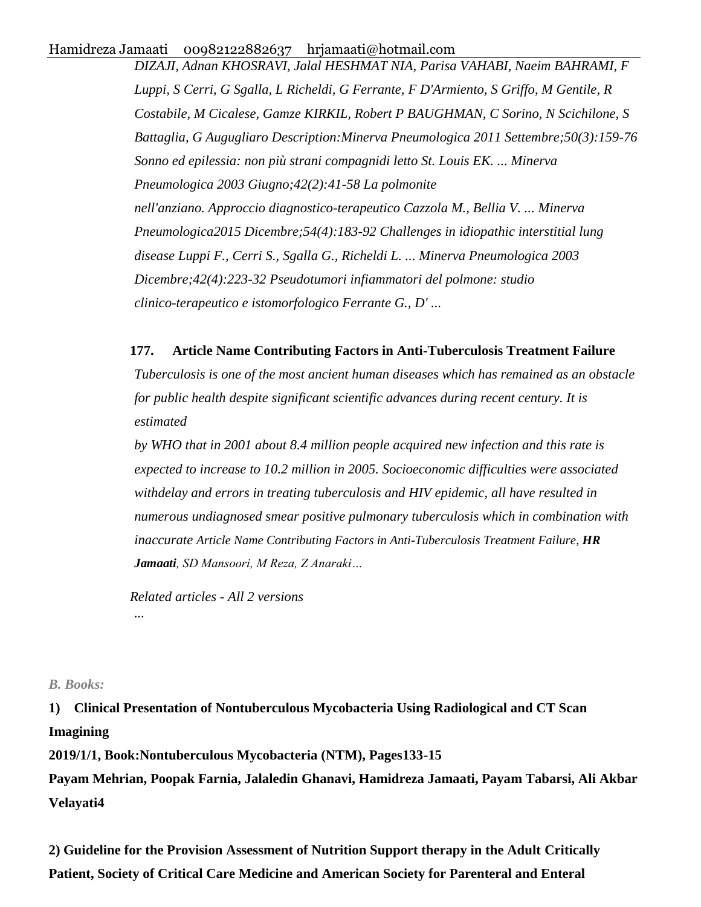*DIZAJI, Adnan KHOSRAVI, Jalal HESHMAT NIA, Parisa VAHABI, Naeim BAHRAMI, F Luppi, S Cerri, G Sgalla, L Richeldi, G Ferrante, F D'Armiento, S Griffo, M Gentile, R Costabile, M Cicalese, Gamze KIRKIL, Robert P BAUGHMAN, C Sorino, N Scichilone, S Battaglia, G Augugliaro Description:Minerva Pneumologica 2011 Settembre;50(3):159-76 Sonno ed epilessia: non più strani compagnidi letto St. Louis EK. ... Minerva Pneumologica 2003 Giugno;42(2):41-58 La polmonite nell'anziano. Approccio diagnostico-terapeutico Cazzola M., Bellia V. ... Minerva Pneumologica2015 Dicembre;54(4):183-92 Challenges in idiopathic interstitial lung disease Luppi F., Cerri S., Sgalla G., Richeldi L. ... Minerva Pneumologica 2003 Dicembre;42(4):223-32 Pseudotumori infiammatori del polmone: studio clinico-terapeutico e istomorfologico Ferrante G., D' ...*

### **177. [Article Name Contributing Factors in Anti-Tuberculosis Treatment Failure](http://www.sid.ir/EN/VEWSSID/J_pdf/100220030708.pdf)**

*Tuberculosis is one of the most ancient human diseases which has remained as an obstacle for public health despite significant scientific advances during recent century. It is estimated*

*by WHO that in 2001 about 8.4 million people acquired new infection and this rate is expected to increase to 10.2 million in 2005. Socioeconomic difficulties were associated withdelay and errors in treating tuberculosis and HIV epidemic, all have resulted in numerous undiagnosed smear positive pulmonary tuberculosis which in combination with inaccurate [Article Name Contributing Factors in Anti-Tuberculosis Treatment Failure,](https://scholar.google.com/scholar?oi=bibs&cluster=7483993885686175692&btnI=1&hl=en) HR Jamaati, SD Mansoori, M Reza, Z Anaraki…*

*[Related articles](https://scholar.google.com/scholar?oi=bibs&hl=en&q=related:zBeFgcl83GcJ:scholar.google.com/) - [All 2 versions](https://scholar.google.com/scholar?oi=bibs&hl=en&cluster=7483993885686175692) ...*

### *B. Books:*

**1) Clinical Presentation of Nontuberculous Mycobacteria Using Radiological and CT Scan Imagining**

**2019/1/1, Book:Nontuberculous Mycobacteria (NTM), Pages133-15**

**Payam Mehrian, Poopak Farnia, Jalaledin Ghanavi, Hamidreza Jamaati, Payam Tabarsi, Ali Akbar Velayati4**

**2) Guideline for the Provision Assessment of Nutrition Support therapy in the Adult Critically Patient, Society of Critical Care Medicine and American Society for Parenteral and Enteral**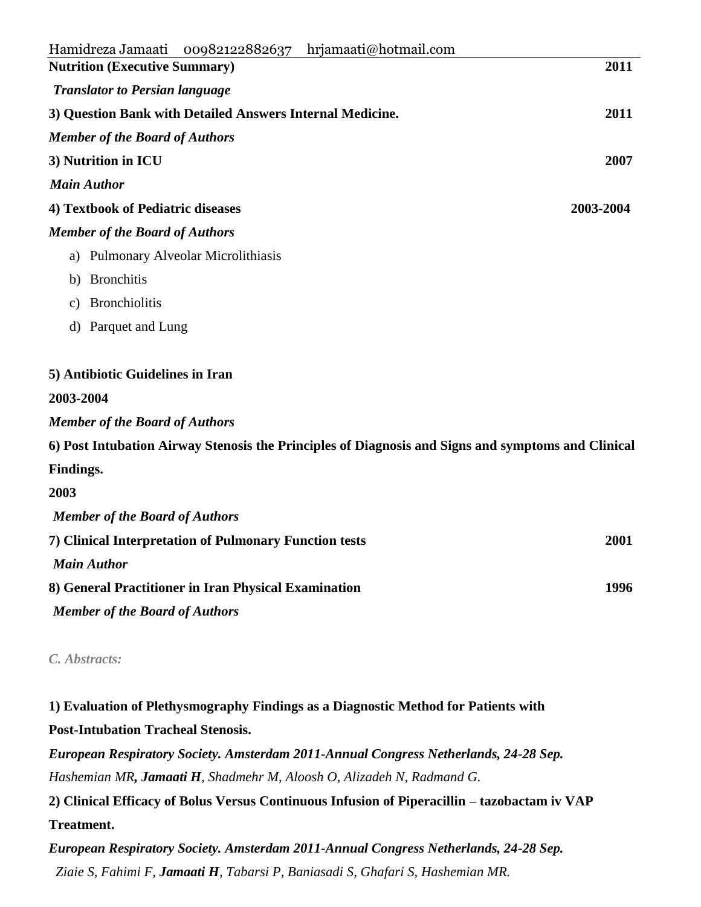| 00982122882637 hrjamaati@hotmail.com<br>Hamidreza Jamaati                                          |           |
|----------------------------------------------------------------------------------------------------|-----------|
| <b>Nutrition (Executive Summary)</b>                                                               | 2011      |
| <b>Translator to Persian language</b>                                                              |           |
| 3) Question Bank with Detailed Answers Internal Medicine.                                          | 2011      |
| <b>Member of the Board of Authors</b>                                                              |           |
| 3) Nutrition in ICU                                                                                | 2007      |
| <b>Main Author</b>                                                                                 |           |
| 4) Textbook of Pediatric diseases                                                                  | 2003-2004 |
| <b>Member of the Board of Authors</b>                                                              |           |
| a) Pulmonary Alveolar Microlithiasis                                                               |           |
| <b>Bronchitis</b><br>b)                                                                            |           |
| <b>Bronchiolitis</b><br>$\mathbf{c})$                                                              |           |
| d) Parquet and Lung                                                                                |           |
| 5) Antibiotic Guidelines in Iran                                                                   |           |
| 2003-2004                                                                                          |           |
| <b>Member of the Board of Authors</b>                                                              |           |
| 6) Post Intubation Airway Stenosis the Principles of Diagnosis and Signs and symptoms and Clinical |           |
| Findings.                                                                                          |           |
| 2003                                                                                               |           |
| <b>Member of the Board of Authors</b>                                                              |           |
| 7) Clinical Interpretation of Pulmonary Function tests                                             | 2001      |
| <b>Main Author</b>                                                                                 |           |

**8) General Practitioner in Iran Physical Examination 1996**

*Member of the Board of Authors*

*C. Abstracts:*

**1) Evaluation of Plethysmography Findings as a Diagnostic Method for Patients with Post-Intubation Tracheal Stenosis.**

*European Respiratory Society. Amsterdam 2011-Annual Congress Netherlands, 24-28 Sep. Hashemian MR, Jamaati H, Shadmehr M, Aloosh O, Alizadeh N, Radmand G.*

**2) Clinical Efficacy of Bolus Versus Continuous Infusion of Piperacillin – tazobactam iv VAP Treatment.**

*European Respiratory Society. Amsterdam 2011-Annual Congress Netherlands, 24-28 Sep. Ziaie S, Fahimi F, Jamaati H, Tabarsi P, Baniasadi S, Ghafari S, Hashemian MR.*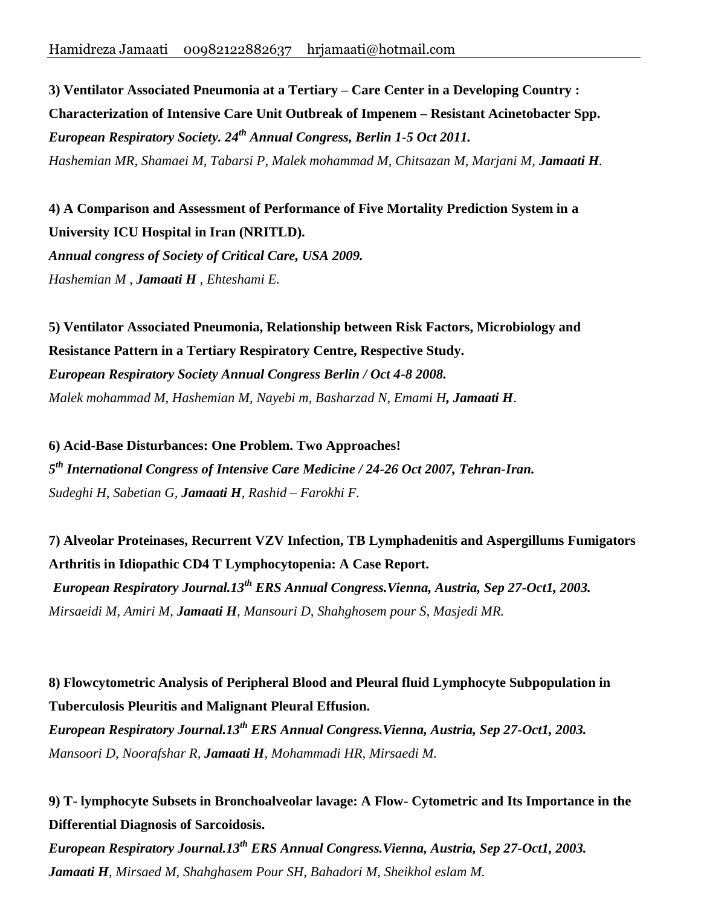**3) Ventilator Associated Pneumonia at a Tertiary – Care Center in a Developing Country : Characterization of Intensive Care Unit Outbreak of Impenem – Resistant Acinetobacter Spp.** *European Respiratory Society. 24th Annual Congress, Berlin 1-5 Oct 2011. Hashemian MR, Shamaei M, Tabarsi P, Malek mohammad M, Chitsazan M, Marjani M, Jamaati H.*

**4) A Comparison and Assessment of Performance of Five Mortality Prediction System in a University ICU Hospital in Iran (NRITLD).** *Annual congress of Society of Critical Care, USA 2009. Hashemian M , Jamaati H , Ehteshami E.*

**5) Ventilator Associated Pneumonia, Relationship between Risk Factors, Microbiology and Resistance Pattern in a Tertiary Respiratory Centre, Respective Study.** *European Respiratory Society Annual Congress Berlin / Oct 4-8 2008. Malek mohammad M, Hashemian M, Nayebi m, Basharzad N, Emami H, Jamaati H*.

**6) Acid-Base Disturbances: One Problem. Two Approaches!** *5 th International Congress of Intensive Care Medicine / 24-26 Oct 2007, Tehran-Iran. Sudeghi H, Sabetian G, Jamaati H, Rashid – Farokhi F.*

**7) Alveolar Proteinases, Recurrent VZV Infection, TB Lymphadenitis and Aspergillums Fumigators Arthritis in Idiopathic CD4 T Lymphocytopenia: A Case Report.** *European Respiratory Journal.13th ERS Annual Congress.Vienna, Austria, Sep 27-Oct1, 2003. Mirsaeidi M, Amiri M, Jamaati H, Mansouri D, Shahghosem pour S, Masjedi MR.*

**8) Flowcytometric Analysis of Peripheral Blood and Pleural fluid Lymphocyte Subpopulation in Tuberculosis Pleuritis and Malignant Pleural Effusion.**

*European Respiratory Journal.13th ERS Annual Congress.Vienna, Austria, Sep 27-Oct1, 2003. Mansoori D, Noorafshar R, Jamaati H, Mohammadi HR, Mirsaedi M.* 

**9) T- lymphocyte Subsets in Bronchoalveolar lavage: A Flow- Cytometric and Its Importance in the Differential Diagnosis of Sarcoidosis.**

*European Respiratory Journal.13th ERS Annual Congress.Vienna, Austria, Sep 27-Oct1, 2003. Jamaati H, Mirsaed M, Shahghasem Pour SH, Bahadori M, Sheikhol eslam M.*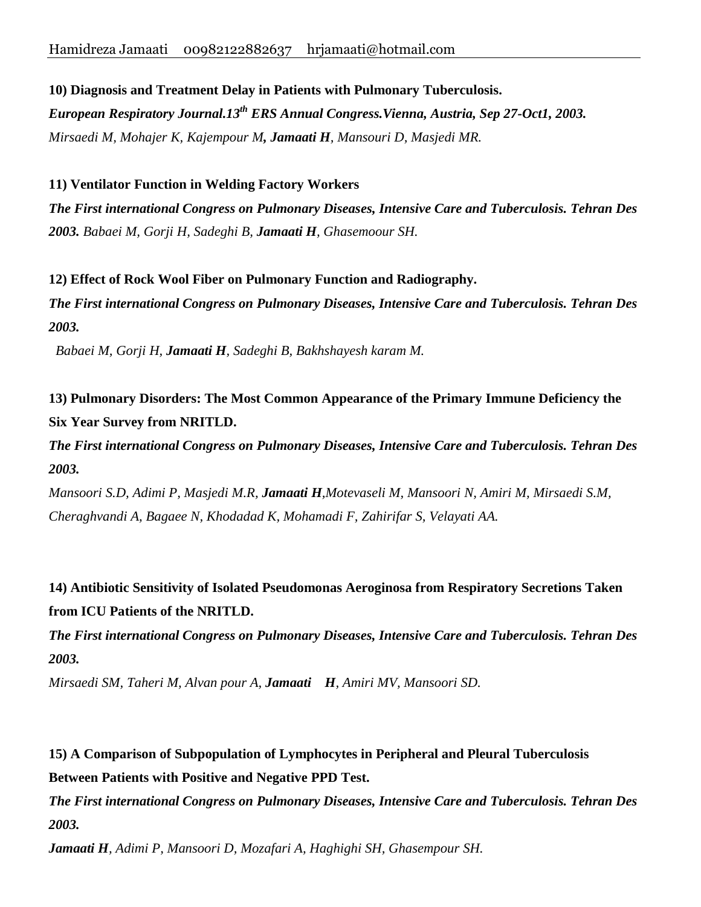**10) Diagnosis and Treatment Delay in Patients with Pulmonary Tuberculosis.**

*European Respiratory Journal.13th ERS Annual Congress.Vienna, Austria, Sep 27-Oct1, 2003. Mirsaedi M, Mohajer K, Kajempour M, Jamaati H, Mansouri D, Masjedi MR.*

### **11) Ventilator Function in Welding Factory Workers**

*The First international Congress on Pulmonary Diseases, Intensive Care and Tuberculosis. Tehran Des 2003. Babaei M, Gorji H, Sadeghi B, Jamaati H, Ghasemoour SH.*

**12) Effect of Rock Wool Fiber on Pulmonary Function and Radiography.**

*The First international Congress on Pulmonary Diseases, Intensive Care and Tuberculosis. Tehran Des 2003.*

*Babaei M, Gorji H, Jamaati H, Sadeghi B, Bakhshayesh karam M.*

**13) Pulmonary Disorders: The Most Common Appearance of the Primary Immune Deficiency the Six Year Survey from NRITLD.**

*The First international Congress on Pulmonary Diseases, Intensive Care and Tuberculosis. Tehran Des 2003.*

*Mansoori S.D, Adimi P, Masjedi M.R, Jamaati H,Motevaseli M, Mansoori N, Amiri M, Mirsaedi S.M, Cheraghvandi A, Bagaee N, Khodadad K, Mohamadi F, Zahirifar S, Velayati AA.*

**14) Antibiotic Sensitivity of Isolated Pseudomonas Aeroginosa from Respiratory Secretions Taken from ICU Patients of the NRITLD.**

*The First international Congress on Pulmonary Diseases, Intensive Care and Tuberculosis. Tehran Des 2003.*

*Mirsaedi SM, Taheri M, Alvan pour A, Jamaati H, Amiri MV, Mansoori SD.*

**15) A Comparison of Subpopulation of Lymphocytes in Peripheral and Pleural Tuberculosis Between Patients with Positive and Negative PPD Test.**

*The First international Congress on Pulmonary Diseases, Intensive Care and Tuberculosis. Tehran Des 2003.*

*Jamaati H, Adimi P, Mansoori D, Mozafari A, Haghighi SH, Ghasempour SH.*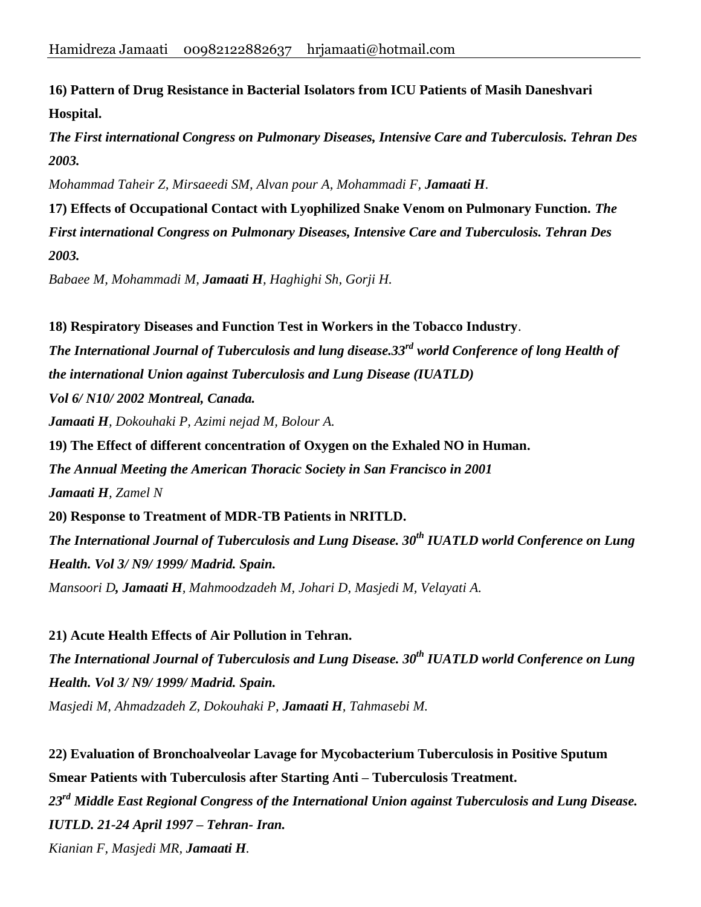**16) Pattern of Drug Resistance in Bacterial Isolators from ICU Patients of Masih Daneshvari Hospital.**

*The First international Congress on Pulmonary Diseases, Intensive Care and Tuberculosis. Tehran Des 2003.*

*Mohammad Taheir Z, Mirsaeedi SM, Alvan pour A, Mohammadi F, Jamaati H*.

**17) Effects of Occupational Contact with Lyophilized Snake Venom on Pulmonary Function.** *The First international Congress on Pulmonary Diseases, Intensive Care and Tuberculosis. Tehran Des 2003.*

*Babaee M, Mohammadi M, Jamaati H, Haghighi Sh, Gorji H.*

**18) Respiratory Diseases and Function Test in Workers in the Tobacco Industry**. *The International Journal of Tuberculosis and lung disease.33rd world Conference of long Health of the international Union against Tuberculosis and Lung Disease (IUATLD) Vol 6/ N10/ 2002 Montreal, Canada. Jamaati H, Dokouhaki P, Azimi nejad M, Bolour A.* **19) The Effect of different concentration of Oxygen on the Exhaled NO in Human.** *The Annual Meeting the American Thoracic Society in San Francisco in 2001 Jamaati H, Zamel N* **20) Response to Treatment of MDR-TB Patients in NRITLD.**  *The International Journal of Tuberculosis and Lung Disease. 30th IUATLD world Conference on Lung Health. Vol 3/ N9/ 1999/ Madrid. Spain. Mansoori D, Jamaati H, Mahmoodzadeh M, Johari D, Masjedi M, Velayati A.*

**21) Acute Health Effects of Air Pollution in Tehran.** *The International Journal of Tuberculosis and Lung Disease. 30th IUATLD world Conference on Lung Health. Vol 3/ N9/ 1999/ Madrid. Spain. Masjedi M, Ahmadzadeh Z, Dokouhaki P, Jamaati H, Tahmasebi M.*

**22) Evaluation of Bronchoalveolar Lavage for Mycobacterium Tuberculosis in Positive Sputum Smear Patients with Tuberculosis after Starting Anti – Tuberculosis Treatment.** *23rd Middle East Regional Congress of the International Union against Tuberculosis and Lung Disease. IUTLD. 21-24 April 1997 – Tehran- Iran. Kianian F, Masjedi MR, Jamaati H.*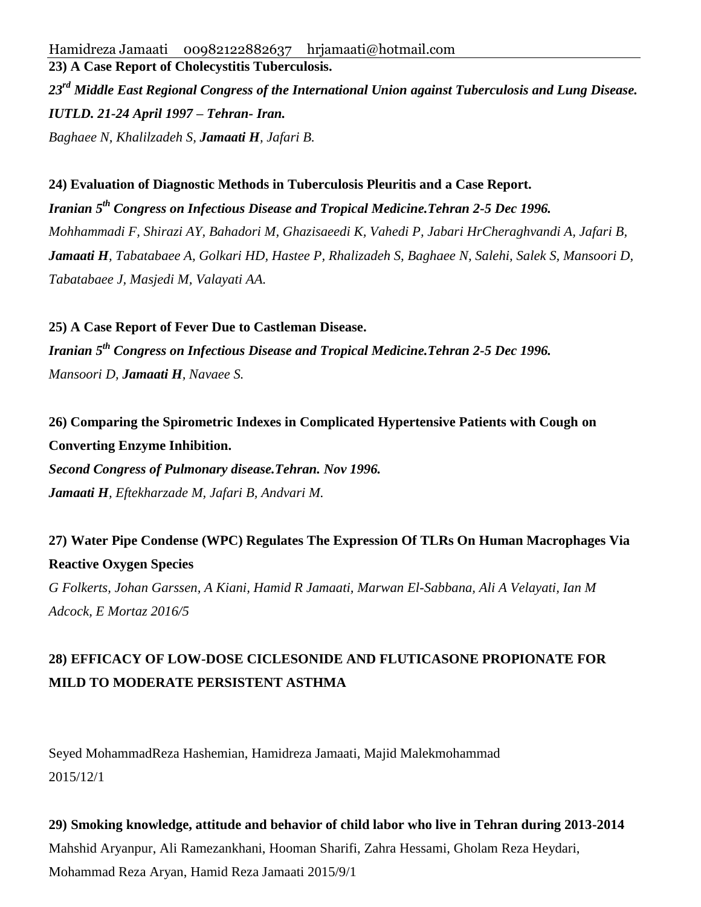*23rd Middle East Regional Congress of the International Union against Tuberculosis and Lung Disease. IUTLD. 21-24 April 1997 – Tehran- Iran. Baghaee N, Khalilzadeh S, Jamaati H, Jafari B.*

**24) Evaluation of Diagnostic Methods in Tuberculosis Pleuritis and a Case Report.** *Iranian 5th Congress on Infectious Disease and Tropical Medicine.Tehran 2-5 Dec 1996. Mohhammadi F, Shirazi AY, Bahadori M, Ghazisaeedi K, Vahedi P, Jabari HrCheraghvandi A, Jafari B, Jamaati H, Tabatabaee A, Golkari HD, Hastee P, Rhalizadeh S, Baghaee N, Salehi, Salek S, Mansoori D, Tabatabaee J, Masjedi M, Valayati AA.*

**25) A Case Report of Fever Due to Castleman Disease.** *Iranian 5th Congress on Infectious Disease and Tropical Medicine.Tehran 2-5 Dec 1996. Mansoori D, Jamaati H, Navaee S.*

# **26) Comparing the Spirometric Indexes in Complicated Hypertensive Patients with Cough on Converting Enzyme Inhibition.**

*Second Congress of Pulmonary disease.Tehran. Nov 1996. Jamaati H, Eftekharzade M, Jafari B, Andvari M.*

## **27) Water Pipe Condense (WPC) Regulates The Expression Of TLRs On Human Macrophages Via Reactive Oxygen Species**

*G Folkerts, Johan Garssen, A Kiani, Hamid R Jamaati, Marwan El-Sabbana, Ali A Velayati, Ian M Adcock, E Mortaz 2016/5*

# **28) EFFICACY OF LOW-DOSE CICLESONIDE AND FLUTICASONE PROPIONATE FOR MILD TO MODERATE PERSISTENT ASTHMA**

Seyed MohammadReza Hashemian, Hamidreza Jamaati, Majid Malekmohammad 2015/12/1

**29) Smoking knowledge, attitude and behavior of child labor who live in Tehran during 2013-2014** Mahshid Aryanpur, Ali Ramezankhani, Hooman Sharifi, Zahra Hessami, Gholam Reza Heydari, Mohammad Reza Aryan, Hamid Reza Jamaati 2015/9/1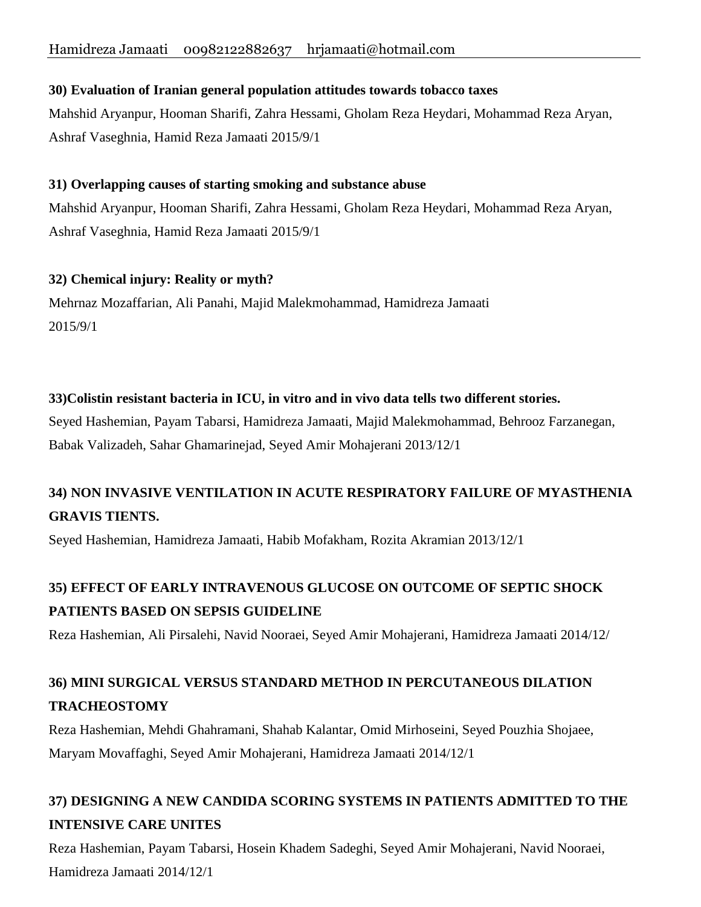### **30) Evaluation of Iranian general population attitudes towards tobacco taxes**

Mahshid Aryanpur, Hooman Sharifi, Zahra Hessami, Gholam Reza Heydari, Mohammad Reza Aryan, Ashraf Vaseghnia, Hamid Reza Jamaati 2015/9/1

### **31) Overlapping causes of starting smoking and substance abuse**

Mahshid Aryanpur, Hooman Sharifi, Zahra Hessami, Gholam Reza Heydari, Mohammad Reza Aryan, Ashraf Vaseghnia, Hamid Reza Jamaati 2015/9/1

### **32) Chemical injury: Reality or myth?**

Mehrnaz Mozaffarian, Ali Panahi, Majid Malekmohammad, Hamidreza Jamaati 2015/9/1

### **33)Colistin resistant bacteria in ICU, in vitro and in vivo data tells two different stories.**

Seyed Hashemian, Payam Tabarsi, Hamidreza Jamaati, Majid Malekmohammad, Behrooz Farzanegan, Babak Valizadeh, Sahar Ghamarinejad, Seyed Amir Mohajerani 2013/12/1

# **34) NON INVASIVE VENTILATION IN ACUTE RESPIRATORY FAILURE OF MYASTHENIA GRAVIS TIENTS.**

Seyed Hashemian, Hamidreza Jamaati, Habib Mofakham, Rozita Akramian 2013/12/1

# **35) EFFECT OF EARLY INTRAVENOUS GLUCOSE ON OUTCOME OF SEPTIC SHOCK PATIENTS BASED ON SEPSIS GUIDELINE**

Reza Hashemian, Ali Pirsalehi, Navid Nooraei, Seyed Amir Mohajerani, Hamidreza Jamaati 2014/12/

# **36) MINI SURGICAL VERSUS STANDARD METHOD IN PERCUTANEOUS DILATION TRACHEOSTOMY**

Reza Hashemian, Mehdi Ghahramani, Shahab Kalantar, Omid Mirhoseini, Seyed Pouzhia Shojaee, Maryam Movaffaghi, Seyed Amir Mohajerani, Hamidreza Jamaati 2014/12/1

## **37) DESIGNING A NEW CANDIDA SCORING SYSTEMS IN PATIENTS ADMITTED TO THE INTENSIVE CARE UNITES**

Reza Hashemian, Payam Tabarsi, Hosein Khadem Sadeghi, Seyed Amir Mohajerani, Navid Nooraei, Hamidreza Jamaati 2014/12/1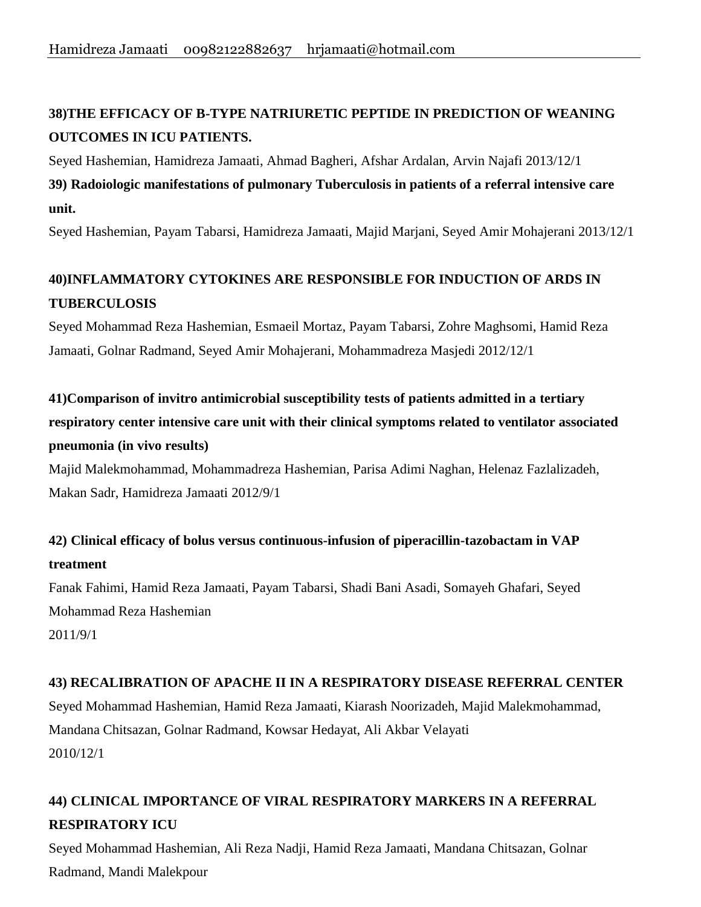# **38)THE EFFICACY OF B-TYPE NATRIURETIC PEPTIDE IN PREDICTION OF WEANING OUTCOMES IN ICU PATIENTS.**

Seyed Hashemian, Hamidreza Jamaati, Ahmad Bagheri, Afshar Ardalan, Arvin Najafi 2013/12/1 **39) Radoiologic manifestations of pulmonary Tuberculosis in patients of a referral intensive care unit.**

Seyed Hashemian, Payam Tabarsi, Hamidreza Jamaati, Majid Marjani, Seyed Amir Mohajerani 2013/12/1

# **40)INFLAMMATORY CYTOKINES ARE RESPONSIBLE FOR INDUCTION OF ARDS IN TUBERCULOSIS**

Seyed Mohammad Reza Hashemian, Esmaeil Mortaz, Payam Tabarsi, Zohre Maghsomi, Hamid Reza Jamaati, Golnar Radmand, Seyed Amir Mohajerani, Mohammadreza Masjedi 2012/12/1

**41)Comparison of invitro antimicrobial susceptibility tests of patients admitted in a tertiary respiratory center intensive care unit with their clinical symptoms related to ventilator associated pneumonia (in vivo results)**

Majid Malekmohammad, Mohammadreza Hashemian, Parisa Adimi Naghan, Helenaz Fazlalizadeh, Makan Sadr, Hamidreza Jamaati 2012/9/1

## **42) Clinical efficacy of bolus versus continuous-infusion of piperacillin-tazobactam in VAP treatment**

Fanak Fahimi, Hamid Reza Jamaati, Payam Tabarsi, Shadi Bani Asadi, Somayeh Ghafari, Seyed Mohammad Reza Hashemian 2011/9/1

### **43) RECALIBRATION OF APACHE II IN A RESPIRATORY DISEASE REFERRAL CENTER**

Seyed Mohammad Hashemian, Hamid Reza Jamaati, Kiarash Noorizadeh, Majid Malekmohammad, Mandana Chitsazan, Golnar Radmand, Kowsar Hedayat, Ali Akbar Velayati 2010/12/1

# **44) CLINICAL IMPORTANCE OF VIRAL RESPIRATORY MARKERS IN A REFERRAL RESPIRATORY ICU**

Seyed Mohammad Hashemian, Ali Reza Nadji, Hamid Reza Jamaati, Mandana Chitsazan, Golnar Radmand, Mandi Malekpour